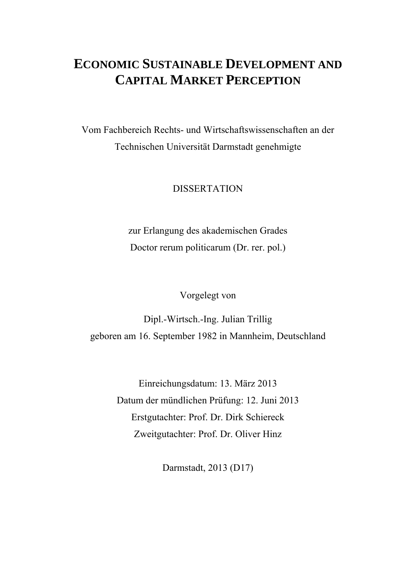### **ECONOMIC SUSTAINABLE DEVELOPMENT AND CAPITAL MARKET PERCEPTION**

Vom Fachbereich Rechts- und Wirtschaftswissenschaften an der Technischen Universität Darmstadt genehmigte

#### DISSERTATION

zur Erlangung des akademischen Grades Doctor rerum politicarum (Dr. rer. pol.)

#### Vorgelegt von

Dipl.-Wirtsch.-Ing. Julian Trillig geboren am 16. September 1982 in Mannheim, Deutschland

> Einreichungsdatum: 13. März 2013 Datum der mündlichen Prüfung: 12. Juni 2013 Erstgutachter: Prof. Dr. Dirk Schiereck Zweitgutachter: Prof. Dr. Oliver Hinz

> > Darmstadt, 2013 (D17)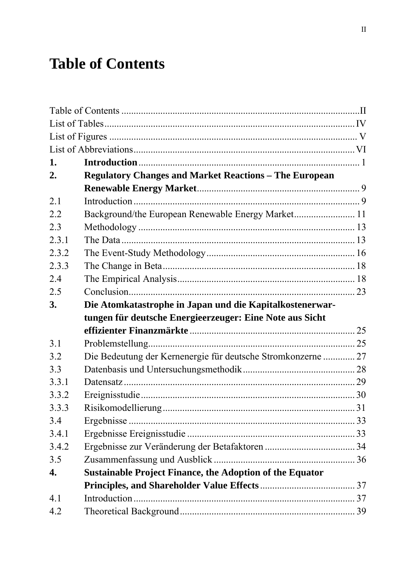# **Table of Contents**

| 1.    |                                                                 |  |  |  |  |  |
|-------|-----------------------------------------------------------------|--|--|--|--|--|
| 2.    | <b>Regulatory Changes and Market Reactions - The European</b>   |  |  |  |  |  |
|       |                                                                 |  |  |  |  |  |
| 2.1   |                                                                 |  |  |  |  |  |
| 2.2   | Background/the European Renewable Energy Market 11              |  |  |  |  |  |
| 2.3   |                                                                 |  |  |  |  |  |
| 2.3.1 |                                                                 |  |  |  |  |  |
| 2.3.2 |                                                                 |  |  |  |  |  |
| 2.3.3 |                                                                 |  |  |  |  |  |
| 2.4   |                                                                 |  |  |  |  |  |
| 2.5   |                                                                 |  |  |  |  |  |
| 3.    | Die Atomkatastrophe in Japan und die Kapitalkostenerwar-        |  |  |  |  |  |
|       | tungen für deutsche Energieerzeuger: Eine Note aus Sicht        |  |  |  |  |  |
|       |                                                                 |  |  |  |  |  |
| 3.1   |                                                                 |  |  |  |  |  |
| 3.2   | Die Bedeutung der Kernenergie für deutsche Stromkonzerne  27    |  |  |  |  |  |
| 3.3   |                                                                 |  |  |  |  |  |
| 3.3.1 |                                                                 |  |  |  |  |  |
| 3.3.2 |                                                                 |  |  |  |  |  |
| 3.3.3 |                                                                 |  |  |  |  |  |
| 3.4   |                                                                 |  |  |  |  |  |
| 3.4.1 |                                                                 |  |  |  |  |  |
| 3.4.2 |                                                                 |  |  |  |  |  |
| 3.5   |                                                                 |  |  |  |  |  |
| 4.    | <b>Sustainable Project Finance, the Adoption of the Equator</b> |  |  |  |  |  |
|       |                                                                 |  |  |  |  |  |
| 4.1   |                                                                 |  |  |  |  |  |
| 4.2   |                                                                 |  |  |  |  |  |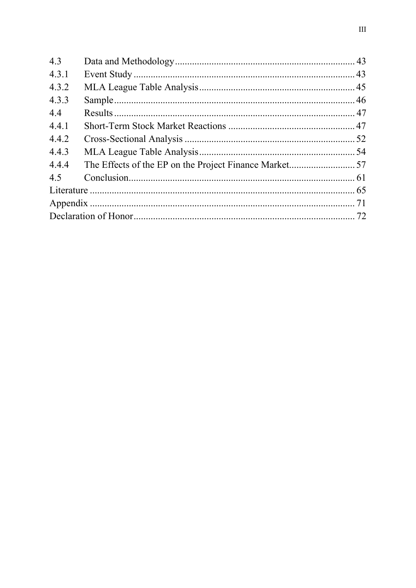| 4.3   |  |  |
|-------|--|--|
| 4.3.1 |  |  |
| 4.3.2 |  |  |
| 4.3.3 |  |  |
| 4.4   |  |  |
| 4.4.1 |  |  |
| 4.4.2 |  |  |
| 4.4.3 |  |  |
| 4.4.4 |  |  |
| 4.5   |  |  |
|       |  |  |
|       |  |  |
|       |  |  |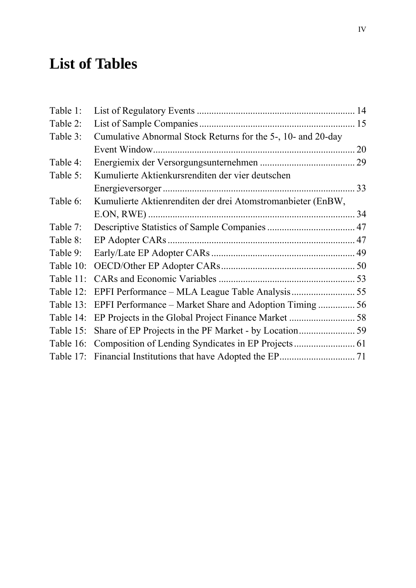# **List of Tables**

| Table 1:     |                                                              |    |
|--------------|--------------------------------------------------------------|----|
| Table 2:     |                                                              |    |
| Table 3:     | Cumulative Abnormal Stock Returns for the 5-, 10- and 20-day |    |
|              |                                                              | 20 |
| Table 4:     |                                                              |    |
| Table 5:     | Kumulierte Aktienkursrenditen der vier deutschen             |    |
|              |                                                              |    |
| Table 6:     | Kumulierte Aktienrenditen der drei Atomstromanbieter (EnBW,  |    |
|              |                                                              |    |
| Table 7:     |                                                              |    |
| Table 8:     |                                                              |    |
| Table 9:     |                                                              |    |
| Table 10:    |                                                              |    |
| Table 11:    |                                                              |    |
| Table 12:    |                                                              |    |
| Table 13:    |                                                              |    |
| Table 14:    |                                                              |    |
| Table 15:    |                                                              |    |
| Table 16:    |                                                              |    |
| Table $17$ : |                                                              |    |
|              |                                                              |    |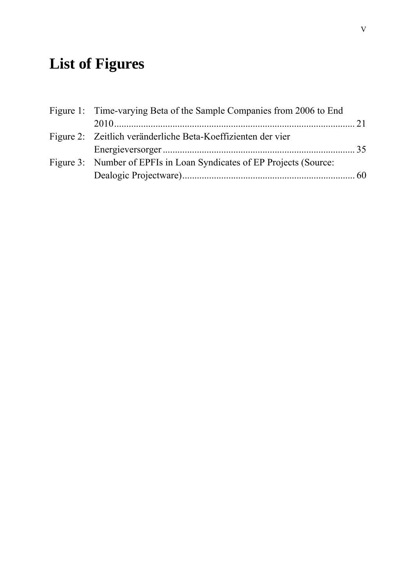# **List of Figures**

| Figure 1: Time-varying Beta of the Sample Companies from 2006 to End |  |
|----------------------------------------------------------------------|--|
|                                                                      |  |
| Figure 2: Zeitlich veränderliche Beta-Koeffizienten der vier         |  |
|                                                                      |  |
| Figure 3: Number of EPFIs in Loan Syndicates of EP Projects (Source: |  |
|                                                                      |  |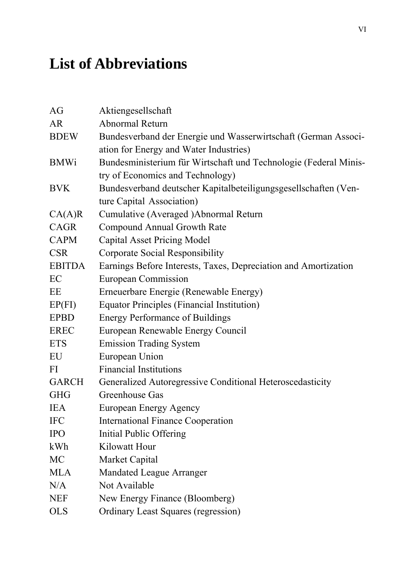# **List of Abbreviations**

| AG            | Aktiengesellschaft                                               |
|---------------|------------------------------------------------------------------|
| <b>AR</b>     | Abnormal Return                                                  |
| <b>BDEW</b>   | Bundesverband der Energie und Wasserwirtschaft (German Associ-   |
|               | ation for Energy and Water Industries)                           |
| <b>BMWi</b>   | Bundesministerium für Wirtschaft und Technologie (Federal Minis- |
|               | try of Economics and Technology)                                 |
| <b>BVK</b>    | Bundesverband deutscher Kapitalbeteiligungsgesellschaften (Ven-  |
|               | ture Capital Association)                                        |
| CA(A)R        | Cumulative (Averaged )Abnormal Return                            |
| CAGR          | <b>Compound Annual Growth Rate</b>                               |
| <b>CAPM</b>   | <b>Capital Asset Pricing Model</b>                               |
| <b>CSR</b>    | Corporate Social Responsibility                                  |
| <b>EBITDA</b> | Earnings Before Interests, Taxes, Depreciation and Amortization  |
| EC            | European Commission                                              |
| EΕ            | Erneuerbare Energie (Renewable Energy)                           |
| EP(FI)        | <b>Equator Principles (Financial Institution)</b>                |
| <b>EPBD</b>   | <b>Energy Performance of Buildings</b>                           |
| <b>EREC</b>   | European Renewable Energy Council                                |
| <b>ETS</b>    | <b>Emission Trading System</b>                                   |
| EU            | European Union                                                   |
| FI            | <b>Financial Institutions</b>                                    |
| <b>GARCH</b>  | Generalized Autoregressive Conditional Heteroscedasticity        |
| <b>GHG</b>    | Greenhouse Gas                                                   |
| <b>IEA</b>    | European Energy Agency                                           |
| <b>IFC</b>    | <b>International Finance Cooperation</b>                         |
| <b>IPO</b>    | <b>Initial Public Offering</b>                                   |
| kWh           | Kilowatt Hour                                                    |
| <b>MC</b>     | Market Capital                                                   |
| <b>MLA</b>    | <b>Mandated League Arranger</b>                                  |
| N/A           | Not Available                                                    |
| <b>NEF</b>    | New Energy Finance (Bloomberg)                                   |
| <b>OLS</b>    | <b>Ordinary Least Squares (regression)</b>                       |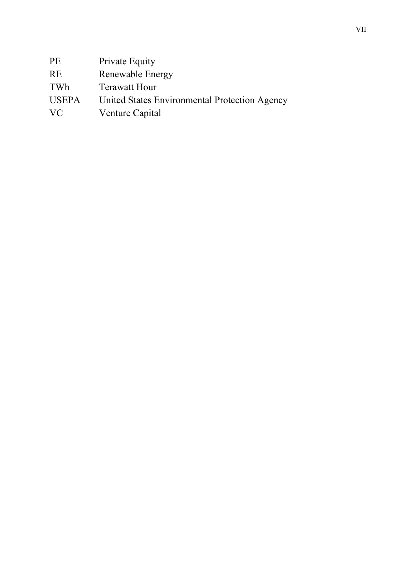| <b>PE</b>    | Private Equity                                |
|--------------|-----------------------------------------------|
| <b>RE</b>    | Renewable Energy                              |
| TWh          | <b>Terawatt Hour</b>                          |
| <b>USEPA</b> | United States Environmental Protection Agency |
| VC           | Venture Capital                               |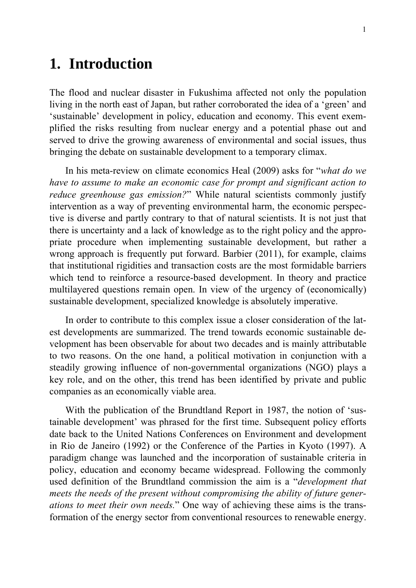## **1. Introduction**

The flood and nuclear disaster in Fukushima affected not only the population living in the north east of Japan, but rather corroborated the idea of a 'green' and 'sustainable' development in policy, education and economy. This event exemplified the risks resulting from nuclear energy and a potential phase out and served to drive the growing awareness of environmental and social issues, thus bringing the debate on sustainable development to a temporary climax.

In his meta-review on climate economics Heal (2009) asks for "*what do we have to assume to make an economic case for prompt and significant action to reduce greenhouse gas emission?*" While natural scientists commonly justify intervention as a way of preventing environmental harm, the economic perspective is diverse and partly contrary to that of natural scientists. It is not just that there is uncertainty and a lack of knowledge as to the right policy and the appropriate procedure when implementing sustainable development, but rather a wrong approach is frequently put forward. Barbier (2011), for example, claims that institutional rigidities and transaction costs are the most formidable barriers which tend to reinforce a resource-based development. In theory and practice multilayered questions remain open. In view of the urgency of (economically) sustainable development, specialized knowledge is absolutely imperative.

In order to contribute to this complex issue a closer consideration of the latest developments are summarized. The trend towards economic sustainable development has been observable for about two decades and is mainly attributable to two reasons. On the one hand, a political motivation in conjunction with a steadily growing influence of non-governmental organizations (NGO) plays a key role, and on the other, this trend has been identified by private and public companies as an economically viable area.

With the publication of the Brundtland Report in 1987, the notion of 'sustainable development' was phrased for the first time. Subsequent policy efforts date back to the United Nations Conferences on Environment and development in Rio de Janeiro (1992) or the Conference of the Parties in Kyoto (1997). A paradigm change was launched and the incorporation of sustainable criteria in policy, education and economy became widespread. Following the commonly used definition of the Brundtland commission the aim is a "*development that meets the needs of the present without compromising the ability of future generations to meet their own needs.*" One way of achieving these aims is the transformation of the energy sector from conventional resources to renewable energy.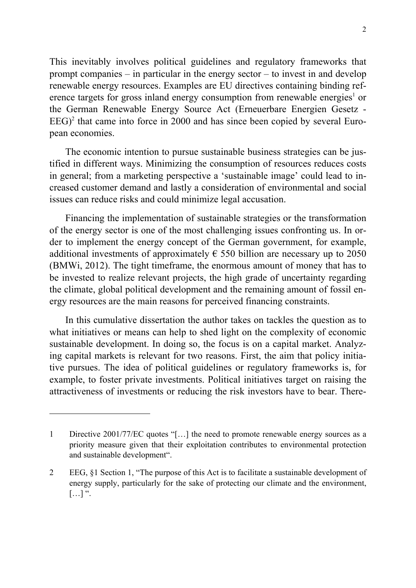This inevitably involves political guidelines and regulatory frameworks that prompt companies – in particular in the energy sector – to invest in and develop renewable energy resources. Examples are EU directives containing binding reference targets for gross inland energy consumption from renewable energies<sup>1</sup> or the German Renewable Energy Source Act (Erneuerbare Energien Gesetz -  $EEG$ <sup>2</sup> that came into force in 2000 and has since been copied by several European economies.

The economic intention to pursue sustainable business strategies can be justified in different ways. Minimizing the consumption of resources reduces costs in general; from a marketing perspective a 'sustainable image' could lead to increased customer demand and lastly a consideration of environmental and social issues can reduce risks and could minimize legal accusation.

Financing the implementation of sustainable strategies or the transformation of the energy sector is one of the most challenging issues confronting us. In order to implement the energy concept of the German government, for example, additional investments of approximately  $\epsilon$  550 billion are necessary up to 2050 (BMWi, 2012). The tight timeframe, the enormous amount of money that has to be invested to realize relevant projects, the high grade of uncertainty regarding the climate, global political development and the remaining amount of fossil energy resources are the main reasons for perceived financing constraints.

In this cumulative dissertation the author takes on tackles the question as to what initiatives or means can help to shed light on the complexity of economic sustainable development. In doing so, the focus is on a capital market. Analyzing capital markets is relevant for two reasons. First, the aim that policy initiative pursues. The idea of political guidelines or regulatory frameworks is, for example, to foster private investments. Political initiatives target on raising the attractiveness of investments or reducing the risk investors have to bear. There-

-

<sup>1</sup> Directive 2001/77/EC quotes "[…] the need to promote renewable energy sources as a priority measure given that their exploitation contributes to environmental protection and sustainable development".

<sup>2</sup> EEG, §1 Section 1, "The purpose of this Act is to facilitate a sustainable development of energy supply, particularly for the sake of protecting our climate and the environment,  $\left[ \ldots \right]$  ".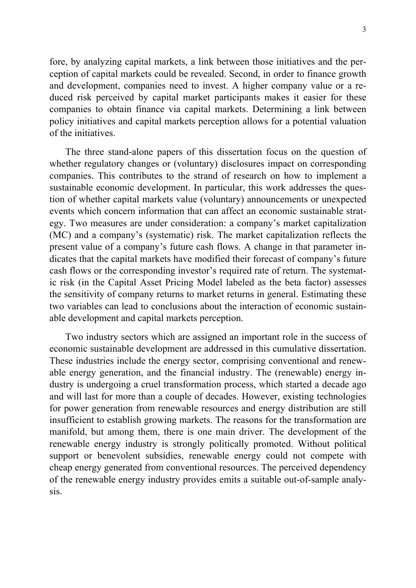fore, by analyzing capital markets, a link between those initiatives and the perception of capital markets could be revealed. Second, in order to finance growth and development, companies need to invest. A higher company value or a reduced risk perceived by capital market participants makes it easier for these companies to obtain finance via capital markets. Determining a link between policy initiatives and capital markets perception allows for a potential valuation of the initiatives.

The three stand-alone papers of this dissertation focus on the question of whether regulatory changes or (voluntary) disclosures impact on corresponding companies. This contributes to the strand of research on how to implement a sustainable economic development. In particular, this work addresses the question of whether capital markets value (voluntary) announcements or unexpected events which concern information that can affect an economic sustainable strategy. Two measures are under consideration: a company's market capitalization (MC) and a company's (systematic) risk. The market capitalization reflects the present value of a company's future cash flows. A change in that parameter indicates that the capital markets have modified their forecast of company's future cash flows or the corresponding investor's required rate of return. The systematic risk (in the Capital Asset Pricing Model labeled as the beta factor) assesses the sensitivity of company returns to market returns in general. Estimating these two variables can lead to conclusions about the interaction of economic sustainable development and capital markets perception.

Two industry sectors which are assigned an important role in the success of economic sustainable development are addressed in this cumulative dissertation. These industries include the energy sector, comprising conventional and renewable energy generation, and the financial industry. The (renewable) energy industry is undergoing a cruel transformation process, which started a decade ago and will last for more than a couple of decades. However, existing technologies for power generation from renewable resources and energy distribution are still insufficient to establish growing markets. The reasons for the transformation are manifold, but among them, there is one main driver. The development of the renewable energy industry is strongly politically promoted. Without political support or benevolent subsidies, renewable energy could not compete with cheap energy generated from conventional resources. The perceived dependency of the renewable energy industry provides emits a suitable out-of-sample analysis.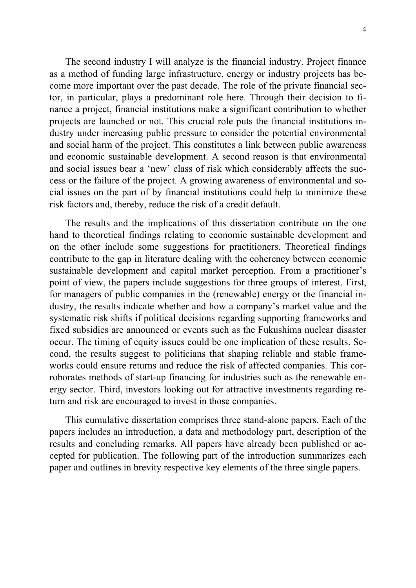The second industry I will analyze is the financial industry. Project finance as a method of funding large infrastructure, energy or industry projects has become more important over the past decade. The role of the private financial sector, in particular, plays a predominant role here. Through their decision to finance a project, financial institutions make a significant contribution to whether projects are launched or not. This crucial role puts the financial institutions industry under increasing public pressure to consider the potential environmental and social harm of the project. This constitutes a link between public awareness and economic sustainable development. A second reason is that environmental and social issues bear a 'new' class of risk which considerably affects the success or the failure of the project. A growing awareness of environmental and social issues on the part of by financial institutions could help to minimize these risk factors and, thereby, reduce the risk of a credit default.

The results and the implications of this dissertation contribute on the one hand to theoretical findings relating to economic sustainable development and on the other include some suggestions for practitioners. Theoretical findings contribute to the gap in literature dealing with the coherency between economic sustainable development and capital market perception. From a practitioner's point of view, the papers include suggestions for three groups of interest. First, for managers of public companies in the (renewable) energy or the financial industry, the results indicate whether and how a company's market value and the systematic risk shifts if political decisions regarding supporting frameworks and fixed subsidies are announced or events such as the Fukushima nuclear disaster occur. The timing of equity issues could be one implication of these results. Second, the results suggest to politicians that shaping reliable and stable frameworks could ensure returns and reduce the risk of affected companies. This corroborates methods of start-up financing for industries such as the renewable energy sector. Third, investors looking out for attractive investments regarding return and risk are encouraged to invest in those companies.

This cumulative dissertation comprises three stand-alone papers. Each of the papers includes an introduction, a data and methodology part, description of the results and concluding remarks. All papers have already been published or accepted for publication. The following part of the introduction summarizes each paper and outlines in brevity respective key elements of the three single papers.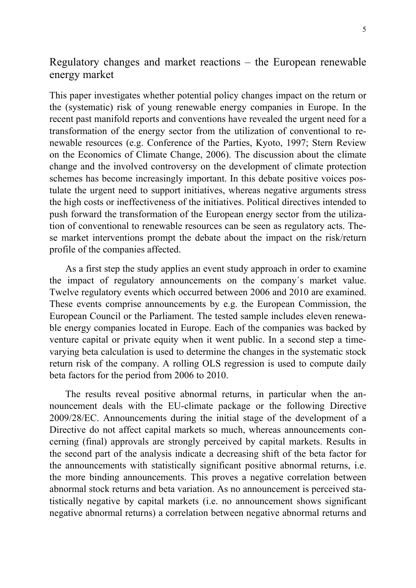### Regulatory changes and market reactions – the European renewable energy market

This paper investigates whether potential policy changes impact on the return or the (systematic) risk of young renewable energy companies in Europe. In the recent past manifold reports and conventions have revealed the urgent need for a transformation of the energy sector from the utilization of conventional to renewable resources (e.g. Conference of the Parties, Kyoto, 1997; Stern Review on the Economics of Climate Change, 2006). The discussion about the climate change and the involved controversy on the development of climate protection schemes has become increasingly important. In this debate positive voices postulate the urgent need to support initiatives, whereas negative arguments stress the high costs or ineffectiveness of the initiatives. Political directives intended to push forward the transformation of the European energy sector from the utilization of conventional to renewable resources can be seen as regulatory acts. These market interventions prompt the debate about the impact on the risk/return profile of the companies affected.

As a first step the study applies an event study approach in order to examine the impact of regulatory announcements on the company´s market value. Twelve regulatory events which occurred between 2006 and 2010 are examined. These events comprise announcements by e.g. the European Commission, the European Council or the Parliament. The tested sample includes eleven renewable energy companies located in Europe. Each of the companies was backed by venture capital or private equity when it went public. In a second step a timevarying beta calculation is used to determine the changes in the systematic stock return risk of the company. A rolling OLS regression is used to compute daily beta factors for the period from 2006 to 2010.

The results reveal positive abnormal returns, in particular when the announcement deals with the EU-climate package or the following Directive 2009/28/EC. Announcements during the initial stage of the development of a Directive do not affect capital markets so much, whereas announcements concerning (final) approvals are strongly perceived by capital markets. Results in the second part of the analysis indicate a decreasing shift of the beta factor for the announcements with statistically significant positive abnormal returns, i.e. the more binding announcements. This proves a negative correlation between abnormal stock returns and beta variation. As no announcement is perceived statistically negative by capital markets (i.e. no announcement shows significant negative abnormal returns) a correlation between negative abnormal returns and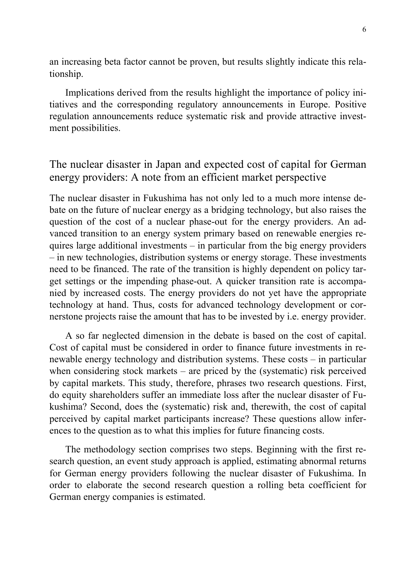an increasing beta factor cannot be proven, but results slightly indicate this relationship.

Implications derived from the results highlight the importance of policy initiatives and the corresponding regulatory announcements in Europe. Positive regulation announcements reduce systematic risk and provide attractive investment possibilities.

### The nuclear disaster in Japan and expected cost of capital for German energy providers: A note from an efficient market perspective

The nuclear disaster in Fukushima has not only led to a much more intense debate on the future of nuclear energy as a bridging technology, but also raises the question of the cost of a nuclear phase-out for the energy providers. An advanced transition to an energy system primary based on renewable energies requires large additional investments – in particular from the big energy providers – in new technologies, distribution systems or energy storage. These investments need to be financed. The rate of the transition is highly dependent on policy target settings or the impending phase-out. A quicker transition rate is accompanied by increased costs. The energy providers do not yet have the appropriate technology at hand. Thus, costs for advanced technology development or cornerstone projects raise the amount that has to be invested by i.e. energy provider.

A so far neglected dimension in the debate is based on the cost of capital. Cost of capital must be considered in order to finance future investments in renewable energy technology and distribution systems. These costs – in particular when considering stock markets – are priced by the (systematic) risk perceived by capital markets. This study, therefore, phrases two research questions. First, do equity shareholders suffer an immediate loss after the nuclear disaster of Fukushima? Second, does the (systematic) risk and, therewith, the cost of capital perceived by capital market participants increase? These questions allow inferences to the question as to what this implies for future financing costs.

The methodology section comprises two steps. Beginning with the first research question, an event study approach is applied, estimating abnormal returns for German energy providers following the nuclear disaster of Fukushima. In order to elaborate the second research question a rolling beta coefficient for German energy companies is estimated.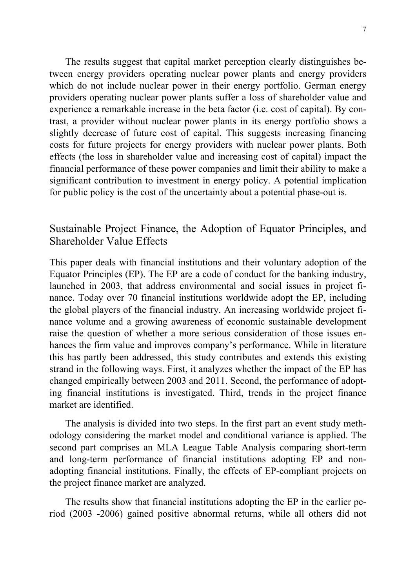The results suggest that capital market perception clearly distinguishes between energy providers operating nuclear power plants and energy providers which do not include nuclear power in their energy portfolio. German energy providers operating nuclear power plants suffer a loss of shareholder value and experience a remarkable increase in the beta factor (i.e. cost of capital). By contrast, a provider without nuclear power plants in its energy portfolio shows a slightly decrease of future cost of capital. This suggests increasing financing costs for future projects for energy providers with nuclear power plants. Both effects (the loss in shareholder value and increasing cost of capital) impact the financial performance of these power companies and limit their ability to make a significant contribution to investment in energy policy. A potential implication for public policy is the cost of the uncertainty about a potential phase-out is.

### Sustainable Project Finance, the Adoption of Equator Principles, and Shareholder Value Effects

This paper deals with financial institutions and their voluntary adoption of the Equator Principles (EP). The EP are a code of conduct for the banking industry, launched in 2003, that address environmental and social issues in project finance. Today over 70 financial institutions worldwide adopt the EP, including the global players of the financial industry. An increasing worldwide project finance volume and a growing awareness of economic sustainable development raise the question of whether a more serious consideration of those issues enhances the firm value and improves company's performance. While in literature this has partly been addressed, this study contributes and extends this existing strand in the following ways. First, it analyzes whether the impact of the EP has changed empirically between 2003 and 2011. Second, the performance of adopting financial institutions is investigated. Third, trends in the project finance market are identified.

The analysis is divided into two steps. In the first part an event study methodology considering the market model and conditional variance is applied. The second part comprises an MLA League Table Analysis comparing short-term and long-term performance of financial institutions adopting EP and nonadopting financial institutions. Finally, the effects of EP-compliant projects on the project finance market are analyzed.

The results show that financial institutions adopting the EP in the earlier period (2003 -2006) gained positive abnormal returns, while all others did not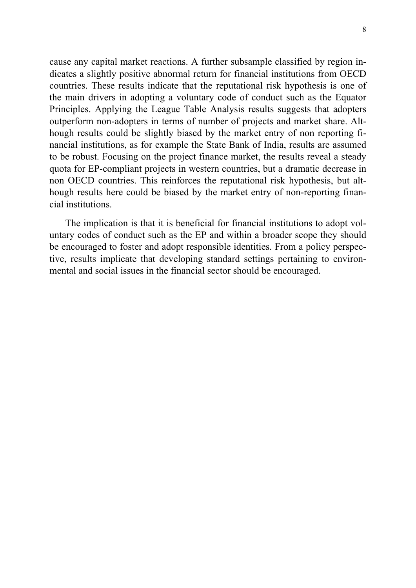cause any capital market reactions. A further subsample classified by region indicates a slightly positive abnormal return for financial institutions from OECD countries. These results indicate that the reputational risk hypothesis is one of the main drivers in adopting a voluntary code of conduct such as the Equator Principles. Applying the League Table Analysis results suggests that adopters outperform non-adopters in terms of number of projects and market share. Although results could be slightly biased by the market entry of non reporting financial institutions, as for example the State Bank of India, results are assumed to be robust. Focusing on the project finance market, the results reveal a steady quota for EP-compliant projects in western countries, but a dramatic decrease in non OECD countries. This reinforces the reputational risk hypothesis, but although results here could be biased by the market entry of non-reporting financial institutions.

The implication is that it is beneficial for financial institutions to adopt voluntary codes of conduct such as the EP and within a broader scope they should be encouraged to foster and adopt responsible identities. From a policy perspective, results implicate that developing standard settings pertaining to environmental and social issues in the financial sector should be encouraged.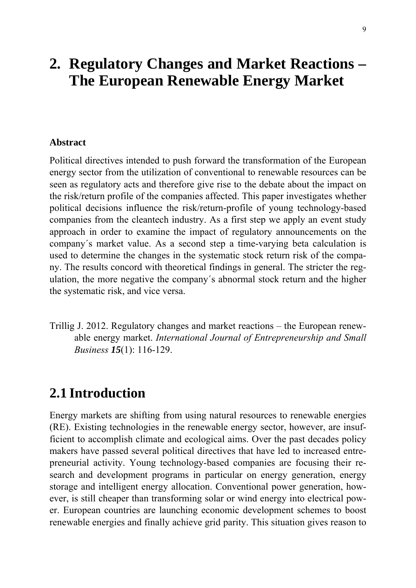## **2. Regulatory Changes and Market Reactions – The European Renewable Energy Market**

#### **Abstract**

Political directives intended to push forward the transformation of the European energy sector from the utilization of conventional to renewable resources can be seen as regulatory acts and therefore give rise to the debate about the impact on the risk/return profile of the companies affected. This paper investigates whether political decisions influence the risk/return-profile of young technology-based companies from the cleantech industry. As a first step we apply an event study approach in order to examine the impact of regulatory announcements on the company´s market value. As a second step a time-varying beta calculation is used to determine the changes in the systematic stock return risk of the company. The results concord with theoretical findings in general. The stricter the regulation, the more negative the company´s abnormal stock return and the higher the systematic risk, and vice versa.

Trillig J. 2012. Regulatory changes and market reactions – the European renewable energy market. *International Journal of Entrepreneurship and Small Business 15*(1): 116-129.

### **2.1 Introduction**

Energy markets are shifting from using natural resources to renewable energies (RE). Existing technologies in the renewable energy sector, however, are insufficient to accomplish climate and ecological aims. Over the past decades policy makers have passed several political directives that have led to increased entrepreneurial activity. Young technology-based companies are focusing their research and development programs in particular on energy generation, energy storage and intelligent energy allocation. Conventional power generation, however, is still cheaper than transforming solar or wind energy into electrical power. European countries are launching economic development schemes to boost renewable energies and finally achieve grid parity. This situation gives reason to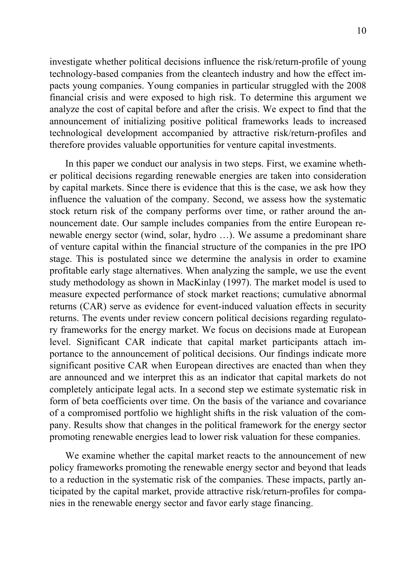investigate whether political decisions influence the risk/return-profile of young technology-based companies from the cleantech industry and how the effect impacts young companies. Young companies in particular struggled with the 2008 financial crisis and were exposed to high risk. To determine this argument we analyze the cost of capital before and after the crisis. We expect to find that the announcement of initializing positive political frameworks leads to increased technological development accompanied by attractive risk/return-profiles and therefore provides valuable opportunities for venture capital investments.

In this paper we conduct our analysis in two steps. First, we examine whether political decisions regarding renewable energies are taken into consideration by capital markets. Since there is evidence that this is the case, we ask how they influence the valuation of the company. Second, we assess how the systematic stock return risk of the company performs over time, or rather around the announcement date. Our sample includes companies from the entire European renewable energy sector (wind, solar, hydro …). We assume a predominant share of venture capital within the financial structure of the companies in the pre IPO stage. This is postulated since we determine the analysis in order to examine profitable early stage alternatives. When analyzing the sample, we use the event study methodology as shown in MacKinlay (1997). The market model is used to measure expected performance of stock market reactions; cumulative abnormal returns (CAR) serve as evidence for event-induced valuation effects in security returns. The events under review concern political decisions regarding regulatory frameworks for the energy market. We focus on decisions made at European level. Significant CAR indicate that capital market participants attach importance to the announcement of political decisions. Our findings indicate more significant positive CAR when European directives are enacted than when they are announced and we interpret this as an indicator that capital markets do not completely anticipate legal acts. In a second step we estimate systematic risk in form of beta coefficients over time. On the basis of the variance and covariance of a compromised portfolio we highlight shifts in the risk valuation of the company. Results show that changes in the political framework for the energy sector promoting renewable energies lead to lower risk valuation for these companies.

We examine whether the capital market reacts to the announcement of new policy frameworks promoting the renewable energy sector and beyond that leads to a reduction in the systematic risk of the companies. These impacts, partly anticipated by the capital market, provide attractive risk/return-profiles for companies in the renewable energy sector and favor early stage financing.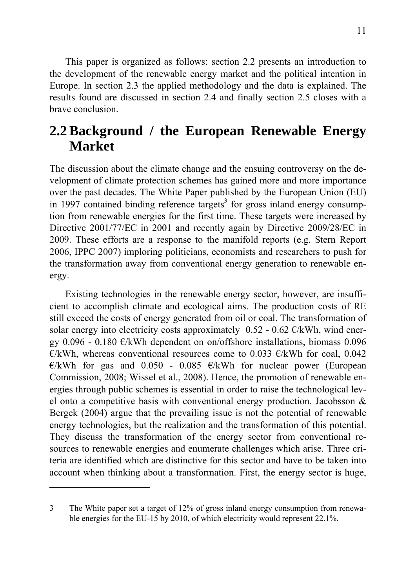This paper is organized as follows: section 2.2 presents an introduction to the development of the renewable energy market and the political intention in Europe. In section 2.3 the applied methodology and the data is explained. The results found are discussed in section 2.4 and finally section 2.5 closes with a brave conclusion.

### **2.2 Background / the European Renewable Energy Market**

The discussion about the climate change and the ensuing controversy on the development of climate protection schemes has gained more and more importance over the past decades. The White Paper published by the European Union (EU) in 1997 contained binding reference targets<sup>3</sup> for gross inland energy consumption from renewable energies for the first time. These targets were increased by Directive 2001/77/EC in 2001 and recently again by Directive 2009/28/EC in 2009. These efforts are a response to the manifold reports (e.g. Stern Report 2006, IPPC 2007) imploring politicians, economists and researchers to push for the transformation away from conventional energy generation to renewable energy.

Existing technologies in the renewable energy sector, however, are insufficient to accomplish climate and ecological aims. The production costs of RE still exceed the costs of energy generated from oil or coal. The transformation of solar energy into electricity costs approximately  $0.52 - 0.62 \in KWh$ , wind energy 0.096 - 0.180  $\epsilon$ /kWh dependent on on/offshore installations, biomass 0.096  $\epsilon$ /kWh, whereas conventional resources come to 0.033  $\epsilon$ /kWh for coal, 0.042  $\epsilon$ /kWh for gas and 0.050 - 0.085  $\epsilon$ /kWh for nuclear power (European Commission, 2008; Wissel et al., 2008). Hence, the promotion of renewable energies through public schemes is essential in order to raise the technological level onto a competitive basis with conventional energy production. Jacobsson & Bergek (2004) argue that the prevailing issue is not the potential of renewable energy technologies, but the realization and the transformation of this potential. They discuss the transformation of the energy sector from conventional resources to renewable energies and enumerate challenges which arise. Three criteria are identified which are distinctive for this sector and have to be taken into account when thinking about a transformation. First, the energy sector is huge,

1

<sup>3</sup> The White paper set a target of 12% of gross inland energy consumption from renewable energies for the EU-15 by 2010, of which electricity would represent 22.1%.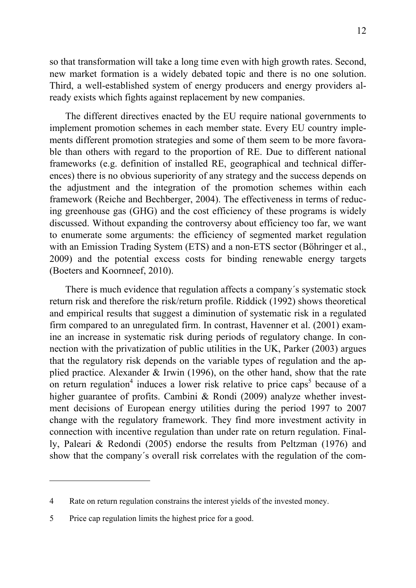so that transformation will take a long time even with high growth rates. Second, new market formation is a widely debated topic and there is no one solution. Third, a well-established system of energy producers and energy providers already exists which fights against replacement by new companies.

The different directives enacted by the EU require national governments to implement promotion schemes in each member state. Every EU country implements different promotion strategies and some of them seem to be more favorable than others with regard to the proportion of RE. Due to different national frameworks (e.g. definition of installed RE, geographical and technical differences) there is no obvious superiority of any strategy and the success depends on the adjustment and the integration of the promotion schemes within each framework (Reiche and Bechberger, 2004). The effectiveness in terms of reducing greenhouse gas (GHG) and the cost efficiency of these programs is widely discussed. Without expanding the controversy about efficiency too far, we want to enumerate some arguments: the efficiency of segmented market regulation with an Emission Trading System (ETS) and a non-ETS sector (Böhringer et al., 2009) and the potential excess costs for binding renewable energy targets (Boeters and Koornneef, 2010).

There is much evidence that regulation affects a company´s systematic stock return risk and therefore the risk/return profile. Riddick (1992) shows theoretical and empirical results that suggest a diminution of systematic risk in a regulated firm compared to an unregulated firm. In contrast, Havenner et al. (2001) examine an increase in systematic risk during periods of regulatory change. In connection with the privatization of public utilities in the UK, Parker (2003) argues that the regulatory risk depends on the variable types of regulation and the applied practice. Alexander & Irwin (1996), on the other hand, show that the rate on return regulation<sup>4</sup> induces a lower risk relative to price caps<sup>5</sup> because of a higher guarantee of profits. Cambini & Rondi (2009) analyze whether investment decisions of European energy utilities during the period 1997 to 2007 change with the regulatory framework. They find more investment activity in connection with incentive regulation than under rate on return regulation. Finally, Paleari & Redondi (2005) endorse the results from Peltzman (1976) and show that the company´s overall risk correlates with the regulation of the com-

1

<sup>4</sup> Rate on return regulation constrains the interest yields of the invested money.

<sup>5</sup> Price cap regulation limits the highest price for a good.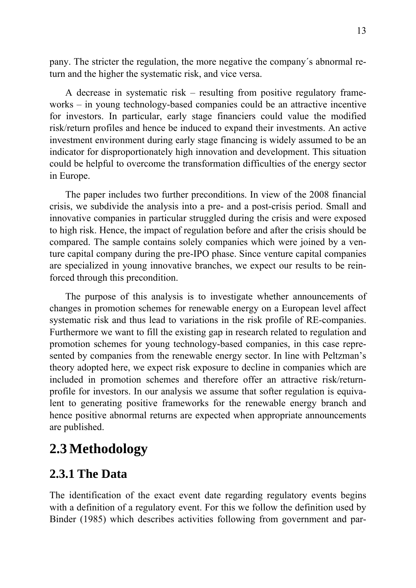pany. The stricter the regulation, the more negative the company´s abnormal return and the higher the systematic risk, and vice versa.

A decrease in systematic risk – resulting from positive regulatory frameworks – in young technology-based companies could be an attractive incentive for investors. In particular, early stage financiers could value the modified risk/return profiles and hence be induced to expand their investments. An active investment environment during early stage financing is widely assumed to be an indicator for disproportionately high innovation and development. This situation could be helpful to overcome the transformation difficulties of the energy sector in Europe.

The paper includes two further preconditions. In view of the 2008 financial crisis, we subdivide the analysis into a pre- and a post-crisis period. Small and innovative companies in particular struggled during the crisis and were exposed to high risk. Hence, the impact of regulation before and after the crisis should be compared. The sample contains solely companies which were joined by a venture capital company during the pre-IPO phase. Since venture capital companies are specialized in young innovative branches, we expect our results to be reinforced through this precondition.

The purpose of this analysis is to investigate whether announcements of changes in promotion schemes for renewable energy on a European level affect systematic risk and thus lead to variations in the risk profile of RE-companies. Furthermore we want to fill the existing gap in research related to regulation and promotion schemes for young technology-based companies, in this case represented by companies from the renewable energy sector. In line with Peltzman's theory adopted here, we expect risk exposure to decline in companies which are included in promotion schemes and therefore offer an attractive risk/returnprofile for investors. In our analysis we assume that softer regulation is equivalent to generating positive frameworks for the renewable energy branch and hence positive abnormal returns are expected when appropriate announcements are published.

### **2.3 Methodology**

### **2.3.1 The Data**

The identification of the exact event date regarding regulatory events begins with a definition of a regulatory event. For this we follow the definition used by Binder (1985) which describes activities following from government and par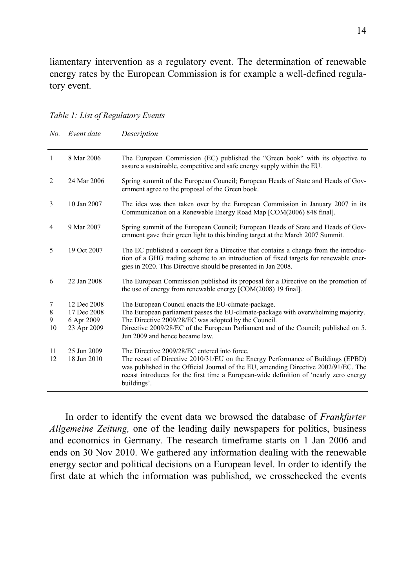liamentary intervention as a regulatory event. The determination of renewable energy rates by the European Commission is for example a well-defined regulatory event.

#### *Table 1: List of Regulatory Events*

| N <sub>o</sub>          | Event date                                              | Description                                                                                                                                                                                                                                                                                                                      |
|-------------------------|---------------------------------------------------------|----------------------------------------------------------------------------------------------------------------------------------------------------------------------------------------------------------------------------------------------------------------------------------------------------------------------------------|
| 1                       | 8 Mar 2006                                              | The European Commission (EC) published the "Green book" with its objective to<br>assure a sustainable, competitive and safe energy supply within the EU.                                                                                                                                                                         |
| 2                       | 24 Mar 2006                                             | Spring summit of the European Council; European Heads of State and Heads of Gov-<br>ernment agree to the proposal of the Green book.                                                                                                                                                                                             |
| 3                       | 10 Jan 2007                                             | The idea was then taken over by the European Commission in January 2007 in its<br>Communication on a Renewable Energy Road Map [COM(2006) 848 final].                                                                                                                                                                            |
| $\overline{4}$          | 9 Mar 2007                                              | Spring summit of the European Council; European Heads of State and Heads of Gov-<br>ernment gave their green light to this binding target at the March 2007 Summit.                                                                                                                                                              |
| 5                       | 19 Oct 2007                                             | The EC published a concept for a Directive that contains a change from the introduc-<br>tion of a GHG trading scheme to an introduction of fixed targets for renewable ener-<br>gies in 2020. This Directive should be presented in Jan 2008.                                                                                    |
| 6                       | 22 Jan 2008                                             | The European Commission published its proposal for a Directive on the promotion of<br>the use of energy from renewable energy [COM(2008) 19 final].                                                                                                                                                                              |
| 7<br>$\,8\,$<br>9<br>10 | 12 Dec 2008<br>17 Dec 2008<br>6 Apr 2009<br>23 Apr 2009 | The European Council enacts the EU-climate-package.<br>The European parliament passes the EU-climate-package with overwhelming majority.<br>The Directive 2009/28/EC was adopted by the Council.<br>Directive 2009/28/EC of the European Parliament and of the Council; published on 5.<br>Jun 2009 and hence became law.        |
| 11<br>12                | 25 Jun 2009<br>18 Jun 2010                              | The Directive 2009/28/EC entered into force.<br>The recast of Directive 2010/31/EU on the Energy Performance of Buildings (EPBD)<br>was published in the Official Journal of the EU, amending Directive 2002/91/EC. The<br>recast introduces for the first time a European-wide definition of 'nearly zero energy<br>buildings'. |

In order to identify the event data we browsed the database of *Frankfurter Allgemeine Zeitung,* one of the leading daily newspapers for politics, business and economics in Germany. The research timeframe starts on 1 Jan 2006 and ends on 30 Nov 2010. We gathered any information dealing with the renewable energy sector and political decisions on a European level. In order to identify the first date at which the information was published, we crosschecked the events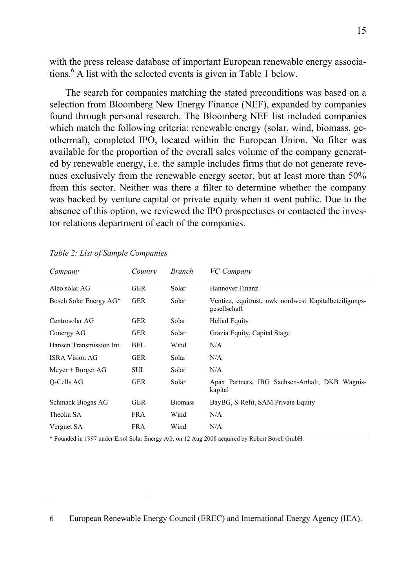with the press release database of important European renewable energy associations.6 A list with the selected events is given in Table 1 below.

The search for companies matching the stated preconditions was based on a selection from Bloomberg New Energy Finance (NEF), expanded by companies found through personal research. The Bloomberg NEF list included companies which match the following criteria: renewable energy (solar, wind, biomass, geothermal), completed IPO, located within the European Union. No filter was available for the proportion of the overall sales volume of the company generated by renewable energy, i.e. the sample includes firms that do not generate revenues exclusively from the renewable energy sector, but at least more than 50% from this sector. Neither was there a filter to determine whether the company was backed by venture capital or private equity when it went public. Due to the absence of this option, we reviewed the IPO prospectuses or contacted the investor relations department of each of the companies.

| Company                  | Country    | <i>Branch</i>  | VC-Company                                                            |
|--------------------------|------------|----------------|-----------------------------------------------------------------------|
| Aleo solar AG            | <b>GER</b> | Solar          | Hannover Finanz                                                       |
| Bosch Solar Energy AG*   | <b>GER</b> | Solar          | Ventizz, equitrust, nwk nordwest Kapitalbeteiligungs-<br>gesellschaft |
| Centrosolar AG           | <b>GER</b> | Solar          | <b>Heliad Equity</b>                                                  |
| Conergy AG               | <b>GER</b> | Solar          | Grazia Equity, Capital Stage                                          |
| Hansen Transmission Int. | <b>BEL</b> | Wind           | N/A                                                                   |
| <b>ISRA Vision AG</b>    | <b>GER</b> | Solar          | N/A                                                                   |
| Meyer $+$ Burger AG      | SUI        | Solar          | N/A                                                                   |
| Q-Cells AG               | <b>GER</b> | Solar          | Apax Partners, IBG Sachsen-Anhalt, DKB Wagnis-<br>kapital             |
| Schmack Biogas AG        | <b>GER</b> | <b>Biomass</b> | BayBG, S-Refit, SAM Private Equity                                    |
| Theolia SA               | <b>FRA</b> | Wind           | N/A                                                                   |
| Vergnet SA               | <b>FRA</b> | Wind           | N/A                                                                   |

1

\* Founded in 1997 under Ersol Solar Energy AG, on 12 Aug 2008 acquired by Robert Bosch GmbH.

<sup>6</sup> European Renewable Energy Council (EREC) and International Energy Agency (IEA).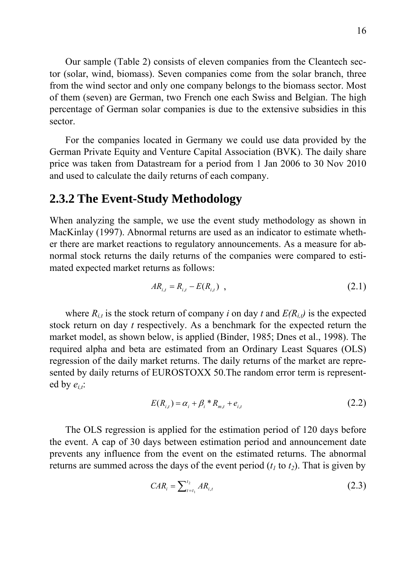Our sample (Table 2) consists of eleven companies from the Cleantech sector (solar, wind, biomass). Seven companies come from the solar branch, three from the wind sector and only one company belongs to the biomass sector. Most of them (seven) are German, two French one each Swiss and Belgian. The high percentage of German solar companies is due to the extensive subsidies in this sector.

For the companies located in Germany we could use data provided by the German Private Equity and Venture Capital Association (BVK). The daily share price was taken from Datastream for a period from 1 Jan 2006 to 30 Nov 2010 and used to calculate the daily returns of each company.

#### **2.3.2 The Event-Study Methodology**

When analyzing the sample, we use the event study methodology as shown in MacKinlay (1997). Abnormal returns are used as an indicator to estimate whether there are market reactions to regulatory announcements. As a measure for abnormal stock returns the daily returns of the companies were compared to estimated expected market returns as follows:

$$
AR_{i,t} = R_{i,t} - E(R_{i,t}) \quad , \tag{2.1}
$$

where  $R_{i,t}$  is the stock return of company *i* on day *t* and  $E(R_{i,t})$  is the expected stock return on day *t* respectively. As a benchmark for the expected return the market model, as shown below, is applied (Binder, 1985; Dnes et al., 1998). The required alpha and beta are estimated from an Ordinary Least Squares (OLS) regression of the daily market returns. The daily returns of the market are represented by daily returns of EUROSTOXX 50.The random error term is represented by  $e_{i,t}$ :

$$
E(R_{i,t}) = \alpha_i + \beta_i * R_{m,t} + e_{i,t}
$$
 (2.2)

The OLS regression is applied for the estimation period of 120 days before the event. A cap of 30 days between estimation period and announcement date prevents any influence from the event on the estimated returns. The abnormal returns are summed across the days of the event period  $(t_1$  to  $t_2$ ). That is given by

$$
CAR_i = \sum_{t=t_1}^{t_2} AR_{i,t}
$$
 (2.3)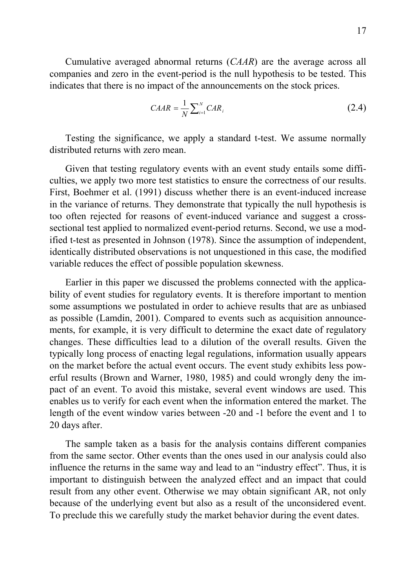Cumulative averaged abnormal returns (*CAAR*) are the average across all companies and zero in the event-period is the null hypothesis to be tested. This indicates that there is no impact of the announcements on the stock prices.

$$
CAAR = \frac{1}{N} \sum_{i=1}^{N} CAR_i
$$
 (2.4)

Testing the significance, we apply a standard t-test. We assume normally distributed returns with zero mean.

Given that testing regulatory events with an event study entails some difficulties, we apply two more test statistics to ensure the correctness of our results. First, Boehmer et al. (1991) discuss whether there is an event-induced increase in the variance of returns. They demonstrate that typically the null hypothesis is too often rejected for reasons of event-induced variance and suggest a crosssectional test applied to normalized event-period returns. Second, we use a modified t-test as presented in Johnson (1978). Since the assumption of independent, identically distributed observations is not unquestioned in this case, the modified variable reduces the effect of possible population skewness.

Earlier in this paper we discussed the problems connected with the applicability of event studies for regulatory events. It is therefore important to mention some assumptions we postulated in order to achieve results that are as unbiased as possible (Lamdin, 2001). Compared to events such as acquisition announcements, for example, it is very difficult to determine the exact date of regulatory changes. These difficulties lead to a dilution of the overall results. Given the typically long process of enacting legal regulations, information usually appears on the market before the actual event occurs. The event study exhibits less powerful results (Brown and Warner, 1980, 1985) and could wrongly deny the impact of an event. To avoid this mistake, several event windows are used. This enables us to verify for each event when the information entered the market. The length of the event window varies between -20 and -1 before the event and 1 to 20 days after.

The sample taken as a basis for the analysis contains different companies from the same sector. Other events than the ones used in our analysis could also influence the returns in the same way and lead to an "industry effect". Thus, it is important to distinguish between the analyzed effect and an impact that could result from any other event. Otherwise we may obtain significant AR, not only because of the underlying event but also as a result of the unconsidered event. To preclude this we carefully study the market behavior during the event dates.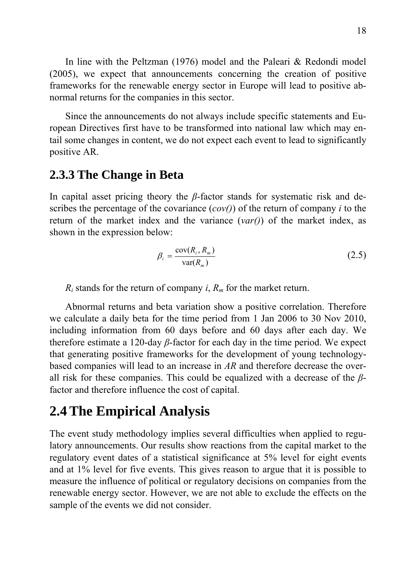In line with the Peltzman (1976) model and the Paleari & Redondi model (2005), we expect that announcements concerning the creation of positive frameworks for the renewable energy sector in Europe will lead to positive abnormal returns for the companies in this sector.

Since the announcements do not always include specific statements and European Directives first have to be transformed into national law which may entail some changes in content, we do not expect each event to lead to significantly positive AR.

### **2.3.3 The Change in Beta**

In capital asset pricing theory the *β*-factor stands for systematic risk and describes the percentage of the covariance (*cov()*) of the return of company *i* to the return of the market index and the variance (*var()*) of the market index, as shown in the expression below:

$$
\beta_i = \frac{\text{cov}(R_i, R_m)}{\text{var}(R_m)}
$$
(2.5)

 $R_i$  stands for the return of company *i*,  $R_m$  for the market return.

Abnormal returns and beta variation show a positive correlation. Therefore we calculate a daily beta for the time period from 1 Jan 2006 to 30 Nov 2010, including information from 60 days before and 60 days after each day. We therefore estimate a 120-day *β*-factor for each day in the time period. We expect that generating positive frameworks for the development of young technologybased companies will lead to an increase in *AR* and therefore decrease the overall risk for these companies. This could be equalized with a decrease of the *β*factor and therefore influence the cost of capital.

### **2.4 The Empirical Analysis**

The event study methodology implies several difficulties when applied to regulatory announcements. Our results show reactions from the capital market to the regulatory event dates of a statistical significance at 5% level for eight events and at 1% level for five events. This gives reason to argue that it is possible to measure the influence of political or regulatory decisions on companies from the renewable energy sector. However, we are not able to exclude the effects on the sample of the events we did not consider.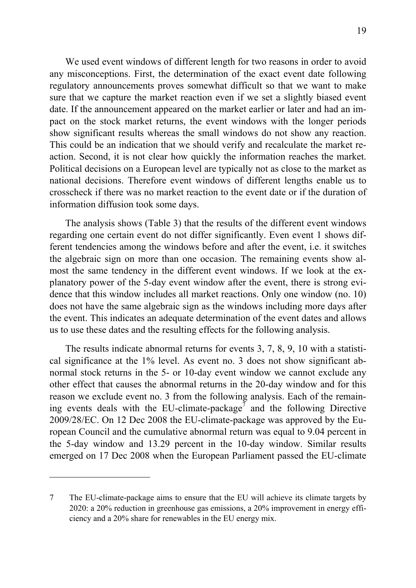We used event windows of different length for two reasons in order to avoid any misconceptions. First, the determination of the exact event date following regulatory announcements proves somewhat difficult so that we want to make sure that we capture the market reaction even if we set a slightly biased event date. If the announcement appeared on the market earlier or later and had an impact on the stock market returns, the event windows with the longer periods show significant results whereas the small windows do not show any reaction. This could be an indication that we should verify and recalculate the market reaction. Second, it is not clear how quickly the information reaches the market. Political decisions on a European level are typically not as close to the market as national decisions. Therefore event windows of different lengths enable us to crosscheck if there was no market reaction to the event date or if the duration of information diffusion took some days.

The analysis shows (Table 3) that the results of the different event windows regarding one certain event do not differ significantly. Even event 1 shows different tendencies among the windows before and after the event, i.e. it switches the algebraic sign on more than one occasion. The remaining events show almost the same tendency in the different event windows. If we look at the explanatory power of the 5-day event window after the event, there is strong evidence that this window includes all market reactions. Only one window (no. 10) does not have the same algebraic sign as the windows including more days after the event. This indicates an adequate determination of the event dates and allows us to use these dates and the resulting effects for the following analysis.

The results indicate abnormal returns for events 3, 7, 8, 9, 10 with a statistical significance at the 1% level. As event no. 3 does not show significant abnormal stock returns in the 5- or 10-day event window we cannot exclude any other effect that causes the abnormal returns in the 20-day window and for this reason we exclude event no. 3 from the following analysis. Each of the remaining events deals with the EU-climate-package<sup>7</sup> and the following Directive 2009/28/EC. On 12 Dec 2008 the EU-climate-package was approved by the European Council and the cumulative abnormal return was equal to 9.04 percent in the 5-day window and 13.29 percent in the 10-day window. Similar results emerged on 17 Dec 2008 when the European Parliament passed the EU-climate

1

<sup>7</sup> The EU-climate-package aims to ensure that the EU will achieve its climate targets by 2020: a 20% reduction in greenhouse gas emissions, a 20% improvement in energy efficiency and a 20% share for renewables in the EU energy mix.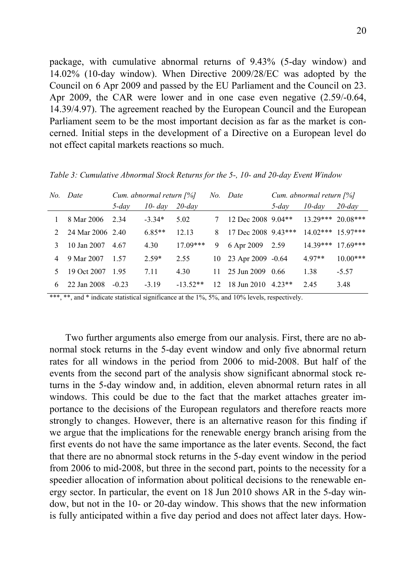package, with cumulative abnormal returns of 9.43% (5-day window) and 14.02% (10-day window). When Directive 2009/28/EC was adopted by the Council on 6 Apr 2009 and passed by the EU Parliament and the Council on 23. Apr 2009, the CAR were lower and in one case even negative (2.59/-0.64, 14.39/4.97). The agreement reached by the European Council and the European Parliament seem to be the most important decision as far as the market is concerned. Initial steps in the development of a Directive on a European level do not effect capital markets reactions so much.

| No. | Date             |          | Cum. abnormal return $[%]$ |            | No. | Date                 |          | Cum. abnormal return $[%]$ |            |
|-----|------------------|----------|----------------------------|------------|-----|----------------------|----------|----------------------------|------------|
|     |                  | $5$ -dav | $10$ - day                 | $20$ -day  |     |                      | $5$ -dav | $10$ -day                  | $20$ -day  |
|     | 8 Mar 2006       | 2.34     | $-3.34*$                   | 5.02       |     | 12 Dec 2008 9.04**   |          | $13.29***$ 20.08***        |            |
|     | 24 Mar 2006 2.40 |          | $6.85**$                   | 12.13      | 8   | 17 Dec 2008 9.43***  |          | $14.02***$ 15.97***        |            |
|     | 10 Jan 2007      | 4.67     | 4.30                       | $17.09***$ | 9   | 6 Apr 2009           | 2.59     | $14.39***$                 | $17.69***$ |
| 4   | 9 Mar 2007       | 1.57     | $2.59*$                    | 2.55       |     | 10 23 Apr 2009 -0.64 |          | $4.97**$                   | $10.00***$ |
|     | 19 Oct 2007      | 195      | 7.11                       | 4.30       | 11. | 25 Jun 2009          | 0.66     | 1.38                       | $-5.57$    |
| 6   | 22 Jan 2008      | $-0.23$  | $-3.19$                    | $-13.52**$ | 12  | 18 Jun 2010          | $4.23**$ | 2.45                       | 3.48       |

*Table 3: Cumulative Abnormal Stock Returns for the 5-, 10- and 20-day Event Window* 

\*\*\*, \*\*, and \* indicate statistical significance at the 1%, 5%, and 10% levels, respectively.

Two further arguments also emerge from our analysis. First, there are no abnormal stock returns in the 5-day event window and only five abnormal return rates for all windows in the period from 2006 to mid-2008. But half of the events from the second part of the analysis show significant abnormal stock returns in the 5-day window and, in addition, eleven abnormal return rates in all windows. This could be due to the fact that the market attaches greater importance to the decisions of the European regulators and therefore reacts more strongly to changes. However, there is an alternative reason for this finding if we argue that the implications for the renewable energy branch arising from the first events do not have the same importance as the later events. Second, the fact that there are no abnormal stock returns in the 5-day event window in the period from 2006 to mid-2008, but three in the second part, points to the necessity for a speedier allocation of information about political decisions to the renewable energy sector. In particular, the event on 18 Jun 2010 shows AR in the 5-day window, but not in the 10- or 20-day window. This shows that the new information is fully anticipated within a five day period and does not affect later days. How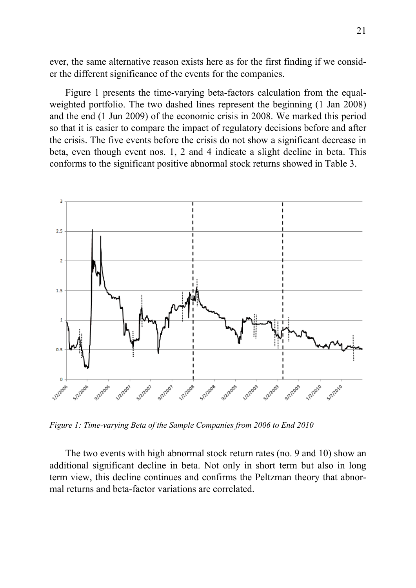ever, the same alternative reason exists here as for the first finding if we consider the different significance of the events for the companies.

Figure 1 presents the time-varying beta-factors calculation from the equalweighted portfolio. The two dashed lines represent the beginning (1 Jan 2008) and the end (1 Jun 2009) of the economic crisis in 2008. We marked this period so that it is easier to compare the impact of regulatory decisions before and after the crisis. The five events before the crisis do not show a significant decrease in beta, even though event nos. 1, 2 and 4 indicate a slight decline in beta. This conforms to the significant positive abnormal stock returns showed in Table 3.



*Figure 1: Time-varying Beta of the Sample Companies from 2006 to End 2010* 

The two events with high abnormal stock return rates (no. 9 and 10) show an additional significant decline in beta. Not only in short term but also in long term view, this decline continues and confirms the Peltzman theory that abnormal returns and beta-factor variations are correlated.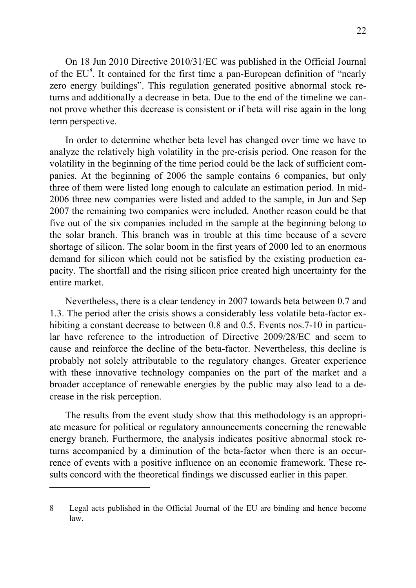On 18 Jun 2010 Directive 2010/31/EC was published in the Official Journal of the  $EU^8$ . It contained for the first time a pan-European definition of "nearly zero energy buildings". This regulation generated positive abnormal stock returns and additionally a decrease in beta. Due to the end of the timeline we cannot prove whether this decrease is consistent or if beta will rise again in the long term perspective.

In order to determine whether beta level has changed over time we have to analyze the relatively high volatility in the pre-crisis period. One reason for the volatility in the beginning of the time period could be the lack of sufficient companies. At the beginning of 2006 the sample contains 6 companies, but only three of them were listed long enough to calculate an estimation period. In mid-2006 three new companies were listed and added to the sample, in Jun and Sep 2007 the remaining two companies were included. Another reason could be that five out of the six companies included in the sample at the beginning belong to the solar branch. This branch was in trouble at this time because of a severe shortage of silicon. The solar boom in the first years of 2000 led to an enormous demand for silicon which could not be satisfied by the existing production capacity. The shortfall and the rising silicon price created high uncertainty for the entire market.

Nevertheless, there is a clear tendency in 2007 towards beta between 0.7 and 1.3. The period after the crisis shows a considerably less volatile beta-factor exhibiting a constant decrease to between 0.8 and 0.5. Events nos. 7-10 in particular have reference to the introduction of Directive 2009/28/EC and seem to cause and reinforce the decline of the beta-factor. Nevertheless, this decline is probably not solely attributable to the regulatory changes. Greater experience with these innovative technology companies on the part of the market and a broader acceptance of renewable energies by the public may also lead to a decrease in the risk perception.

The results from the event study show that this methodology is an appropriate measure for political or regulatory announcements concerning the renewable energy branch. Furthermore, the analysis indicates positive abnormal stock returns accompanied by a diminution of the beta-factor when there is an occurrence of events with a positive influence on an economic framework. These results concord with the theoretical findings we discussed earlier in this paper.

1

<sup>8</sup> Legal acts published in the Official Journal of the EU are binding and hence become law.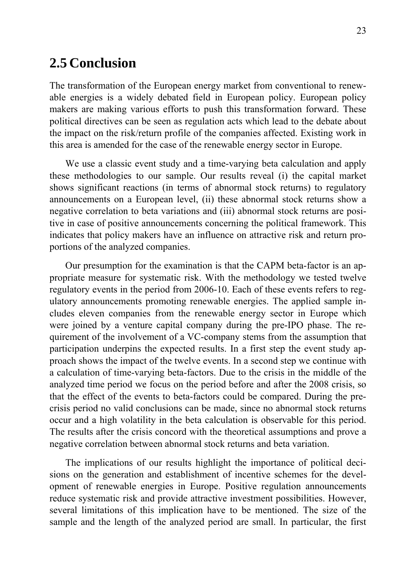### **2.5 Conclusion**

The transformation of the European energy market from conventional to renewable energies is a widely debated field in European policy. European policy makers are making various efforts to push this transformation forward. These political directives can be seen as regulation acts which lead to the debate about the impact on the risk/return profile of the companies affected. Existing work in this area is amended for the case of the renewable energy sector in Europe.

We use a classic event study and a time-varying beta calculation and apply these methodologies to our sample. Our results reveal (i) the capital market shows significant reactions (in terms of abnormal stock returns) to regulatory announcements on a European level, (ii) these abnormal stock returns show a negative correlation to beta variations and (iii) abnormal stock returns are positive in case of positive announcements concerning the political framework. This indicates that policy makers have an influence on attractive risk and return proportions of the analyzed companies.

Our presumption for the examination is that the CAPM beta-factor is an appropriate measure for systematic risk. With the methodology we tested twelve regulatory events in the period from 2006-10. Each of these events refers to regulatory announcements promoting renewable energies. The applied sample includes eleven companies from the renewable energy sector in Europe which were joined by a venture capital company during the pre-IPO phase. The requirement of the involvement of a VC-company stems from the assumption that participation underpins the expected results. In a first step the event study approach shows the impact of the twelve events. In a second step we continue with a calculation of time-varying beta-factors. Due to the crisis in the middle of the analyzed time period we focus on the period before and after the 2008 crisis, so that the effect of the events to beta-factors could be compared. During the precrisis period no valid conclusions can be made, since no abnormal stock returns occur and a high volatility in the beta calculation is observable for this period. The results after the crisis concord with the theoretical assumptions and prove a negative correlation between abnormal stock returns and beta variation.

The implications of our results highlight the importance of political decisions on the generation and establishment of incentive schemes for the development of renewable energies in Europe. Positive regulation announcements reduce systematic risk and provide attractive investment possibilities. However, several limitations of this implication have to be mentioned. The size of the sample and the length of the analyzed period are small. In particular, the first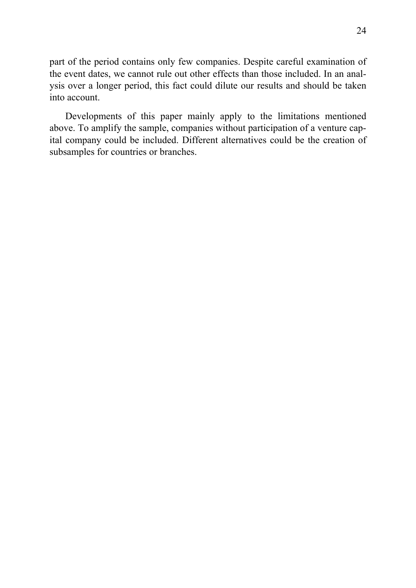part of the period contains only few companies. Despite careful examination of the event dates, we cannot rule out other effects than those included. In an analysis over a longer period, this fact could dilute our results and should be taken into account.

Developments of this paper mainly apply to the limitations mentioned above. To amplify the sample, companies without participation of a venture capital company could be included. Different alternatives could be the creation of subsamples for countries or branches.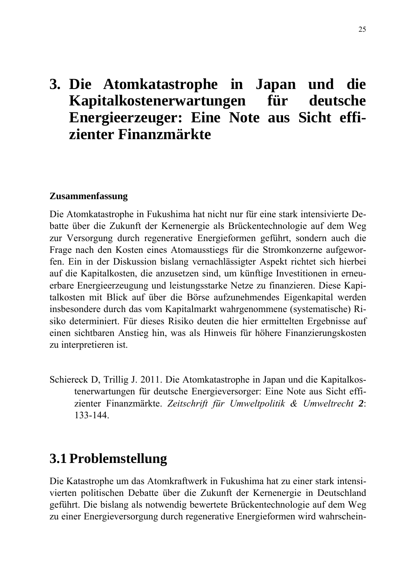# **3. Die Atomkatastrophe in Japan und die Kapitalkostenerwartungen für deutsche Energieerzeuger: Eine Note aus Sicht effizienter Finanzmärkte**

#### **Zusammenfassung**

Die Atomkatastrophe in Fukushima hat nicht nur für eine stark intensivierte Debatte über die Zukunft der Kernenergie als Brückentechnologie auf dem Weg zur Versorgung durch regenerative Energieformen geführt, sondern auch die Frage nach den Kosten eines Atomausstiegs für die Stromkonzerne aufgeworfen. Ein in der Diskussion bislang vernachlässigter Aspekt richtet sich hierbei auf die Kapitalkosten, die anzusetzen sind, um künftige Investitionen in erneuerbare Energieerzeugung und leistungsstarke Netze zu finanzieren. Diese Kapitalkosten mit Blick auf über die Börse aufzunehmendes Eigenkapital werden insbesondere durch das vom Kapitalmarkt wahrgenommene (systematische) Risiko determiniert. Für dieses Risiko deuten die hier ermittelten Ergebnisse auf einen sichtbaren Anstieg hin, was als Hinweis für höhere Finanzierungskosten zu interpretieren ist.

Schiereck D, Trillig J. 2011. Die Atomkatastrophe in Japan und die Kapitalkostenerwartungen für deutsche Energieversorger: Eine Note aus Sicht effizienter Finanzmärkte. *Zeitschrift für Umweltpolitik & Umweltrecht 2*: 133-144.

### **3.1 Problemstellung**

Die Katastrophe um das Atomkraftwerk in Fukushima hat zu einer stark intensivierten politischen Debatte über die Zukunft der Kernenergie in Deutschland geführt. Die bislang als notwendig bewertete Brückentechnologie auf dem Weg zu einer Energieversorgung durch regenerative Energieformen wird wahrschein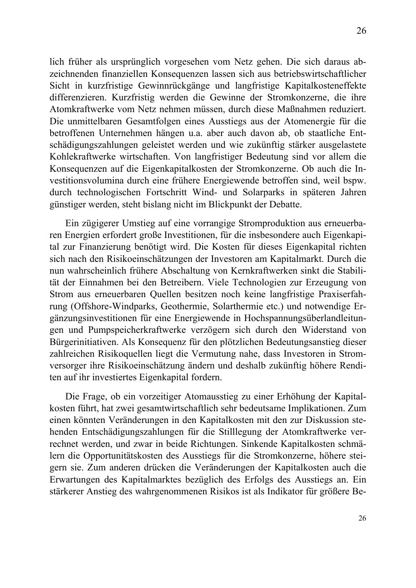lich früher als ursprünglich vorgesehen vom Netz gehen. Die sich daraus abzeichnenden finanziellen Konsequenzen lassen sich aus betriebswirtschaftlicher Sicht in kurzfristige Gewinnrückgänge und langfristige Kapitalkosteneffekte differenzieren. Kurzfristig werden die Gewinne der Stromkonzerne, die ihre Atomkraftwerke vom Netz nehmen müssen, durch diese Maßnahmen reduziert. Die unmittelbaren Gesamtfolgen eines Ausstiegs aus der Atomenergie für die betroffenen Unternehmen hängen u.a. aber auch davon ab, ob staatliche Entschädigungszahlungen geleistet werden und wie zukünftig stärker ausgelastete Kohlekraftwerke wirtschaften. Von langfristiger Bedeutung sind vor allem die Konsequenzen auf die Eigenkapitalkosten der Stromkonzerne. Ob auch die Investitionsvolumina durch eine frühere Energiewende betroffen sind, weil bspw. durch technologischen Fortschritt Wind- und Solarparks in späteren Jahren günstiger werden, steht bislang nicht im Blickpunkt der Debatte.

Ein zügigerer Umstieg auf eine vorrangige Stromproduktion aus erneuerbaren Energien erfordert große Investitionen, für die insbesondere auch Eigenkapital zur Finanzierung benötigt wird. Die Kosten für dieses Eigenkapital richten sich nach den Risikoeinschätzungen der Investoren am Kapitalmarkt. Durch die nun wahrscheinlich frühere Abschaltung von Kernkraftwerken sinkt die Stabilität der Einnahmen bei den Betreibern. Viele Technologien zur Erzeugung von Strom aus erneuerbaren Quellen besitzen noch keine langfristige Praxiserfahrung (Offshore-Windparks, Geothermie, Solarthermie etc.) und notwendige Ergänzungsinvestitionen für eine Energiewende in Hochspannungsüberlandleitungen und Pumpspeicherkraftwerke verzögern sich durch den Widerstand von Bürgerinitiativen. Als Konsequenz für den plötzlichen Bedeutungsanstieg dieser zahlreichen Risikoquellen liegt die Vermutung nahe, dass Investoren in Stromversorger ihre Risikoeinschätzung ändern und deshalb zukünftig höhere Renditen auf ihr investiertes Eigenkapital fordern.

Die Frage, ob ein vorzeitiger Atomausstieg zu einer Erhöhung der Kapitalkosten führt, hat zwei gesamtwirtschaftlich sehr bedeutsame Implikationen. Zum einen könnten Veränderungen in den Kapitalkosten mit den zur Diskussion stehenden Entschädigungszahlungen für die Stilllegung der Atomkraftwerke verrechnet werden, und zwar in beide Richtungen. Sinkende Kapitalkosten schmälern die Opportunitätskosten des Ausstiegs für die Stromkonzerne, höhere steigern sie. Zum anderen drücken die Veränderungen der Kapitalkosten auch die Erwartungen des Kapitalmarktes bezüglich des Erfolgs des Ausstiegs an. Ein stärkerer Anstieg des wahrgenommenen Risikos ist als Indikator für größere Be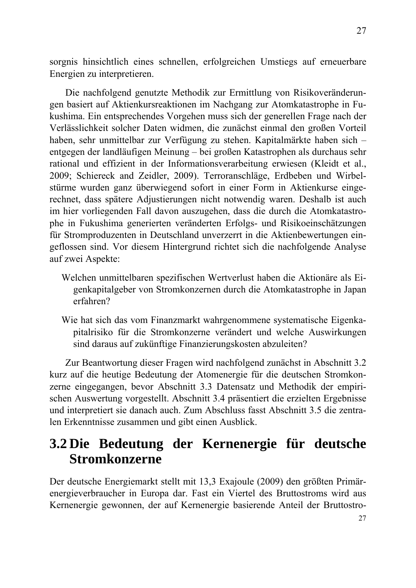sorgnis hinsichtlich eines schnellen, erfolgreichen Umstiegs auf erneuerbare Energien zu interpretieren.

Die nachfolgend genutzte Methodik zur Ermittlung von Risikoveränderungen basiert auf Aktienkursreaktionen im Nachgang zur Atomkatastrophe in Fukushima. Ein entsprechendes Vorgehen muss sich der generellen Frage nach der Verlässlichkeit solcher Daten widmen, die zunächst einmal den großen Vorteil haben, sehr unmittelbar zur Verfügung zu stehen. Kapitalmärkte haben sich – entgegen der landläufigen Meinung – bei großen Katastrophen als durchaus sehr rational und effizient in der Informationsverarbeitung erwiesen (Kleidt et al., 2009; Schiereck and Zeidler, 2009). Terroranschläge, Erdbeben und Wirbelstürme wurden ganz überwiegend sofort in einer Form in Aktienkurse eingerechnet, dass spätere Adjustierungen nicht notwendig waren. Deshalb ist auch im hier vorliegenden Fall davon auszugehen, dass die durch die Atomkatastrophe in Fukushima generierten veränderten Erfolgs- und Risikoeinschätzungen für Stromproduzenten in Deutschland unverzerrt in die Aktienbewertungen eingeflossen sind. Vor diesem Hintergrund richtet sich die nachfolgende Analyse auf zwei Aspekte:

- Welchen unmittelbaren spezifischen Wertverlust haben die Aktionäre als Eigenkapitalgeber von Stromkonzernen durch die Atomkatastrophe in Japan erfahren?
- Wie hat sich das vom Finanzmarkt wahrgenommene systematische Eigenkapitalrisiko für die Stromkonzerne verändert und welche Auswirkungen sind daraus auf zukünftige Finanzierungskosten abzuleiten?

Zur Beantwortung dieser Fragen wird nachfolgend zunächst in Abschnitt 3.2 kurz auf die heutige Bedeutung der Atomenergie für die deutschen Stromkonzerne eingegangen, bevor Abschnitt 3.3 Datensatz und Methodik der empirischen Auswertung vorgestellt. Abschnitt 3.4 präsentiert die erzielten Ergebnisse und interpretiert sie danach auch. Zum Abschluss fasst Abschnitt 3.5 die zentralen Erkenntnisse zusammen und gibt einen Ausblick.

## **3.2 Die Bedeutung der Kernenergie für deutsche Stromkonzerne**

Der deutsche Energiemarkt stellt mit 13,3 Exajoule (2009) den größten Primärenergieverbraucher in Europa dar. Fast ein Viertel des Bruttostroms wird aus Kernenergie gewonnen, der auf Kernenergie basierende Anteil der Bruttostro-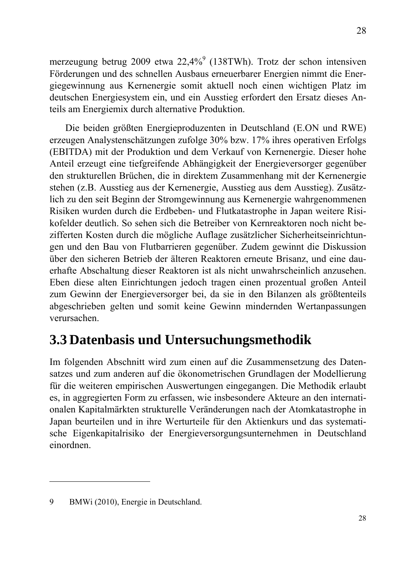merzeugung betrug 2009 etwa  $22,4\%$ <sup>9</sup> (138TWh). Trotz der schon intensiven Förderungen und des schnellen Ausbaus erneuerbarer Energien nimmt die Energiegewinnung aus Kernenergie somit aktuell noch einen wichtigen Platz im deutschen Energiesystem ein, und ein Ausstieg erfordert den Ersatz dieses Anteils am Energiemix durch alternative Produktion.

Die beiden größten Energieproduzenten in Deutschland (E.ON und RWE) erzeugen Analystenschätzungen zufolge 30% bzw. 17% ihres operativen Erfolgs (EBITDA) mit der Produktion und dem Verkauf von Kernenergie. Dieser hohe Anteil erzeugt eine tiefgreifende Abhängigkeit der Energieversorger gegenüber den strukturellen Brüchen, die in direktem Zusammenhang mit der Kernenergie stehen (z.B. Ausstieg aus der Kernenergie, Ausstieg aus dem Ausstieg). Zusätzlich zu den seit Beginn der Stromgewinnung aus Kernenergie wahrgenommenen Risiken wurden durch die Erdbeben- und Flutkatastrophe in Japan weitere Risikofelder deutlich. So sehen sich die Betreiber von Kernreaktoren noch nicht bezifferten Kosten durch die mögliche Auflage zusätzlicher Sicherheitseinrichtungen und den Bau von Flutbarrieren gegenüber. Zudem gewinnt die Diskussion über den sicheren Betrieb der älteren Reaktoren erneute Brisanz, und eine dauerhafte Abschaltung dieser Reaktoren ist als nicht unwahrscheinlich anzusehen. Eben diese alten Einrichtungen jedoch tragen einen prozentual großen Anteil zum Gewinn der Energieversorger bei, da sie in den Bilanzen als größtenteils abgeschrieben gelten und somit keine Gewinn mindernden Wertanpassungen verursachen.

## **3.3 Datenbasis und Untersuchungsmethodik**

Im folgenden Abschnitt wird zum einen auf die Zusammensetzung des Datensatzes und zum anderen auf die ökonometrischen Grundlagen der Modellierung für die weiteren empirischen Auswertungen eingegangen. Die Methodik erlaubt es, in aggregierten Form zu erfassen, wie insbesondere Akteure an den internationalen Kapitalmärkten strukturelle Veränderungen nach der Atomkatastrophe in Japan beurteilen und in ihre Werturteile für den Aktienkurs und das systematische Eigenkapitalrisiko der Energieversorgungsunternehmen in Deutschland einordnen.

1

28

<sup>9</sup> BMWi (2010), Energie in Deutschland.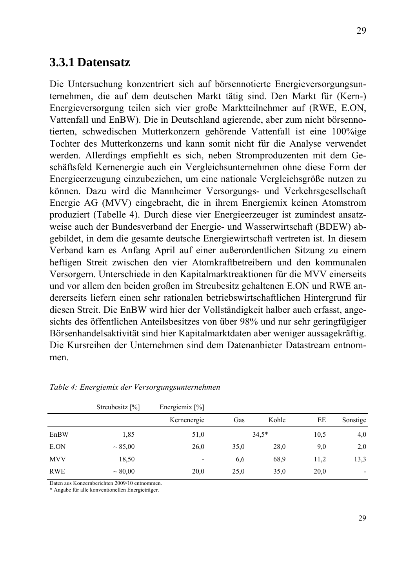### **3.3.1 Datensatz**

Die Untersuchung konzentriert sich auf börsennotierte Energieversorgungsunternehmen, die auf dem deutschen Markt tätig sind. Den Markt für (Kern-) Energieversorgung teilen sich vier große Marktteilnehmer auf (RWE, E.ON, Vattenfall und EnBW). Die in Deutschland agierende, aber zum nicht börsennotierten, schwedischen Mutterkonzern gehörende Vattenfall ist eine 100%ige Tochter des Mutterkonzerns und kann somit nicht für die Analyse verwendet werden. Allerdings empfiehlt es sich, neben Stromproduzenten mit dem Geschäftsfeld Kernenergie auch ein Vergleichsunternehmen ohne diese Form der Energieerzeugung einzubeziehen, um eine nationale Vergleichsgröße nutzen zu können. Dazu wird die Mannheimer Versorgungs- und Verkehrsgesellschaft Energie AG (MVV) eingebracht, die in ihrem Energiemix keinen Atomstrom produziert (Tabelle 4). Durch diese vier Energieerzeuger ist zumindest ansatzweise auch der Bundesverband der Energie- und Wasserwirtschaft (BDEW) abgebildet, in dem die gesamte deutsche Energiewirtschaft vertreten ist. In diesem Verband kam es Anfang April auf einer außerordentlichen Sitzung zu einem heftigen Streit zwischen den vier Atomkraftbetreibern und den kommunalen Versorgern. Unterschiede in den Kapitalmarktreaktionen für die MVV einerseits und vor allem den beiden großen im Streubesitz gehaltenen E.ON und RWE andererseits liefern einen sehr rationalen betriebswirtschaftlichen Hintergrund für diesen Streit. Die EnBW wird hier der Vollständigkeit halber auch erfasst, angesichts des öffentlichen Anteilsbesitzes von über 98% und nur sehr geringfügiger Börsenhandelsaktivität sind hier Kapitalmarktdaten aber weniger aussagekräftig. Die Kursreihen der Unternehmen sind dem Datenanbieter Datastream entnommen.

|            | Streubesitz [%] | Energiemix $[\%]$ |      |         |      |                          |
|------------|-----------------|-------------------|------|---------|------|--------------------------|
|            |                 | Kernenergie       | Gas  | Kohle   | EE   | Sonstige                 |
| EnBW       | 1,85            | 51,0              |      | $34.5*$ | 10,5 | 4,0                      |
| E.ON       | $\sim 85,00$    | 26,0              | 35,0 | 28,0    | 9,0  | 2,0                      |
| <b>MVV</b> | 18,50           |                   | 6,6  | 68,9    | 11,2 | 13,3                     |
| RWE        | $\sim 80,00$    | 20,0              | 25,0 | 35,0    | 20,0 | $\overline{\phantom{m}}$ |

#### *Table 4: Energiemix der Versorgungsunternehmen*

Daten aus Konzernberichten 2009/10 entnommen.

\* Angabe für alle konventionellen Energieträger.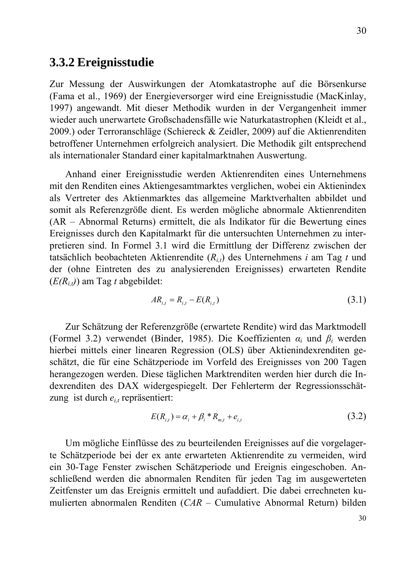## **3.3.2 Ereignisstudie**

Zur Messung der Auswirkungen der Atomkatastrophe auf die Börsenkurse (Fama et al., 1969) der Energieversorger wird eine Ereignisstudie (MacKinlay, 1997) angewandt. Mit dieser Methodik wurden in der Vergangenheit immer wieder auch unerwartete Großschadensfälle wie Naturkatastrophen (Kleidt et al., 2009.) oder Terroranschläge (Schiereck & Zeidler, 2009) auf die Aktienrenditen betroffener Unternehmen erfolgreich analysiert. Die Methodik gilt entsprechend als internationaler Standard einer kapitalmarktnahen Auswertung.

Anhand einer Ereignisstudie werden Aktienrenditen eines Unternehmens mit den Renditen eines Aktiengesamtmarktes verglichen, wobei ein Aktienindex als Vertreter des Aktienmarktes das allgemeine Marktverhalten abbildet und somit als Referenzgröße dient. Es werden mögliche abnormale Aktienrenditen (AR – Abnormal Returns) ermittelt, die als Indikator für die Bewertung eines Ereignisses durch den Kapitalmarkt für die untersuchten Unternehmen zu interpretieren sind. In Formel 3.1 wird die Ermittlung der Differenz zwischen der tatsächlich beobachteten Aktienrendite (*Ri,t*) des Unternehmens *i* am Tag *t* und der (ohne Eintreten des zu analysierenden Ereignisses) erwarteten Rendite (*E(Ri,t)*) am Tag *t* abgebildet:

$$
AR_{i,t} = R_{i,t} - E(R_{i,t})
$$
\n(3.1)

Zur Schätzung der Referenzgröße (erwartete Rendite) wird das Marktmodell (Formel 3.2) verwendet (Binder, 1985). Die Koeffizienten *αi* und *βi* werden hierbei mittels einer linearen Regression (OLS) über Aktienindexrenditen geschätzt, die für eine Schätzperiode im Vorfeld des Ereignisses von 200 Tagen herangezogen werden. Diese täglichen Marktrenditen werden hier durch die Indexrenditen des DAX widergespiegelt. Der Fehlerterm der Regressionsschätzung ist durch  $e_{i,t}$  repräsentiert:

$$
E(R_{i,t}) = \alpha_i + \beta_i * R_{m,t} + e_{i,t}
$$
\n(3.2)

Um mögliche Einflüsse des zu beurteilenden Ereignisses auf die vorgelagerte Schätzperiode bei der ex ante erwarteten Aktienrendite zu vermeiden, wird ein 30-Tage Fenster zwischen Schätzperiode und Ereignis eingeschoben. Anschließend werden die abnormalen Renditen für jeden Tag im ausgewerteten Zeitfenster um das Ereignis ermittelt und aufaddiert. Die dabei errechneten kumulierten abnormalen Renditen (*CAR* – Cumulative Abnormal Return) bilden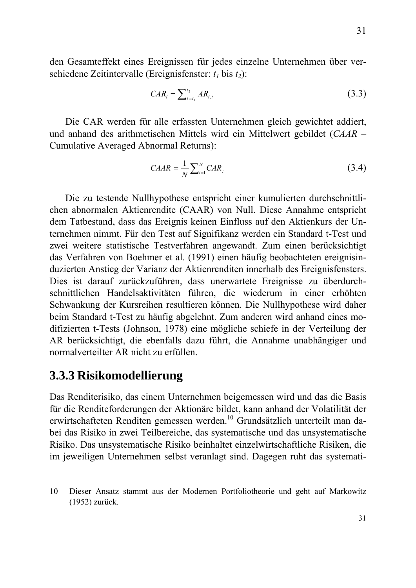den Gesamteffekt eines Ereignissen für jedes einzelne Unternehmen über verschiedene Zeitintervalle (Ereignisfenster:  $t_1$  bis  $t_2$ ):

$$
CAR_i = \sum_{t=t_1}^{t_2} AR_{i,t}
$$
 (3.3)

Die CAR werden für alle erfassten Unternehmen gleich gewichtet addiert, und anhand des arithmetischen Mittels wird ein Mittelwert gebildet (*CAAR* – Cumulative Averaged Abnormal Returns):

$$
CAAR = \frac{1}{N} \sum_{i=1}^{N} CAR_i
$$
 (3.4)

Die zu testende Nullhypothese entspricht einer kumulierten durchschnittlichen abnormalen Aktienrendite (CAAR) von Null. Diese Annahme entspricht dem Tatbestand, dass das Ereignis keinen Einfluss auf den Aktienkurs der Unternehmen nimmt. Für den Test auf Signifikanz werden ein Standard t-Test und zwei weitere statistische Testverfahren angewandt. Zum einen berücksichtigt das Verfahren von Boehmer et al. (1991) einen häufig beobachteten ereignisinduzierten Anstieg der Varianz der Aktienrenditen innerhalb des Ereignisfensters. Dies ist darauf zurückzuführen, dass unerwartete Ereignisse zu überdurchschnittlichen Handelsaktivitäten führen, die wiederum in einer erhöhten Schwankung der Kursreihen resultieren können. Die Nullhypothese wird daher beim Standard t-Test zu häufig abgelehnt. Zum anderen wird anhand eines modifizierten t-Tests (Johnson, 1978) eine mögliche schiefe in der Verteilung der AR berücksichtigt, die ebenfalls dazu führt, die Annahme unabhängiger und normalverteilter AR nicht zu erfüllen.

## **3.3.3 Risikomodellierung**

1

Das Renditerisiko, das einem Unternehmen beigemessen wird und das die Basis für die Renditeforderungen der Aktionäre bildet, kann anhand der Volatilität der erwirtschafteten Renditen gemessen werden.<sup>10</sup> Grundsätzlich unterteilt man dabei das Risiko in zwei Teilbereiche, das systematische und das unsystematische Risiko. Das unsystematische Risiko beinhaltet einzelwirtschaftliche Risiken, die im jeweiligen Unternehmen selbst veranlagt sind. Dagegen ruht das systemati-

<sup>10</sup> Dieser Ansatz stammt aus der Modernen Portfoliotheorie und geht auf Markowitz (1952) zurück.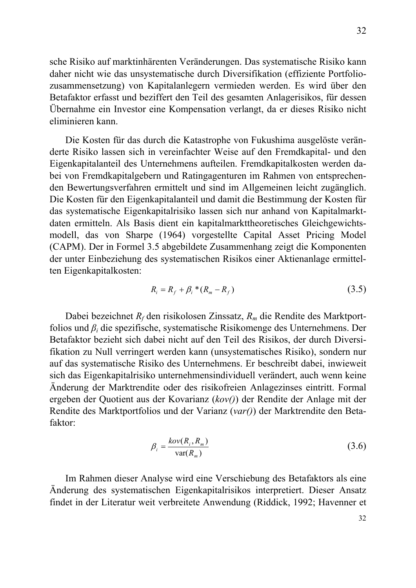sche Risiko auf marktinhärenten Veränderungen. Das systematische Risiko kann daher nicht wie das unsystematische durch Diversifikation (effiziente Portfoliozusammensetzung) von Kapitalanlegern vermieden werden. Es wird über den Betafaktor erfasst und beziffert den Teil des gesamten Anlagerisikos, für dessen Übernahme ein Investor eine Kompensation verlangt, da er dieses Risiko nicht eliminieren kann.

Die Kosten für das durch die Katastrophe von Fukushima ausgelöste veränderte Risiko lassen sich in vereinfachter Weise auf den Fremdkapital- und den Eigenkapitalanteil des Unternehmens aufteilen. Fremdkapitalkosten werden dabei von Fremdkapitalgebern und Ratingagenturen im Rahmen von entsprechenden Bewertungsverfahren ermittelt und sind im Allgemeinen leicht zugänglich. Die Kosten für den Eigenkapitalanteil und damit die Bestimmung der Kosten für das systematische Eigenkapitalrisiko lassen sich nur anhand von Kapitalmarktdaten ermitteln. Als Basis dient ein kapitalmarkttheoretisches Gleichgewichtsmodell, das von Sharpe (1964) vorgestellte Capital Asset Pricing Model (CAPM). Der in Formel 3.5 abgebildete Zusammenhang zeigt die Komponenten der unter Einbeziehung des systematischen Risikos einer Aktienanlage ermittelten Eigenkapitalkosten:

$$
R_i = R_f + \beta_i * (R_m - R_f)
$$
 (3.5)

Dabei bezeichnet *Rf* den risikolosen Zinssatz, *Rm* die Rendite des Marktportfolios und *βi* die spezifische, systematische Risikomenge des Unternehmens. Der Betafaktor bezieht sich dabei nicht auf den Teil des Risikos, der durch Diversifikation zu Null verringert werden kann (unsystematisches Risiko), sondern nur auf das systematische Risiko des Unternehmens. Er beschreibt dabei, inwieweit sich das Eigenkapitalrisiko unternehmensindividuell verändert, auch wenn keine Änderung der Marktrendite oder des risikofreien Anlagezinses eintritt. Formal ergeben der Quotient aus der Kovarianz (*kov()*) der Rendite der Anlage mit der Rendite des Marktportfolios und der Varianz (*var()*) der Marktrendite den Betafaktor:

$$
\beta_i = \frac{kov(R_i, R_m)}{var(R_m)}
$$
(3.6)

Im Rahmen dieser Analyse wird eine Verschiebung des Betafaktors als eine Änderung des systematischen Eigenkapitalrisikos interpretiert. Dieser Ansatz findet in der Literatur weit verbreitete Anwendung (Riddick, 1992; Havenner et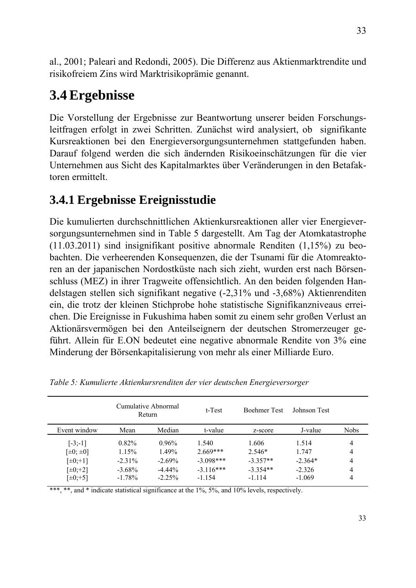al., 2001; Paleari and Redondi, 2005). Die Differenz aus Aktienmarktrendite und risikofreiem Zins wird Marktrisikoprämie genannt.

# **3.4 Ergebnisse**

Die Vorstellung der Ergebnisse zur Beantwortung unserer beiden Forschungsleitfragen erfolgt in zwei Schritten. Zunächst wird analysiert, ob signifikante Kursreaktionen bei den Energieversorgungsunternehmen stattgefunden haben. Darauf folgend werden die sich ändernden Risikoeinschätzungen für die vier Unternehmen aus Sicht des Kapitalmarktes über Veränderungen in den Betafaktoren ermittelt.

# **3.4.1 Ergebnisse Ereignisstudie**

Die kumulierten durchschnittlichen Aktienkursreaktionen aller vier Energieversorgungsunternehmen sind in Table 5 dargestellt. Am Tag der Atomkatastrophe (11.03.2011) sind insignifikant positive abnormale Renditen (1,15%) zu beobachten. Die verheerenden Konsequenzen, die der Tsunami für die Atomreaktoren an der japanischen Nordostküste nach sich zieht, wurden erst nach Börsenschluss (MEZ) in ihrer Tragweite offensichtlich. An den beiden folgenden Handelstagen stellen sich signifikant negative (-2,31% und -3,68%) Aktienrenditen ein, die trotz der kleinen Stichprobe hohe statistische Signifikanzniveaus erreichen. Die Ereignisse in Fukushima haben somit zu einem sehr großen Verlust an Aktionärsvermögen bei den Anteilseignern der deutschen Stromerzeuger geführt. Allein für E.ON bedeutet eine negative abnormale Rendite von 3% eine Minderung der Börsenkapitalisierung von mehr als einer Milliarde Euro.

|                  |           | Cumulative Abnormal<br>Return | t-Test      | <b>Boehmer</b> Test | Johnson Test |             |
|------------------|-----------|-------------------------------|-------------|---------------------|--------------|-------------|
| Event window     | Mean      | Median                        | t-value     | z-score             | J-value      | <b>Nobs</b> |
| $[-3;-1]$        | $0.82\%$  | $0.96\%$                      | 1.540       | 1.606               | 1.514        | 4           |
| $[\pm 0; \pm 0]$ | 1.15%     | 1.49%                         | $2.669***$  | $2.546*$            | 1.747        | 4           |
| $[\pm 0; +1]$    | $-2.31\%$ | $-2.69\%$                     | $-3.098***$ | $-3.357**$          | $-2.364*$    | 4           |
| $[\pm 0; +2]$    | $-3.68\%$ | $-4.44\%$                     | $-3.116***$ | $-3.354**$          | $-2.326$     | 4           |
| $[\pm 0; +5]$    | $-1.78\%$ | $-2.25%$                      | $-1.154$    | $-1114$             | $-1.069$     |             |

*Table 5: Kumulierte Aktienkursrenditen der vier deutschen Energieversorger* 

\*\*\*, \*\*, and \* indicate statistical significance at the 1%, 5%, and 10% levels, respectively.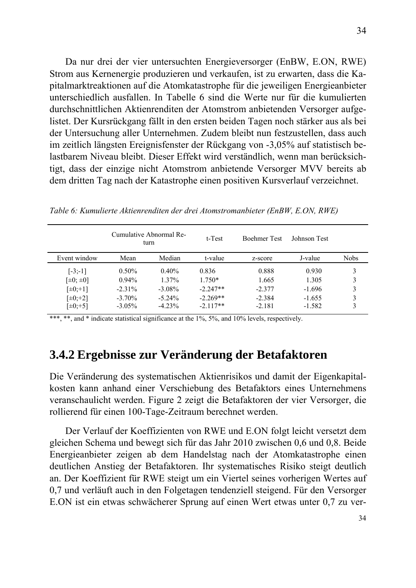Da nur drei der vier untersuchten Energieversorger (EnBW, E.ON, RWE) Strom aus Kernenergie produzieren und verkaufen, ist zu erwarten, dass die Kapitalmarktreaktionen auf die Atomkatastrophe für die jeweiligen Energieanbieter unterschiedlich ausfallen. In Tabelle 6 sind die Werte nur für die kumulierten durchschnittlichen Aktienrenditen der Atomstrom anbietenden Versorger aufgelistet. Der Kursrückgang fällt in den ersten beiden Tagen noch stärker aus als bei der Untersuchung aller Unternehmen. Zudem bleibt nun festzustellen, dass auch im zeitlich längsten Ereignisfenster der Rückgang von -3,05% auf statistisch belastbarem Niveau bleibt. Dieser Effekt wird verständlich, wenn man berücksichtigt, dass der einzige nicht Atomstrom anbietende Versorger MVV bereits ab dem dritten Tag nach der Katastrophe einen positiven Kursverlauf verzeichnet.

|                  |           | Cumulative Abnormal Re-<br>turn | t-Test     | <b>Boehmer</b> Test | Johnson Test |             |
|------------------|-----------|---------------------------------|------------|---------------------|--------------|-------------|
| Event window     | Mean      | Median                          | t-value    | z-score             | J-value      | <b>Nobs</b> |
| $[-3;-1]$        | $0.50\%$  | $0.40\%$                        | 0.836      | 0.888               | 0.930        | 3           |
| $[\pm 0; \pm 0]$ | $0.94\%$  | $1.37\%$                        | $1.750*$   | 1.665               | 1.305        | 3           |
| $[\pm 0; +1]$    | $-2.31\%$ | $-3.08\%$                       | $-2.247**$ | $-2.377$            | $-1.696$     | 3           |
| $[\pm 0; +2]$    | $-3.70\%$ | $-5.24\%$                       | $-2.269**$ | $-2.384$            | $-1.655$     | 3           |
| $[\pm 0; +5]$    | $-3.05\%$ | $-4.23\%$                       | $-2.117**$ | $-2.181$            | $-1.582$     | 3           |

*Table 6: Kumulierte Aktienrenditen der drei Atomstromanbieter (EnBW, E.ON, RWE)* 

\*\*\*, \*\*, and \* indicate statistical significance at the 1%, 5%, and 10% levels, respectively.

## **3.4.2 Ergebnisse zur Veränderung der Betafaktoren**

Die Veränderung des systematischen Aktienrisikos und damit der Eigenkapitalkosten kann anhand einer Verschiebung des Betafaktors eines Unternehmens veranschaulicht werden. Figure 2 zeigt die Betafaktoren der vier Versorger, die rollierend für einen 100-Tage-Zeitraum berechnet werden.

Der Verlauf der Koeffizienten von RWE und E.ON folgt leicht versetzt dem gleichen Schema und bewegt sich für das Jahr 2010 zwischen 0,6 und 0,8. Beide Energieanbieter zeigen ab dem Handelstag nach der Atomkatastrophe einen deutlichen Anstieg der Betafaktoren. Ihr systematisches Risiko steigt deutlich an. Der Koeffizient für RWE steigt um ein Viertel seines vorherigen Wertes auf 0,7 und verläuft auch in den Folgetagen tendenziell steigend. Für den Versorger E.ON ist ein etwas schwächerer Sprung auf einen Wert etwas unter 0,7 zu ver-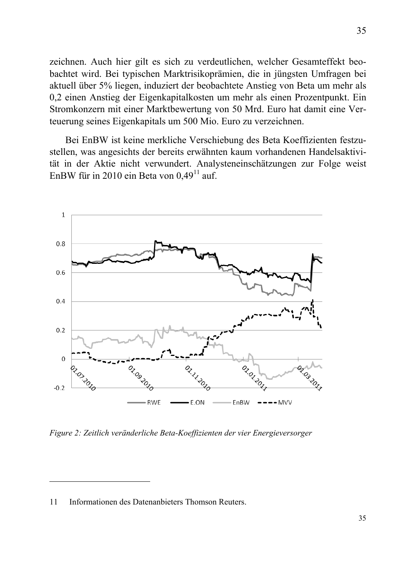zeichnen. Auch hier gilt es sich zu verdeutlichen, welcher Gesamteffekt beobachtet wird. Bei typischen Marktrisikoprämien, die in jüngsten Umfragen bei aktuell über 5% liegen, induziert der beobachtete Anstieg von Beta um mehr als 0,2 einen Anstieg der Eigenkapitalkosten um mehr als einen Prozentpunkt. Ein Stromkonzern mit einer Marktbewertung von 50 Mrd. Euro hat damit eine Verteuerung seines Eigenkapitals um 500 Mio. Euro zu verzeichnen.

Bei EnBW ist keine merkliche Verschiebung des Beta Koeffizienten festzustellen, was angesichts der bereits erwähnten kaum vorhandenen Handelsaktivität in der Aktie nicht verwundert. Analysteneinschätzungen zur Folge weist EnBW für in 2010 ein Beta von  $0.49<sup>11</sup>$  auf.



*Figure 2: Zeitlich veränderliche Beta-Koeffizienten der vier Energieversorger* 

1

<sup>11</sup> Informationen des Datenanbieters Thomson Reuters.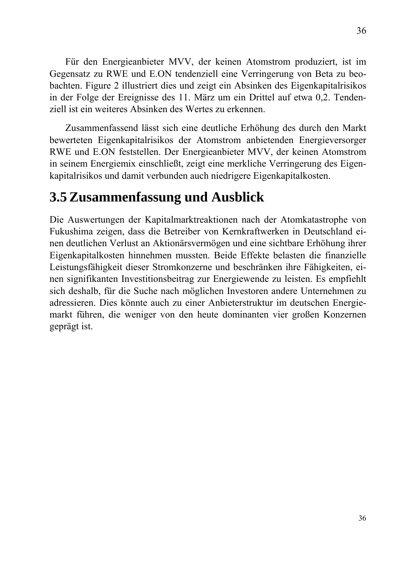Für den Energieanbieter MVV, der keinen Atomstrom produziert, ist im Gegensatz zu RWE und E.ON tendenziell eine Verringerung von Beta zu beobachten. Figure 2 illustriert dies und zeigt ein Absinken des Eigenkapitalrisikos in der Folge der Ereignisse des 11. März um ein Drittel auf etwa 0,2. Tendenziell ist ein weiteres Absinken des Wertes zu erkennen.

Zusammenfassend lässt sich eine deutliche Erhöhung des durch den Markt bewerteten Eigenkapitalrisikos der Atomstrom anbietenden Energieversorger RWE und E.ON feststellen. Der Energieanbieter MVV, der keinen Atomstrom in seinem Energiemix einschließt, zeigt eine merkliche Verringerung des Eigenkapitalrisikos und damit verbunden auch niedrigere Eigenkapitalkosten.

# **3.5 Zusammenfassung und Ausblick**

Die Auswertungen der Kapitalmarktreaktionen nach der Atomkatastrophe von Fukushima zeigen, dass die Betreiber von Kernkraftwerken in Deutschland einen deutlichen Verlust an Aktionärsvermögen und eine sichtbare Erhöhung ihrer Eigenkapitalkosten hinnehmen mussten. Beide Effekte belasten die finanzielle Leistungsfähigkeit dieser Stromkonzerne und beschränken ihre Fähigkeiten, einen signifikanten Investitionsbeitrag zur Energiewende zu leisten. Es empfiehlt sich deshalb, für die Suche nach möglichen Investoren andere Unternehmen zu adressieren. Dies könnte auch zu einer Anbieterstruktur im deutschen Energiemarkt führen, die weniger von den heute dominanten vier großen Konzernen geprägt ist.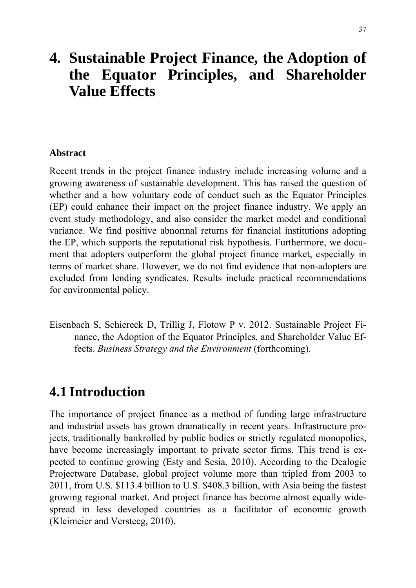# **4. Sustainable Project Finance, the Adoption of the Equator Principles, and Shareholder Value Effects**

### **Abstract**

Recent trends in the project finance industry include increasing volume and a growing awareness of sustainable development. This has raised the question of whether and a how voluntary code of conduct such as the Equator Principles (EP) could enhance their impact on the project finance industry. We apply an event study methodology, and also consider the market model and conditional variance. We find positive abnormal returns for financial institutions adopting the EP, which supports the reputational risk hypothesis. Furthermore, we document that adopters outperform the global project finance market, especially in terms of market share. However, we do not find evidence that non-adopters are excluded from lending syndicates. Results include practical recommendations for environmental policy.

Eisenbach S, Schiereck D, Trillig J, Flotow P v. 2012. Sustainable Project Finance, the Adoption of the Equator Principles, and Shareholder Value Effects. *Business Strategy and the Environment* (forthcoming).

# **4.1 Introduction**

The importance of project finance as a method of funding large infrastructure and industrial assets has grown dramatically in recent years. Infrastructure projects, traditionally bankrolled by public bodies or strictly regulated monopolies, have become increasingly important to private sector firms. This trend is expected to continue growing (Esty and Sesia, 2010). According to the Dealogic Projectware Database, global project volume more than tripled from 2003 to 2011, from U.S. \$113.4 billion to U.S. \$408.3 billion, with Asia being the fastest growing regional market. And project finance has become almost equally widespread in less developed countries as a facilitator of economic growth (Kleimeier and Versteeg, 2010).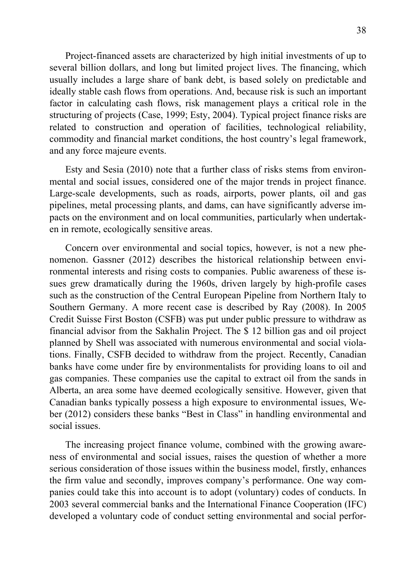Project-financed assets are characterized by high initial investments of up to several billion dollars, and long but limited project lives. The financing, which usually includes a large share of bank debt, is based solely on predictable and ideally stable cash flows from operations. And, because risk is such an important factor in calculating cash flows, risk management plays a critical role in the structuring of projects (Case, 1999; Esty, 2004). Typical project finance risks are related to construction and operation of facilities, technological reliability, commodity and financial market conditions, the host country's legal framework, and any force majeure events.

Esty and Sesia (2010) note that a further class of risks stems from environmental and social issues, considered one of the major trends in project finance. Large-scale developments, such as roads, airports, power plants, oil and gas pipelines, metal processing plants, and dams, can have significantly adverse impacts on the environment and on local communities, particularly when undertaken in remote, ecologically sensitive areas.

Concern over environmental and social topics, however, is not a new phenomenon. Gassner (2012) describes the historical relationship between environmental interests and rising costs to companies. Public awareness of these issues grew dramatically during the 1960s, driven largely by high-profile cases such as the construction of the Central European Pipeline from Northern Italy to Southern Germany. A more recent case is described by Ray (2008). In 2005 Credit Suisse First Boston (CSFB) was put under public pressure to withdraw as financial advisor from the Sakhalin Project. The \$ 12 billion gas and oil project planned by Shell was associated with numerous environmental and social violations. Finally, CSFB decided to withdraw from the project. Recently, Canadian banks have come under fire by environmentalists for providing loans to oil and gas companies. These companies use the capital to extract oil from the sands in Alberta, an area some have deemed ecologically sensitive. However, given that Canadian banks typically possess a high exposure to environmental issues, Weber (2012) considers these banks "Best in Class" in handling environmental and social issues.

The increasing project finance volume, combined with the growing awareness of environmental and social issues, raises the question of whether a more serious consideration of those issues within the business model, firstly, enhances the firm value and secondly, improves company's performance. One way companies could take this into account is to adopt (voluntary) codes of conducts. In 2003 several commercial banks and the International Finance Cooperation (IFC) developed a voluntary code of conduct setting environmental and social perfor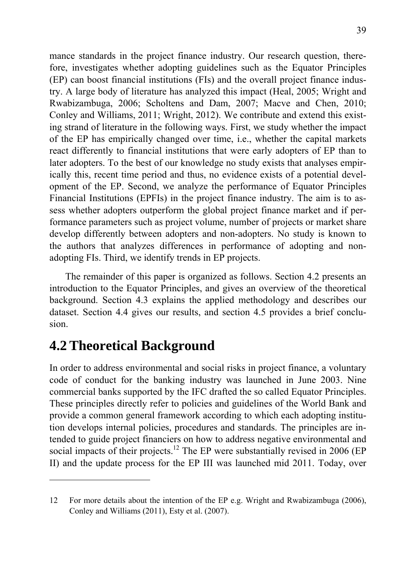mance standards in the project finance industry. Our research question, therefore, investigates whether adopting guidelines such as the Equator Principles (EP) can boost financial institutions (FIs) and the overall project finance industry. A large body of literature has analyzed this impact (Heal, 2005; Wright and Rwabizambuga, 2006; Scholtens and Dam, 2007; Macve and Chen, 2010; Conley and Williams, 2011; Wright, 2012). We contribute and extend this existing strand of literature in the following ways. First, we study whether the impact of the EP has empirically changed over time, i.e., whether the capital markets react differently to financial institutions that were early adopters of EP than to later adopters. To the best of our knowledge no study exists that analyses empirically this, recent time period and thus, no evidence exists of a potential development of the EP. Second, we analyze the performance of Equator Principles Financial Institutions (EPFIs) in the project finance industry. The aim is to assess whether adopters outperform the global project finance market and if performance parameters such as project volume, number of projects or market share develop differently between adopters and non-adopters. No study is known to the authors that analyzes differences in performance of adopting and nonadopting FIs. Third, we identify trends in EP projects.

The remainder of this paper is organized as follows. Section 4.2 presents an introduction to the Equator Principles, and gives an overview of the theoretical background. Section 4.3 explains the applied methodology and describes our dataset. Section 4.4 gives our results, and section 4.5 provides a brief conclusion.

# **4.2 Theoretical Background**

1

In order to address environmental and social risks in project finance, a voluntary code of conduct for the banking industry was launched in June 2003. Nine commercial banks supported by the IFC drafted the so called Equator Principles. These principles directly refer to policies and guidelines of the World Bank and provide a common general framework according to which each adopting institution develops internal policies, procedures and standards. The principles are intended to guide project financiers on how to address negative environmental and social impacts of their projects.<sup>12</sup> The EP were substantially revised in 2006 (EP II) and the update process for the EP III was launched mid 2011. Today, over

<sup>12</sup> For more details about the intention of the EP e.g. Wright and Rwabizambuga (2006), Conley and Williams (2011), Esty et al. (2007).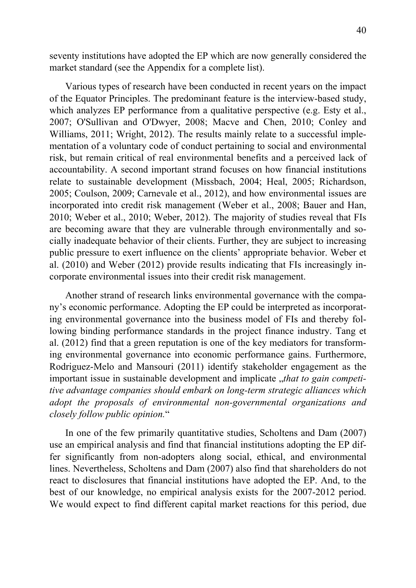seventy institutions have adopted the EP which are now generally considered the market standard (see the Appendix for a complete list).

Various types of research have been conducted in recent years on the impact of the Equator Principles. The predominant feature is the interview-based study, which analyzes EP performance from a qualitative perspective (e.g. Esty et al., 2007; O'Sullivan and O'Dwyer, 2008; Macve and Chen, 2010; Conley and Williams, 2011; Wright, 2012). The results mainly relate to a successful implementation of a voluntary code of conduct pertaining to social and environmental risk, but remain critical of real environmental benefits and a perceived lack of accountability. A second important strand focuses on how financial institutions relate to sustainable development (Missbach, 2004; Heal, 2005; Richardson, 2005; Coulson, 2009; Carnevale et al., 2012), and how environmental issues are incorporated into credit risk management (Weber et al., 2008; Bauer and Han, 2010; Weber et al., 2010; Weber, 2012). The majority of studies reveal that FIs are becoming aware that they are vulnerable through environmentally and socially inadequate behavior of their clients. Further, they are subject to increasing public pressure to exert influence on the clients' appropriate behavior. Weber et al. (2010) and Weber (2012) provide results indicating that FIs increasingly incorporate environmental issues into their credit risk management.

Another strand of research links environmental governance with the company's economic performance. Adopting the EP could be interpreted as incorporating environmental governance into the business model of FIs and thereby following binding performance standards in the project finance industry. Tang et al. (2012) find that a green reputation is one of the key mediators for transforming environmental governance into economic performance gains. Furthermore, Rodriguez-Melo and Mansouri (2011) identify stakeholder engagement as the important issue in sustainable development and implicate "*that to gain competitive advantage companies should embark on long-term strategic alliances which adopt the proposals of environmental non-governmental organizations and closely follow public opinion.*"

In one of the few primarily quantitative studies, Scholtens and Dam (2007) use an empirical analysis and find that financial institutions adopting the EP differ significantly from non-adopters along social, ethical, and environmental lines. Nevertheless, Scholtens and Dam (2007) also find that shareholders do not react to disclosures that financial institutions have adopted the EP. And, to the best of our knowledge, no empirical analysis exists for the 2007-2012 period. We would expect to find different capital market reactions for this period, due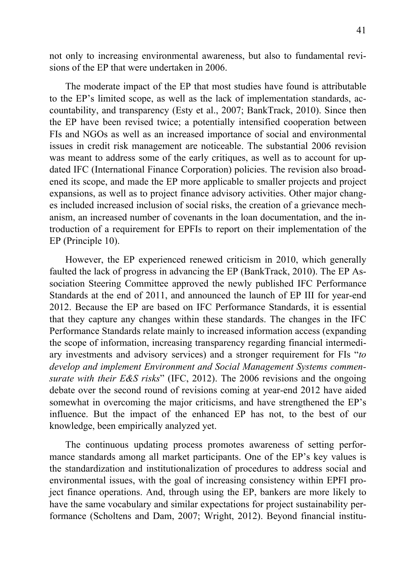not only to increasing environmental awareness, but also to fundamental revisions of the EP that were undertaken in 2006.

The moderate impact of the EP that most studies have found is attributable to the EP's limited scope, as well as the lack of implementation standards, accountability, and transparency (Esty et al., 2007; BankTrack, 2010). Since then the EP have been revised twice; a potentially intensified cooperation between FIs and NGOs as well as an increased importance of social and environmental issues in credit risk management are noticeable. The substantial 2006 revision was meant to address some of the early critiques, as well as to account for updated IFC (International Finance Corporation) policies. The revision also broadened its scope, and made the EP more applicable to smaller projects and project expansions, as well as to project finance advisory activities. Other major changes included increased inclusion of social risks, the creation of a grievance mechanism, an increased number of covenants in the loan documentation, and the introduction of a requirement for EPFIs to report on their implementation of the EP (Principle 10).

However, the EP experienced renewed criticism in 2010, which generally faulted the lack of progress in advancing the EP (BankTrack, 2010). The EP Association Steering Committee approved the newly published IFC Performance Standards at the end of 2011, and announced the launch of EP III for year-end 2012. Because the EP are based on IFC Performance Standards, it is essential that they capture any changes within these standards. The changes in the IFC Performance Standards relate mainly to increased information access (expanding the scope of information, increasing transparency regarding financial intermediary investments and advisory services) and a stronger requirement for FIs "*to develop and implement Environment and Social Management Systems commensurate with their E&S risks*" (IFC, 2012). The 2006 revisions and the ongoing debate over the second round of revisions coming at year-end 2012 have aided somewhat in overcoming the major criticisms, and have strengthened the EP's influence. But the impact of the enhanced EP has not, to the best of our knowledge, been empirically analyzed yet.

The continuous updating process promotes awareness of setting performance standards among all market participants. One of the EP's key values is the standardization and institutionalization of procedures to address social and environmental issues, with the goal of increasing consistency within EPFI project finance operations. And, through using the EP, bankers are more likely to have the same vocabulary and similar expectations for project sustainability performance (Scholtens and Dam, 2007; Wright, 2012). Beyond financial institu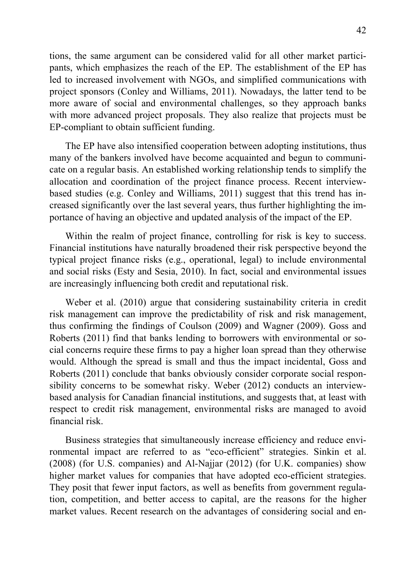tions, the same argument can be considered valid for all other market participants, which emphasizes the reach of the EP. The establishment of the EP has led to increased involvement with NGOs, and simplified communications with project sponsors (Conley and Williams, 2011). Nowadays, the latter tend to be more aware of social and environmental challenges, so they approach banks with more advanced project proposals. They also realize that projects must be EP-compliant to obtain sufficient funding.

The EP have also intensified cooperation between adopting institutions, thus many of the bankers involved have become acquainted and begun to communicate on a regular basis. An established working relationship tends to simplify the allocation and coordination of the project finance process. Recent interviewbased studies (e.g. Conley and Williams, 2011) suggest that this trend has increased significantly over the last several years, thus further highlighting the importance of having an objective and updated analysis of the impact of the EP.

Within the realm of project finance, controlling for risk is key to success. Financial institutions have naturally broadened their risk perspective beyond the typical project finance risks (e.g., operational, legal) to include environmental and social risks (Esty and Sesia, 2010). In fact, social and environmental issues are increasingly influencing both credit and reputational risk.

Weber et al. (2010) argue that considering sustainability criteria in credit risk management can improve the predictability of risk and risk management, thus confirming the findings of Coulson (2009) and Wagner (2009). Goss and Roberts (2011) find that banks lending to borrowers with environmental or social concerns require these firms to pay a higher loan spread than they otherwise would. Although the spread is small and thus the impact incidental, Goss and Roberts (2011) conclude that banks obviously consider corporate social responsibility concerns to be somewhat risky. Weber (2012) conducts an interviewbased analysis for Canadian financial institutions, and suggests that, at least with respect to credit risk management, environmental risks are managed to avoid financial risk.

Business strategies that simultaneously increase efficiency and reduce environmental impact are referred to as "eco-efficient" strategies. Sinkin et al. (2008) (for U.S. companies) and Al-Najjar (2012) (for U.K. companies) show higher market values for companies that have adopted eco-efficient strategies. They posit that fewer input factors, as well as benefits from government regulation, competition, and better access to capital, are the reasons for the higher market values. Recent research on the advantages of considering social and en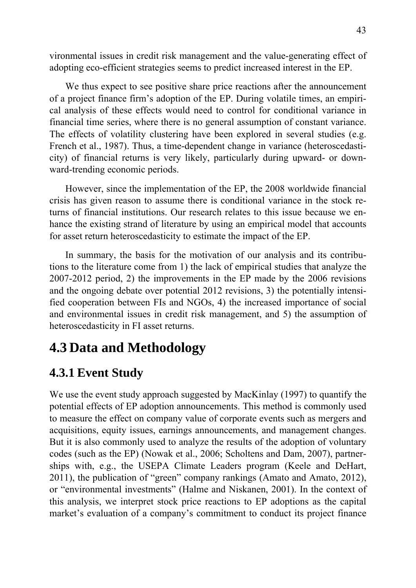vironmental issues in credit risk management and the value-generating effect of adopting eco-efficient strategies seems to predict increased interest in the EP.

We thus expect to see positive share price reactions after the announcement of a project finance firm's adoption of the EP. During volatile times, an empirical analysis of these effects would need to control for conditional variance in financial time series, where there is no general assumption of constant variance. The effects of volatility clustering have been explored in several studies (e.g. French et al., 1987). Thus, a time-dependent change in variance (heteroscedasticity) of financial returns is very likely, particularly during upward- or downward-trending economic periods.

However, since the implementation of the EP, the 2008 worldwide financial crisis has given reason to assume there is conditional variance in the stock returns of financial institutions. Our research relates to this issue because we enhance the existing strand of literature by using an empirical model that accounts for asset return heteroscedasticity to estimate the impact of the EP.

In summary, the basis for the motivation of our analysis and its contributions to the literature come from 1) the lack of empirical studies that analyze the 2007-2012 period, 2) the improvements in the EP made by the 2006 revisions and the ongoing debate over potential 2012 revisions, 3) the potentially intensified cooperation between FIs and NGOs, 4) the increased importance of social and environmental issues in credit risk management, and 5) the assumption of heteroscedasticity in FI asset returns.

# **4.3 Data and Methodology**

# **4.3.1 Event Study**

We use the event study approach suggested by MacKinlay (1997) to quantify the potential effects of EP adoption announcements. This method is commonly used to measure the effect on company value of corporate events such as mergers and acquisitions, equity issues, earnings announcements, and management changes. But it is also commonly used to analyze the results of the adoption of voluntary codes (such as the EP) (Nowak et al., 2006; Scholtens and Dam, 2007), partnerships with, e.g., the USEPA Climate Leaders program (Keele and DeHart, 2011), the publication of "green" company rankings (Amato and Amato, 2012), or "environmental investments" (Halme and Niskanen, 2001). In the context of this analysis, we interpret stock price reactions to EP adoptions as the capital market's evaluation of a company's commitment to conduct its project finance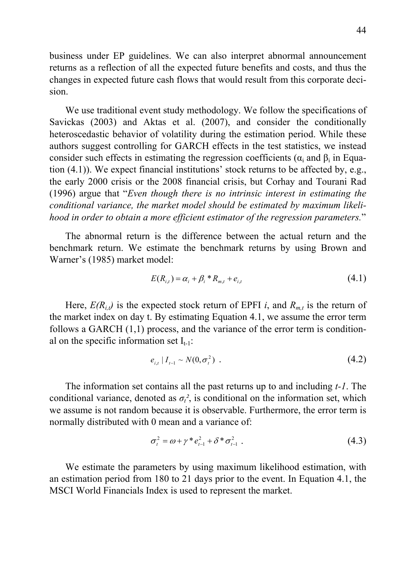business under EP guidelines. We can also interpret abnormal announcement returns as a reflection of all the expected future benefits and costs, and thus the changes in expected future cash flows that would result from this corporate decision.

We use traditional event study methodology. We follow the specifications of Savickas (2003) and Aktas et al. (2007), and consider the conditionally heteroscedastic behavior of volatility during the estimation period. While these authors suggest controlling for GARCH effects in the test statistics, we instead consider such effects in estimating the regression coefficients ( $\alpha_i$  and  $\beta_i$  in Equation (4.1)). We expect financial institutions' stock returns to be affected by, e.g., the early 2000 crisis or the 2008 financial crisis, but Corhay and Tourani Rad (1996) argue that "*Even though there is no intrinsic interest in estimating the conditional variance, the market model should be estimated by maximum likelihood in order to obtain a more efficient estimator of the regression parameters.*"

The abnormal return is the difference between the actual return and the benchmark return. We estimate the benchmark returns by using Brown and Warner's (1985) market model:

$$
E(R_{i,t}) = \alpha_i + \beta_i * R_{m,t} + e_{i,t}
$$
\n(4.1)

Here,  $E(R_{i,t})$  is the expected stock return of EPFI *i*, and  $R_{m,t}$  is the return of the market index on day t. By estimating Equation 4.1, we assume the error term follows a GARCH (1,1) process, and the variance of the error term is conditional on the specific information set  $I_{t-1}$ :

$$
e_{i,t} | I_{t-1} \sim N(0, \sigma_t^2) \tag{4.2}
$$

The information set contains all the past returns up to and including *t-1*. The conditional variance, denoted as  $\sigma_t^2$ , is conditional on the information set, which we assume is not random because it is observable. Furthermore, the error term is normally distributed with 0 mean and a variance of:

$$
\sigma_t^2 = \omega + \gamma * e_{t-1}^2 + \delta * \sigma_{t-1}^2 \tag{4.3}
$$

We estimate the parameters by using maximum likelihood estimation, with an estimation period from 180 to 21 days prior to the event. In Equation 4.1, the MSCI World Financials Index is used to represent the market.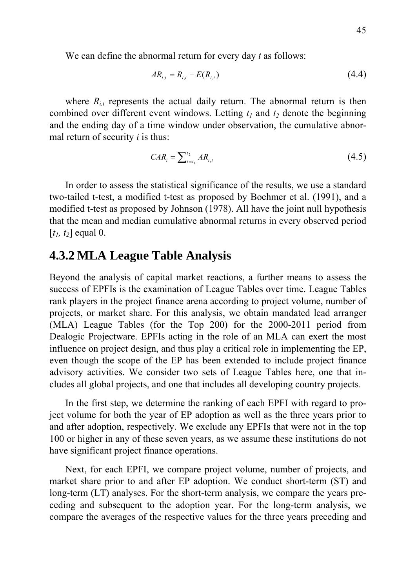We can define the abnormal return for every day *t* as follows:

$$
AR_{i,t} = R_{i,t} - E(R_{i,t})
$$
\n(4.4)

where  $R_{i,t}$  represents the actual daily return. The abnormal return is then combined over different event windows. Letting  $t_1$  and  $t_2$  denote the beginning and the ending day of a time window under observation, the cumulative abnormal return of security *i* is thus:

$$
CAR_i = \sum_{t=t_1}^{t_2} AR_{i,t} \tag{4.5}
$$

In order to assess the statistical significance of the results, we use a standard two-tailed t-test, a modified t-test as proposed by Boehmer et al. (1991), and a modified t-test as proposed by Johnson (1978). All have the joint null hypothesis that the mean and median cumulative abnormal returns in every observed period  $[t_1, t_2]$  equal 0.

## **4.3.2 MLA League Table Analysis**

Beyond the analysis of capital market reactions, a further means to assess the success of EPFIs is the examination of League Tables over time. League Tables rank players in the project finance arena according to project volume, number of projects, or market share. For this analysis, we obtain mandated lead arranger (MLA) League Tables (for the Top 200) for the 2000-2011 period from Dealogic Projectware. EPFIs acting in the role of an MLA can exert the most influence on project design, and thus play a critical role in implementing the EP, even though the scope of the EP has been extended to include project finance advisory activities. We consider two sets of League Tables here, one that includes all global projects, and one that includes all developing country projects.

In the first step, we determine the ranking of each EPFI with regard to project volume for both the year of EP adoption as well as the three years prior to and after adoption, respectively. We exclude any EPFIs that were not in the top 100 or higher in any of these seven years, as we assume these institutions do not have significant project finance operations.

Next, for each EPFI, we compare project volume, number of projects, and market share prior to and after EP adoption. We conduct short-term (ST) and long-term (LT) analyses. For the short-term analysis, we compare the years preceding and subsequent to the adoption year. For the long-term analysis, we compare the averages of the respective values for the three years preceding and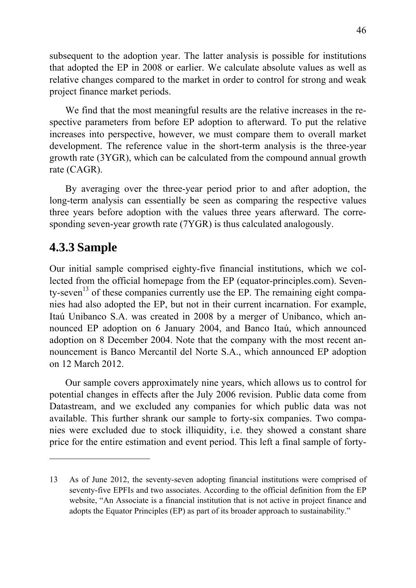subsequent to the adoption year. The latter analysis is possible for institutions that adopted the EP in 2008 or earlier. We calculate absolute values as well as relative changes compared to the market in order to control for strong and weak project finance market periods.

We find that the most meaningful results are the relative increases in the respective parameters from before EP adoption to afterward. To put the relative increases into perspective, however, we must compare them to overall market development. The reference value in the short-term analysis is the three-year growth rate (3YGR), which can be calculated from the compound annual growth rate (CAGR).

By averaging over the three-year period prior to and after adoption, the long-term analysis can essentially be seen as comparing the respective values three years before adoption with the values three years afterward. The corresponding seven-year growth rate (7YGR) is thus calculated analogously.

## **4.3.3 Sample**

1

Our initial sample comprised eighty-five financial institutions, which we collected from the official homepage from the EP (equator-principles.com). Seventy-seven<sup>13</sup> of these companies currently use the EP. The remaining eight companies had also adopted the EP, but not in their current incarnation. For example, Itaú Unibanco S.A. was created in 2008 by a merger of Unibanco, which announced EP adoption on 6 January 2004, and Banco Itaú, which announced adoption on 8 December 2004. Note that the company with the most recent announcement is Banco Mercantil del Norte S.A., which announced EP adoption on 12 March 2012.

Our sample covers approximately nine years, which allows us to control for potential changes in effects after the July 2006 revision. Public data come from Datastream, and we excluded any companies for which public data was not available. This further shrank our sample to forty-six companies. Two companies were excluded due to stock illiquidity, i.e. they showed a constant share price for the entire estimation and event period. This left a final sample of forty-

<sup>13</sup> As of June 2012, the seventy-seven adopting financial institutions were comprised of seventy-five EPFIs and two associates. According to the official definition from the EP website, "An Associate is a financial institution that is not active in project finance and adopts the Equator Principles (EP) as part of its broader approach to sustainability."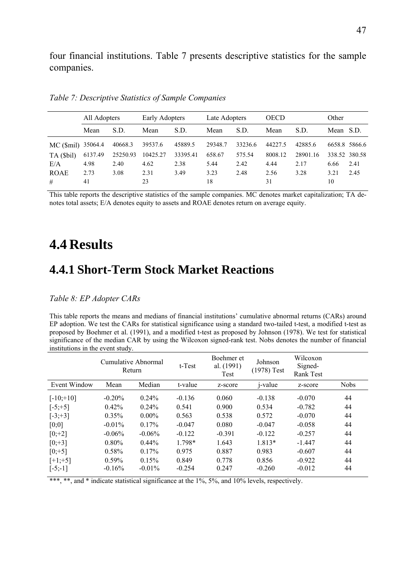four financial institutions. Table 7 presents descriptive statistics for the sample companies.

|             | All Adopters |          | Early Adopters |          | Late Adopters |         | <b>OECD</b> |          | Other         |               |
|-------------|--------------|----------|----------------|----------|---------------|---------|-------------|----------|---------------|---------------|
|             | Mean         | S.D.     | Mean           | S.D.     | Mean          | S.D.    | Mean        | S.D.     | Mean S.D.     |               |
| MC (\$mil)  | 35064.4      | 40668.3  | 39537.6        | 45889.5  | 29348.7       | 33236.6 | 44227.5     | 42885.6  |               | 6658.8 5866.6 |
| TA (\$bil)  | 6137.49      | 25250.93 | 10425.27       | 33395.41 | 658.67        | 575.54  | 8008.12     | 28901.16 | 338.52 380.58 |               |
| E/A         | 4.98         | 2.40     | 4.62           | 2.38     | 5.44          | 2.42    | 4.44        | 2.17     | 6.66          | 2.41          |
| <b>ROAE</b> | 2.73         | 3.08     | 2.31           | 3.49     | 3.23          | 2.48    | 2.56        | 3.28     | 3 2 1         | 2.45          |
| #           | 41           |          | 23             |          | 18            |         | 31          |          | 10            |               |

*Table 7: Descriptive Statistics of Sample Companies* 

This table reports the descriptive statistics of the sample companies. MC denotes market capitalization; TA denotes total assets; E/A denotes equity to assets and ROAE denotes return on average equity.

# **4.4 Results**

## **4.4.1 Short-Term Stock Market Reactions**

### *Table 8: EP Adopter CARs*

This table reports the means and medians of financial institutions' cumulative abnormal returns (CARs) around EP adoption. We test the CARs for statistical significance using a standard two-tailed t-test, a modified t-test as proposed by Boehmer et al. (1991), and a modified t-test as proposed by Johnson (1978). We test for statistical significance of the median CAR by using the Wilcoxon signed-rank test. Nobs denotes the number of financial institutions in the event study.

|              |           | Cumulative Abnormal<br>Return | t-Test   | Boehmer et<br>al. (1991)<br>Test | Johnson<br>$(1978)$ Test | Wilcoxon<br>Signed-<br><b>Rank Test</b> |             |
|--------------|-----------|-------------------------------|----------|----------------------------------|--------------------------|-----------------------------------------|-------------|
| Event Window | Mean      | Median                        | t-value  | z-score                          | <i>j</i> -value          | z-score                                 | <b>Nobs</b> |
| $[-10; +10]$ | $-0.20\%$ | $0.24\%$                      | $-0.136$ | 0.060                            | $-0.138$                 | $-0.070$                                | 44          |
| $[-5; +5]$   | $0.42\%$  | $0.24\%$                      | 0.541    | 0.900                            | 0.534                    | $-0.782$                                | 44          |
| $[-3; +3]$   | $0.35\%$  | $0.00\%$                      | 0.563    | 0.538                            | 0.572                    | $-0.070$                                | 44          |
| [0;0]        | $-0.01\%$ | 0.17%                         | $-0.047$ | 0.080                            | $-0.047$                 | $-0.058$                                | 44          |
| $[0;+2]$     | $-0.06\%$ | $-0.06\%$                     | $-0.122$ | $-0.391$                         | $-0.122$                 | $-0.257$                                | 44          |
| $[0;+3]$     | $0.80\%$  | $0.44\%$                      | 1.798*   | 1.643                            | 1.813*                   | $-1.447$                                | 44          |
| $[0; +5]$    | $0.58\%$  | 0.17%                         | 0.975    | 0.887                            | 0.983                    | $-0.607$                                | 44          |
| $[+1;+5]$    | $0.59\%$  | 0.15%                         | 0.849    | 0.778                            | 0.856                    | $-0.922$                                | 44          |
| $[-5; -1]$   | $-0.16%$  | $-0.01\%$                     | $-0.254$ | 0.247                            | $-0.260$                 | $-0.012$                                | 44          |

\*\*\*, \*\*, and \* indicate statistical significance at the 1%, 5%, and 10% levels, respectively.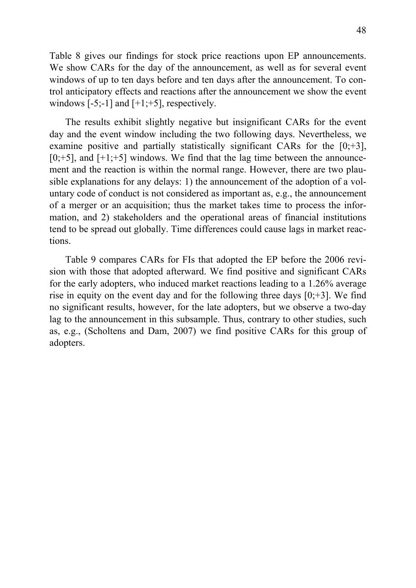Table 8 gives our findings for stock price reactions upon EP announcements. We show CARs for the day of the announcement, as well as for several event windows of up to ten days before and ten days after the announcement. To control anticipatory effects and reactions after the announcement we show the event windows  $[-5;-1]$  and  $[+1;+5]$ , respectively.

The results exhibit slightly negative but insignificant CARs for the event day and the event window including the two following days. Nevertheless, we examine positive and partially statistically significant CARs for the  $[0;+3]$ ,  $[0;+5]$ , and  $[+1;+5]$  windows. We find that the lag time between the announcement and the reaction is within the normal range. However, there are two plausible explanations for any delays: 1) the announcement of the adoption of a voluntary code of conduct is not considered as important as, e.g., the announcement of a merger or an acquisition; thus the market takes time to process the information, and 2) stakeholders and the operational areas of financial institutions tend to be spread out globally. Time differences could cause lags in market reactions.

Table 9 compares CARs for FIs that adopted the EP before the 2006 revision with those that adopted afterward. We find positive and significant CARs for the early adopters, who induced market reactions leading to a 1.26% average rise in equity on the event day and for the following three days  $[0;+3]$ . We find no significant results, however, for the late adopters, but we observe a two-day lag to the announcement in this subsample. Thus, contrary to other studies, such as, e.g., (Scholtens and Dam, 2007) we find positive CARs for this group of adopters.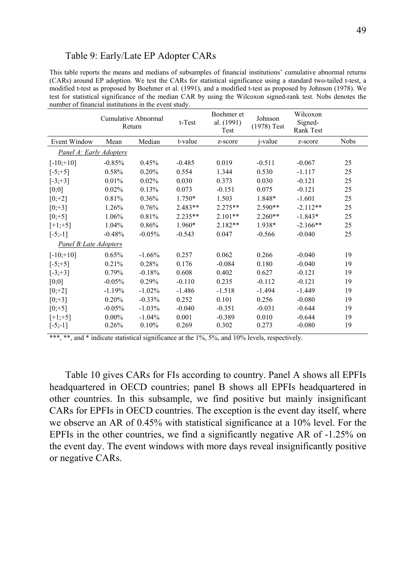### Table 9: Early/Late EP Adopter CARs

This table reports the means and medians of subsamples of financial institutions' cumulative abnormal returns (CARs) around EP adoption. We test the CARs for statistical significance using a standard two-tailed t-test, a modified t-test as proposed by Boehmer et al. (1991), and a modified t-test as proposed by Johnson (1978). We test for statistical significance of the median CAR by using the Wilcoxon signed-rank test. Nobs denotes the number of financial institutions in the event study.

|                               |          | <b>Cumulative Abnormal</b><br>Return | t-Test    | Boehmer et<br>al. (1991)<br>Test | Johnson<br>$(1978)$ Test | Wilcoxon<br>Signed-<br>Rank Test |             |
|-------------------------------|----------|--------------------------------------|-----------|----------------------------------|--------------------------|----------------------------------|-------------|
| Event Window                  | Mean     | Median                               | t-value   | z-score                          | <i>j</i> -value          | z-score                          | <b>Nobs</b> |
| Panel A: Early Adopters       |          |                                      |           |                                  |                          |                                  |             |
| $[-10; +10]$                  | $-0.85%$ | 0.45%                                | $-0.485$  | 0.019                            | $-0.511$                 | $-0.067$                         | 25          |
| $[-5; +5]$                    | 0.58%    | 0.20%                                | 0.554     | 1.344                            | 0.530                    | $-1.117$                         | 25          |
| $[-3; +3]$                    | 0.01%    | 0.02%                                | 0.030     | 0.373                            | 0.030                    | $-0.121$                         | 25          |
| $[0;0]$                       | 0.02%    | 0.13%                                | 0.073     | $-0.151$                         | 0.075                    | $-0.121$                         | 25          |
| $[0; +2]$                     | 0.81%    | 0.36%                                | 1.750*    | 1.503                            | 1.848*                   | $-1.601$                         | 25          |
| $[0;+3]$                      | 1.26%    | 0.76%                                | $2.483**$ | $2.275**$                        | $2.590**$                | $-2.112**$                       | 25          |
| $[0; +5]$                     | 1.06%    | 0.81%                                | 2.235**   | $2.101**$                        | $2.260**$                | $-1.843*$                        | 25          |
| $[+1;+5]$                     | 1.04%    | 0.86%                                | 1.960*    | $2.182**$                        | 1.938*                   | $-2.166**$                       | 25          |
| $[-5; -1]$                    | $-0.48%$ | $-0.05%$                             | $-0.543$  | 0.047                            | $-0.566$                 | $-0.040$                         | 25          |
| <b>Panel B: Late Adopters</b> |          |                                      |           |                                  |                          |                                  |             |
| $[-10; +10]$                  | 0.65%    | $-1.66%$                             | 0.257     | 0.062                            | 0.266                    | $-0.040$                         | 19          |
| $[-5; +5]$                    | 0.21%    | 0.28%                                | 0.176     | $-0.084$                         | 0.180                    | $-0.040$                         | 19          |
| $[-3; +3]$                    | 0.79%    | $-0.18%$                             | 0.608     | 0.402                            | 0.627                    | $-0.121$                         | 19          |
| $[0;0]$                       | $-0.05%$ | 0.29%                                | $-0.110$  | 0.235                            | $-0.112$                 | $-0.121$                         | 19          |
| $[0; +2]$                     | $-1.19%$ | $-1.02%$                             | $-1.486$  | $-1.518$                         | $-1.494$                 | $-1.449$                         | 19          |
| $[0; +3]$                     | 0.20%    | $-0.33%$                             | 0.252     | 0.101                            | 0.256                    | $-0.080$                         | 19          |
| $[0; +5]$                     | $-0.05%$ | $-1.03%$                             | $-0.040$  | $-0.351$                         | $-0.031$                 | $-0.644$                         | 19          |
| $[+1;+5]$                     | $0.00\%$ | $-1.04%$                             | 0.001     | $-0.389$                         | 0.010                    | $-0.644$                         | 19          |
| $[-5; -1]$                    | 0.26%    | 0.10%                                | 0.269     | 0.302                            | 0.273                    | $-0.080$                         | 19          |

\*\*\*, \*\*, and \* indicate statistical significance at the 1%, 5%, and 10% levels, respectively.

Table 10 gives CARs for FIs according to country. Panel A shows all EPFIs headquartered in OECD countries; panel B shows all EPFIs headquartered in other countries. In this subsample, we find positive but mainly insignificant CARs for EPFIs in OECD countries. The exception is the event day itself, where we observe an AR of 0.45% with statistical significance at a 10% level. For the EPFIs in the other countries, we find a significantly negative AR of -1.25% on the event day. The event windows with more days reveal insignificantly positive or negative CARs.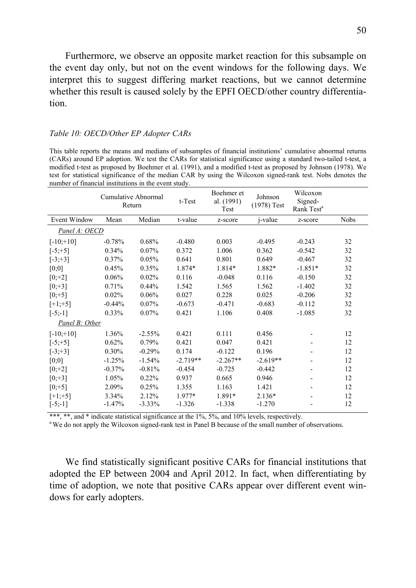Furthermore, we observe an opposite market reaction for this subsample on the event day only, but not on the event windows for the following days. We interpret this to suggest differing market reactions, but we cannot determine whether this result is caused solely by the EPFI OECD/other country differentiation.

#### *Table 10: OECD/Other EP Adopter CARs*

This table reports the means and medians of subsamples of financial institutions' cumulative abnormal returns (CARs) around EP adoption. We test the CARs for statistical significance using a standard two-tailed t-test, a modified t-test as proposed by Boehmer et al. (1991), and a modified t-test as proposed by Johnson (1978). We test for statistical significance of the median CAR by using the Wilcoxon signed-rank test. Nobs denotes the number of financial institutions in the event study.

|                |          | <b>Cumulative Abnormal</b><br>Return | $t$ -Test  | Boehmer et<br>al. (1991)<br>Test | Johnson<br>$(1978)$ Test | Wilcoxon<br>Signed-<br>Rank Test <sup>a</sup> |             |
|----------------|----------|--------------------------------------|------------|----------------------------------|--------------------------|-----------------------------------------------|-------------|
| Event Window   | Mean     | Median                               | t-value    | z-score                          | <i>j</i> -value          | z-score                                       | <b>Nobs</b> |
| Panel A: OECD  |          |                                      |            |                                  |                          |                                               |             |
| $[-10; +10]$   | $-0.78%$ | 0.68%                                | $-0.480$   | 0.003                            | $-0.495$                 | $-0.243$                                      | 32          |
| $[-5; +5]$     | 0.34%    | 0.07%                                | 0.372      | 1.006                            | 0.362                    | $-0.542$                                      | 32          |
| $[-3; +3]$     | 0.37%    | 0.05%                                | 0.641      | 0.801                            | 0.649                    | $-0.467$                                      | 32          |
| $[0;0]$        | 0.45%    | 0.35%                                | 1.874*     | 1.814*                           | 1.882*                   | $-1.851*$                                     | 32          |
| $[0; +2]$      | 0.06%    | 0.02%                                | 0.116      | $-0.048$                         | 0.116                    | $-0.150$                                      | 32          |
| $[0;+3]$       | 0.71%    | 0.44%                                | 1.542      | 1.565                            | 1.562                    | $-1.402$                                      | 32          |
| $[0; +5]$      | 0.02%    | 0.06%                                | 0.027      | 0.228                            | 0.025                    | $-0.206$                                      | 32          |
| $[+1;+5]$      | $-0.44%$ | $0.07\%$                             | $-0.673$   | $-0.471$                         | $-0.683$                 | $-0.112$                                      | 32          |
| $[-5;-1]$      | 0.33%    | 0.07%                                | 0.421      | 1.106                            | 0.408                    | $-1.085$                                      | 32          |
| Panel B: Other |          |                                      |            |                                  |                          |                                               |             |
| $[-10; +10]$   | 1.36%    | $-2.55%$                             | 0.421      | 0.111                            | 0.456                    |                                               | 12          |
| $[-5; +5]$     | 0.62%    | 0.79%                                | 0.421      | 0.047                            | 0.421                    |                                               | 12          |
| $[-3; +3]$     | 0.30%    | $-0.29%$                             | 0.174      | $-0.122$                         | 0.196                    |                                               | 12          |
| $[0;0]$        | $-1.25%$ | $-1.54%$                             | $-2.719**$ | $-2.267**$                       | $-2.619**$               |                                               | 12          |
| $[0; +2]$      | $-0.37%$ | $-0.81%$                             | $-0.454$   | $-0.725$                         | $-0.442$                 |                                               | 12          |
| $[0;+3]$       | 1.05%    | 0.22%                                | 0.937      | 0.665                            | 0.946                    |                                               | 12          |
| $[0; +5]$      | 2.09%    | 0.25%                                | 1.355      | 1.163                            | 1.421                    |                                               | 12          |
| $[-1; +5]$     | 3.34%    | 2.12%                                | 1.977*     | 1.891*                           | $2.136*$                 |                                               | 12          |
| $[-5; -1]$     | $-1.47%$ | $-3.33\%$                            | $-1.326$   | $-1.338$                         | $-1.270$                 |                                               | 12          |

\*\*\*, \*\*, and \* indicate statistical significance at the 1%, 5%, and 10% levels, respectively.<br><sup>a</sup> We do not apply the Wilcoxon signed-rank test in Panel B because of the small number of observations.

We find statistically significant positive CARs for financial institutions that adopted the EP between 2004 and April 2012. In fact, when differentiating by time of adoption, we note that positive CARs appear over different event windows for early adopters.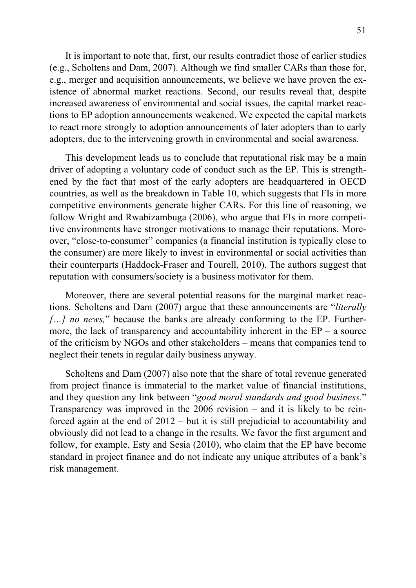It is important to note that, first, our results contradict those of earlier studies (e.g., Scholtens and Dam, 2007). Although we find smaller CARs than those for, e.g., merger and acquisition announcements, we believe we have proven the existence of abnormal market reactions. Second, our results reveal that, despite increased awareness of environmental and social issues, the capital market reactions to EP adoption announcements weakened. We expected the capital markets to react more strongly to adoption announcements of later adopters than to early adopters, due to the intervening growth in environmental and social awareness.

This development leads us to conclude that reputational risk may be a main driver of adopting a voluntary code of conduct such as the EP. This is strengthened by the fact that most of the early adopters are headquartered in OECD countries, as well as the breakdown in Table 10, which suggests that FIs in more competitive environments generate higher CARs. For this line of reasoning, we follow Wright and Rwabizambuga (2006), who argue that FIs in more competitive environments have stronger motivations to manage their reputations. Moreover, "close-to-consumer" companies (a financial institution is typically close to the consumer) are more likely to invest in environmental or social activities than their counterparts (Haddock-Fraser and Tourell, 2010). The authors suggest that reputation with consumers/society is a business motivator for them.

Moreover, there are several potential reasons for the marginal market reactions. Scholtens and Dam (2007) argue that these announcements are "*literally […] no news,*" because the banks are already conforming to the EP. Furthermore, the lack of transparency and accountability inherent in the  $EP - a$  source of the criticism by NGOs and other stakeholders – means that companies tend to neglect their tenets in regular daily business anyway.

Scholtens and Dam (2007) also note that the share of total revenue generated from project finance is immaterial to the market value of financial institutions, and they question any link between "*good moral standards and good business.*" Transparency was improved in the 2006 revision – and it is likely to be reinforced again at the end of 2012 – but it is still prejudicial to accountability and obviously did not lead to a change in the results. We favor the first argument and follow, for example, Esty and Sesia (2010), who claim that the EP have become standard in project finance and do not indicate any unique attributes of a bank's risk management.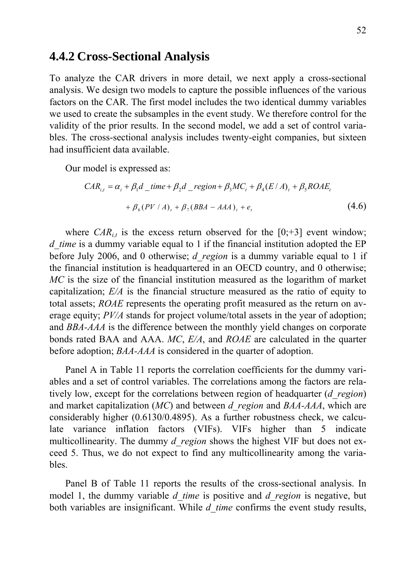## **4.4.2 Cross-Sectional Analysis**

To analyze the CAR drivers in more detail, we next apply a cross-sectional analysis. We design two models to capture the possible influences of the various factors on the CAR. The first model includes the two identical dummy variables we used to create the subsamples in the event study. We therefore control for the validity of the prior results. In the second model, we add a set of control variables. The cross-sectional analysis includes twenty-eight companies, but sixteen had insufficient data available.

Our model is expressed as:

$$
CAR_{i,t} = \alpha_i + \beta_1 d\_time + \beta_2 d\_region + \beta_3 MC_t + \beta_4 (E/A)_t + \beta_5 ROAE_t
$$
  
+  $\beta_6 (PV/A)_t + \beta_7 (BBA - AAA)_t + e_t$  (4.6)

where  $CAR_{it}$  is the excess return observed for the  $[0;+3]$  event window; *d* time is a dummy variable equal to 1 if the financial institution adopted the EP before July 2006, and 0 otherwise; *d\_region* is a dummy variable equal to 1 if the financial institution is headquartered in an OECD country, and 0 otherwise; *MC* is the size of the financial institution measured as the logarithm of market capitalization; *E/A* is the financial structure measured as the ratio of equity to total assets; *ROAE* represents the operating profit measured as the return on average equity; *PV/A* stands for project volume/total assets in the year of adoption; and *BBA-AAA* is the difference between the monthly yield changes on corporate bonds rated BAA and AAA. *MC*, *E/A*, and *ROAE* are calculated in the quarter before adoption; *BAA-AAA* is considered in the quarter of adoption.

Panel A in Table 11 reports the correlation coefficients for the dummy variables and a set of control variables. The correlations among the factors are relatively low, except for the correlations between region of headquarter (*d\_region*) and market capitalization (*MC*) and between *d\_region* and *BAA-AAA*, which are considerably higher (0.6130/0.4895). As a further robustness check, we calculate variance inflation factors (VIFs). VIFs higher than 5 indicate multicollinearity. The dummy *d\_region* shows the highest VIF but does not exceed 5. Thus, we do not expect to find any multicollinearity among the variables.

Panel B of Table 11 reports the results of the cross-sectional analysis. In model 1, the dummy variable *d* time is positive and *d* region is negative, but both variables are insignificant. While *d* time confirms the event study results,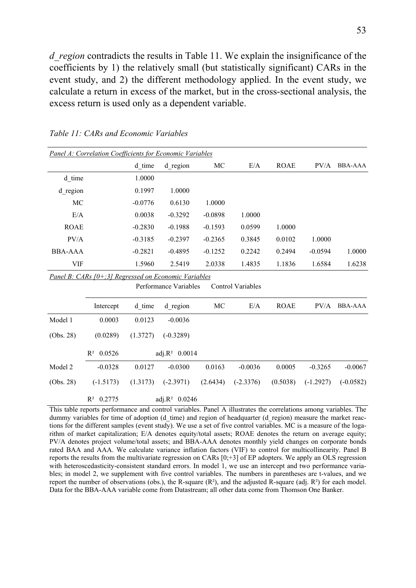*d* region contradicts the results in Table 11. We explain the insignificance of the coefficients by 1) the relatively small (but statistically significant) CARs in the event study, and 2) the different methodology applied. In the event study, we calculate a return in excess of the market, but in the cross-sectional analysis, the excess return is used only as a dependent variable.

|                | Panel A: Correlation Coefficients for Economic Variables |           |                           |           |                          |             |             |                |
|----------------|----------------------------------------------------------|-----------|---------------------------|-----------|--------------------------|-------------|-------------|----------------|
|                |                                                          | d time    | d region                  | MC        | E/A                      | <b>ROAE</b> | PV/A        | <b>BBA-AAA</b> |
| d time         |                                                          | 1.0000    |                           |           |                          |             |             |                |
| d region       |                                                          | 0.1997    | 1.0000                    |           |                          |             |             |                |
| MC             |                                                          | $-0.0776$ | 0.6130                    | 1.0000    |                          |             |             |                |
| E/A            |                                                          | 0.0038    | $-0.3292$                 | $-0.0898$ | 1.0000                   |             |             |                |
| <b>ROAE</b>    |                                                          | $-0.2830$ | $-0.1988$                 | $-0.1593$ | 0.0599                   | 1.0000      |             |                |
| PV/A           |                                                          | $-0.3185$ | $-0.2397$                 | $-0.2365$ | 0.3845                   | 0.0102      | 1.0000      |                |
| <b>BBA-AAA</b> |                                                          | $-0.2821$ | $-0.4895$                 | $-0.1252$ | 0.2242                   | 0.2494      | $-0.0594$   | 1.0000         |
| <b>VIF</b>     |                                                          | 1.5960    | 2.5419                    | 2.0338    | 1.4835                   | 1.1836      | 1.6584      | 1.6238         |
|                | Panel B: CARs [0+;3] Regressed on Economic Variables     |           |                           |           |                          |             |             |                |
|                |                                                          |           | Performance Variables     |           | <b>Control Variables</b> |             |             |                |
|                | Intercept                                                | d time    | d region                  | MC        | E/A                      | <b>ROAE</b> | PV/A        | <b>BBA-AAA</b> |
| Model 1        | 0.0003                                                   | 0.0123    | $-0.0036$                 |           |                          |             |             |                |
| (Obs. 28)      | (0.0289)                                                 | (1.3727)  | $(-0.3289)$               |           |                          |             |             |                |
|                | $R^2$ 0.0526                                             |           | adj.R <sup>2</sup> 0.0014 |           |                          |             |             |                |
| Model 2        | $-0.0328$                                                | 0.0127    | $-0.0300$                 | 0.0163    | $-0.0036$                | 0.0005      | $-0.3265$   | $-0.0067$      |
| (Obs. 28)      | $(-1.5173)$                                              | (1.3173)  | $(-2.3971)$               | (2.6434)  | $(-2.3376)$              | (0.5038)    | $(-1.2927)$ | $(-0.0582)$    |
|                | $R^2$ 0.2775                                             |           | adj.R <sup>2</sup> 0.0246 |           |                          |             |             |                |

*Table 11: CARs and Economic Variables* 

This table reports performance and control variables. Panel A illustrates the correlations among variables. The dummy variables for time of adoption (d\_time) and region of headquarter (d\_region) measure the market reactions for the different samples (event study). We use a set of five control variables. MC is a measure of the logarithm of market capitalization; E/A denotes equity/total assets; ROAE denotes the return on average equity; PV/A denotes project volume/total assets; and BBA-AAA denotes monthly yield changes on corporate bonds rated BAA and AAA. We calculate variance inflation factors (VIF) to control for multicollinearity. Panel B reports the results from the multivariate regression on CARs [0;+3] of EP adopters. We apply an OLS regression with heteroscedasticity-consistent standard errors. In model 1, we use an intercept and two performance variables; in model 2, we supplement with five control variables. The numbers in parentheses are t-values, and we report the number of observations (obs.), the R-square  $(R^2)$ , and the adjusted R-square (adj.  $R^2$ ) for each model. Data for the BBA-AAA variable come from Datastream; all other data come from Thomson One Banker.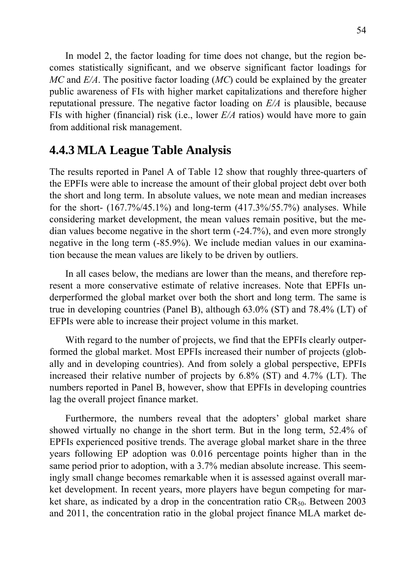In model 2, the factor loading for time does not change, but the region becomes statistically significant, and we observe significant factor loadings for *MC* and *E/A*. The positive factor loading (*MC*) could be explained by the greater public awareness of FIs with higher market capitalizations and therefore higher reputational pressure. The negative factor loading on *E/A* is plausible, because FIs with higher (financial) risk (i.e., lower *E/A* ratios) would have more to gain from additional risk management.

## **4.4.3 MLA League Table Analysis**

The results reported in Panel A of Table 12 show that roughly three-quarters of the EPFIs were able to increase the amount of their global project debt over both the short and long term. In absolute values, we note mean and median increases for the short-  $(167.7\%/45.1\%)$  and long-term  $(417.3\%/55.7\%)$  analyses. While considering market development, the mean values remain positive, but the median values become negative in the short term (-24.7%), and even more strongly negative in the long term (-85.9%). We include median values in our examination because the mean values are likely to be driven by outliers.

In all cases below, the medians are lower than the means, and therefore represent a more conservative estimate of relative increases. Note that EPFIs underperformed the global market over both the short and long term. The same is true in developing countries (Panel B), although 63.0% (ST) and 78.4% (LT) of EFPIs were able to increase their project volume in this market.

With regard to the number of projects, we find that the EPFIs clearly outperformed the global market. Most EPFIs increased their number of projects (globally and in developing countries). And from solely a global perspective, EPFIs increased their relative number of projects by 6.8% (ST) and 4.7% (LT). The numbers reported in Panel B, however, show that EPFIs in developing countries lag the overall project finance market.

Furthermore, the numbers reveal that the adopters' global market share showed virtually no change in the short term. But in the long term, 52.4% of EPFIs experienced positive trends. The average global market share in the three years following EP adoption was 0.016 percentage points higher than in the same period prior to adoption, with a 3.7% median absolute increase. This seemingly small change becomes remarkable when it is assessed against overall market development. In recent years, more players have begun competing for market share, as indicated by a drop in the concentration ratio  $CR_{50}$ . Between 2003 and 2011, the concentration ratio in the global project finance MLA market de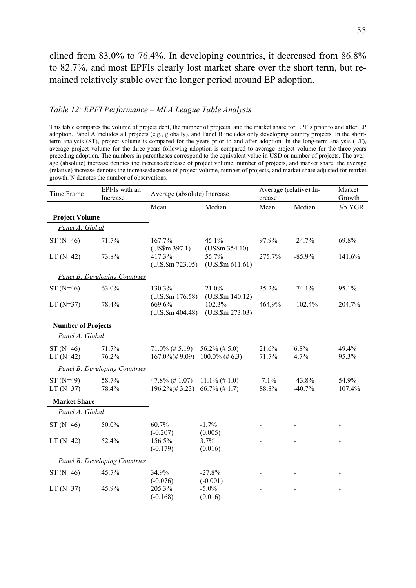clined from 83.0% to 76.4%. In developing countries, it decreased from 86.8% to 82.7%, and most EPFIs clearly lost market share over the short term, but remained relatively stable over the longer period around EP adoption.

#### *Table 12: EPFI Performance – MLA League Table Analysis*

This table compares the volume of project debt, the number of projects, and the market share for EPFIs prior to and after EP adoption. Panel A includes all projects (e.g., globally), and Panel B includes only developing country projects. In the shortterm analysis (ST), project volume is compared for the years prior to and after adoption. In the long-term analysis (LT), average project volume for the three years following adoption is compared to average project volume for the three years preceding adoption. The numbers in parentheses correspond to the equivalent value in USD or number of projects. The average (absolute) increase denotes the increase/decrease of project volume, number of projects, and market share; the average (relative) increase denotes the increase/decrease of project volume, number of projects, and market share adjusted for market growth. N denotes the number of observations.

| Time Frame                | EPFIs with an<br>Increase            | Average (absolute) Increase                    |                                       | crease           | Average (relative) In- | Market<br>Growth |
|---------------------------|--------------------------------------|------------------------------------------------|---------------------------------------|------------------|------------------------|------------------|
|                           |                                      | Mean                                           | Median                                | Mean             | Median                 | 3/5 YGR          |
| <b>Project Volume</b>     |                                      |                                                |                                       |                  |                        |                  |
| Panel A: Global           |                                      |                                                |                                       |                  |                        |                  |
| $ST(N=46)$                | 71.7%                                | 167.7%<br>$(US\$ m 397.1)                      | 45.1%<br>$(US\$ m 354.10)             | 97.9%            | $-24.7%$               | 69.8%            |
| $LT(N=42)$                | 73.8%                                | 417.3%<br>$(U.S.\$m 723.05)$                   | 55.7%<br>$(U.S.\$m 611.61)$           | 275.7%           | $-85.9%$               | 141.6%           |
|                           | <b>Panel B: Developing Countries</b> |                                                |                                       |                  |                        |                  |
| $ST(N=46)$                | 63.0%                                | 130.3%<br>$(U.S.$ \$m 176.58)                  | 21.0%<br>$(U.S.\$ \$m 140.12)         | 35.2%            | $-74.1%$               | 95.1%            |
| $LT$ (N=37)               | 78.4%                                | 669.6%<br>$(U.S.\$m 404.48)$                   | 102.3%<br>$(U.S.\$m 273.03)$          | 464,9%           | $-102.4%$              | 204.7%           |
| <b>Number of Projects</b> |                                      |                                                |                                       |                  |                        |                  |
| Panel A: Global           |                                      |                                                |                                       |                  |                        |                  |
| $ST(N=46)$<br>$LT$ (N=42) | 71.7%<br>76.2%                       | $71.0\%$ (# 5.19)<br>$167.0\%(\text{\# }9.09)$ | $56.2\%$ (# 5.0)<br>$100.0\%$ (# 6.3) | 21.6%<br>71.7%   | 6.8%<br>4.7%           | 49.4%<br>95.3%   |
|                           | <b>Panel B: Developing Countries</b> |                                                |                                       |                  |                        |                  |
| $ST(N=49)$<br>$LT$ (N=37) | 58.7%<br>78.4%                       | $47.8\%$ (# 1.07)<br>$196.2\%(\text{\# }3.23)$ | $11.1\%$ (# 1.0)<br>$66.7\%$ (#1.7)   | $-7.1%$<br>88.8% | $-43.8%$<br>$-40.7%$   | 54.9%<br>107.4%  |
| <b>Market Share</b>       |                                      |                                                |                                       |                  |                        |                  |
| Panel A: Global           |                                      |                                                |                                       |                  |                        |                  |
| $ST(N=46)$                | 50.0%                                | 60.7%<br>$(-0.207)$                            | $-1.7%$<br>(0.005)                    |                  |                        |                  |
| $LT$ (N=42)               | 52.4%                                | 156.5%<br>$(-0.179)$                           | 3.7%<br>(0.016)                       |                  |                        |                  |
|                           | Panel B: Developing Countries        |                                                |                                       |                  |                        |                  |
| $ST(N=46)$                | 45.7%                                | 34.9%                                          | $-27.8%$                              |                  |                        |                  |
| $LT(N=37)$                | 45.9%                                | $(-0.076)$<br>205.3%<br>$(-0.168)$             | $(-0.001)$<br>$-5.0\%$<br>(0.016)     |                  |                        |                  |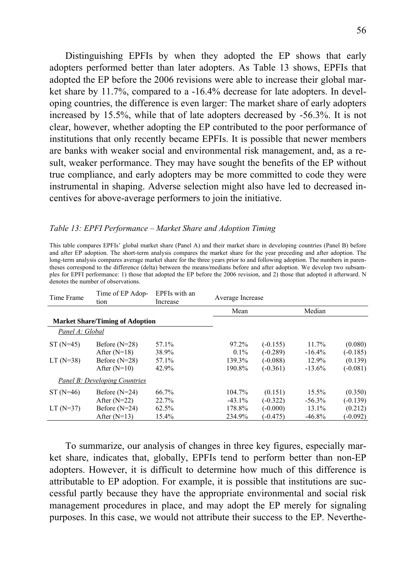Distinguishing EPFIs by when they adopted the EP shows that early adopters performed better than later adopters. As Table 13 shows, EPFIs that adopted the EP before the 2006 revisions were able to increase their global market share by 11.7%, compared to a -16.4% decrease for late adopters. In developing countries, the difference is even larger: The market share of early adopters increased by 15.5%, while that of late adopters decreased by -56.3%. It is not clear, however, whether adopting the EP contributed to the poor performance of institutions that only recently became EPFIs. It is possible that newer members are banks with weaker social and environmental risk management, and, as a result, weaker performance. They may have sought the benefits of the EP without true compliance, and early adopters may be more committed to code they were instrumental in shaping. Adverse selection might also have led to decreased incentives for above-average performers to join the initiative.

#### *Table 13: EPFI Performance – Market Share and Adoption Timing*

This table compares EPFIs' global market share (Panel A) and their market share in developing countries (Panel B) before and after EP adoption. The short-term analysis compares the market share for the year preceding and after adoption. The long-term analysis compares average market share for the three years prior to and following adoption. The numbers in parentheses correspond to the difference (delta) between the means/medians before and after adoption. We develop two subsamples for EPFI performance: 1) those that adopted the EP before the 2006 revision, and 2) those that adopted it afterward. N denotes the number of observations.

| Time Frame      | Time of EP Adop-<br>tion               | EPFIs with an<br>Increase | Average Increase |            |           |            |
|-----------------|----------------------------------------|---------------------------|------------------|------------|-----------|------------|
|                 |                                        |                           | Mean             |            | Median    |            |
|                 | <b>Market Share/Timing of Adoption</b> |                           |                  |            |           |            |
| Panel A: Global |                                        |                           |                  |            |           |            |
| $ST(N=45)$      | Before $(N=28)$                        | 57.1%                     | 97.2%            | $(-0.155)$ | 11.7%     | (0.080)    |
|                 | After $(N=18)$                         | 38.9%                     | $0.1\%$          | $(-0.289)$ | $-16.4%$  | $(-0.185)$ |
| $LT$ (N=38)     | Before $(N=28)$                        | 57.1%                     | 139.3%           | $(-0.088)$ | 12.9%     | (0.139)    |
|                 | After $(N=10)$                         | 42.9%                     | 190.8%           | $(-0.361)$ | $-13.6\%$ | $(-0.081)$ |
|                 | <b>Panel B: Developing Countries</b>   |                           |                  |            |           |            |
| $ST(N=46)$      | Before $(N=24)$                        | 66.7%                     | 104.7%           | (0.151)    | 15.5%     | (0.350)    |
|                 | After $(N=22)$                         | 22.7%                     | $-43.1\%$        | $(-0.322)$ | $-56.3\%$ | $(-0.139)$ |
| $LT(N=37)$      | Before $(N=24)$                        | 62.5%                     | 178.8%           | $(-0.000)$ | $13.1\%$  | (0.212)    |
|                 | After $(N=13)$                         | $15.4\%$                  | 234.9%           | (-0.475)   | $-46.8\%$ | $(-0.092)$ |
|                 |                                        |                           |                  |            |           |            |

To summarize, our analysis of changes in three key figures, especially market share, indicates that, globally, EPFIs tend to perform better than non-EP adopters. However, it is difficult to determine how much of this difference is attributable to EP adoption. For example, it is possible that institutions are successful partly because they have the appropriate environmental and social risk management procedures in place, and may adopt the EP merely for signaling purposes. In this case, we would not attribute their success to the EP. Neverthe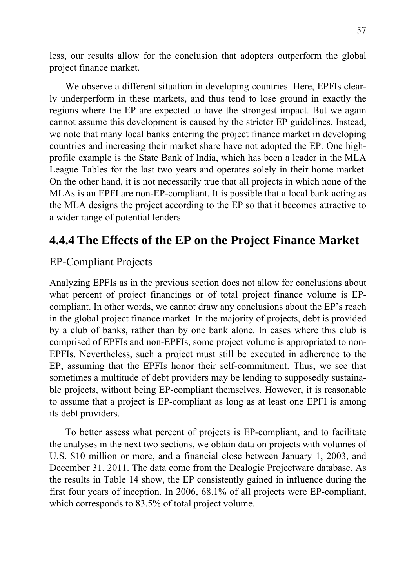less, our results allow for the conclusion that adopters outperform the global project finance market.

We observe a different situation in developing countries. Here, EPFIs clearly underperform in these markets, and thus tend to lose ground in exactly the regions where the EP are expected to have the strongest impact. But we again cannot assume this development is caused by the stricter EP guidelines. Instead, we note that many local banks entering the project finance market in developing countries and increasing their market share have not adopted the EP. One highprofile example is the State Bank of India, which has been a leader in the MLA League Tables for the last two years and operates solely in their home market. On the other hand, it is not necessarily true that all projects in which none of the MLAs is an EPFI are non-EP-compliant. It is possible that a local bank acting as the MLA designs the project according to the EP so that it becomes attractive to a wider range of potential lenders.

## **4.4.4 The Effects of the EP on the Project Finance Market**

### EP-Compliant Projects

Analyzing EPFIs as in the previous section does not allow for conclusions about what percent of project financings or of total project finance volume is EPcompliant. In other words, we cannot draw any conclusions about the EP's reach in the global project finance market. In the majority of projects, debt is provided by a club of banks, rather than by one bank alone. In cases where this club is comprised of EPFIs and non-EPFIs, some project volume is appropriated to non-EPFIs. Nevertheless, such a project must still be executed in adherence to the EP, assuming that the EPFIs honor their self-commitment. Thus, we see that sometimes a multitude of debt providers may be lending to supposedly sustainable projects, without being EP-compliant themselves. However, it is reasonable to assume that a project is EP-compliant as long as at least one EPFI is among its debt providers.

To better assess what percent of projects is EP-compliant, and to facilitate the analyses in the next two sections, we obtain data on projects with volumes of U.S. \$10 million or more, and a financial close between January 1, 2003, and December 31, 2011. The data come from the Dealogic Projectware database. As the results in Table 14 show, the EP consistently gained in influence during the first four years of inception. In 2006, 68.1% of all projects were EP-compliant, which corresponds to 83.5% of total project volume.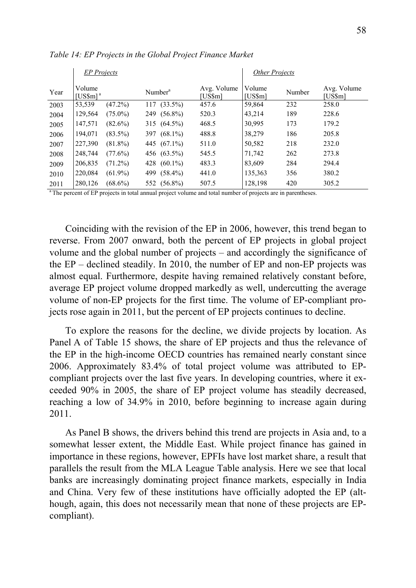|                | <b>EP</b> Projects                           |            |                     |                        | <b>Other Projects</b> |        |                        |
|----------------|----------------------------------------------|------------|---------------------|------------------------|-----------------------|--------|------------------------|
| Year           | Volume<br>[US\$m]ª                           |            | Number <sup>a</sup> | Avg. Volume<br>[US\$m] | Volume<br>[US\$m]     | Number | Avg. Volume<br>[US\$m] |
| 2003           | 53,539                                       | (47.2%)    | $(33.5\%)$<br>117   | 457.6                  | 59,864                | 232    | 258.0                  |
| 2004           | 129,564                                      | $(75.0\%)$ | $(56.8\%)$<br>249   | 520.3                  | 43,214                | 189    | 228.6                  |
| 2005           | 147,571                                      | $(82.6\%)$ | 315 (64.5%)         | 468.5                  | 30,995                | 173    | 179.2                  |
| 2006           | 194,071                                      | $(83.5\%)$ | 397 (68.1%)         | 488.8                  | 38,279                | 186    | 205.8                  |
| 2007           | 227,390                                      | $(81.8\%)$ | 445 (67.1%)         | 511.0                  | 50,582                | 218    | 232.0                  |
| 2008           | 248,744                                      | (77.6%)    | 456 (63.5%)         | 545.5                  | 71,742                | 262    | 273.8                  |
| 2009           | 206,835                                      | $(71.2\%)$ | $(60.1\%)$<br>428   | 483.3                  | 83,609                | 284    | 294.4                  |
| 2010           | 220,084                                      | $(61.9\%)$ | $(58.4\%)$<br>499   | 441.0                  | 135,363               | 356    | 380.2                  |
| 2011<br>$\sim$ | 280,126<br><b>Contract Contract Contract</b> | $(68.6\%)$ | 552 (56.8%)         | 507.5                  | 128,198               | 420    | 305.2                  |

*Table 14: EP Projects in the Global Project Finance Market* 

<sup>a</sup> The percent of EP projects in total annual project volume and total number of projects are in parentheses.

Coinciding with the revision of the EP in 2006, however, this trend began to reverse. From 2007 onward, both the percent of EP projects in global project volume and the global number of projects – and accordingly the significance of the EP – declined steadily. In 2010, the number of EP and non-EP projects was almost equal. Furthermore, despite having remained relatively constant before, average EP project volume dropped markedly as well, undercutting the average volume of non-EP projects for the first time. The volume of EP-compliant projects rose again in 2011, but the percent of EP projects continues to decline.

To explore the reasons for the decline, we divide projects by location. As Panel A of Table 15 shows, the share of EP projects and thus the relevance of the EP in the high-income OECD countries has remained nearly constant since 2006. Approximately 83.4% of total project volume was attributed to EPcompliant projects over the last five years. In developing countries, where it exceeded 90% in 2005, the share of EP project volume has steadily decreased, reaching a low of 34.9% in 2010, before beginning to increase again during 2011.

As Panel B shows, the drivers behind this trend are projects in Asia and, to a somewhat lesser extent, the Middle East. While project finance has gained in importance in these regions, however, EPFIs have lost market share, a result that parallels the result from the MLA League Table analysis. Here we see that local banks are increasingly dominating project finance markets, especially in India and China. Very few of these institutions have officially adopted the EP (although, again, this does not necessarily mean that none of these projects are EPcompliant).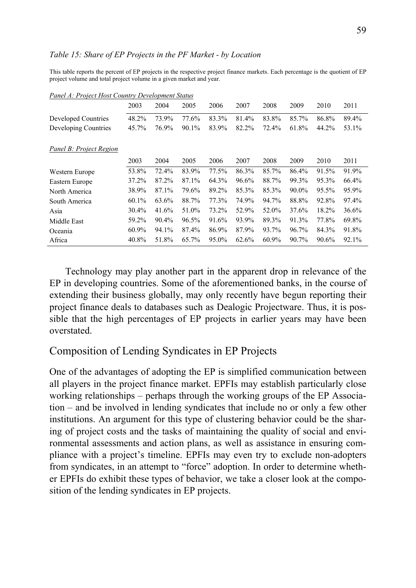### *Table 15: Share of EP Projects in the PF Market - by Location*

This table reports the percent of EP projects in the respective project finance markets. Each percentage is the quotient of EP project volume and total project volume in a given market and year.

|                                | 2003  | 2004  | 2005  | 2006  | 2007  | 2008  | 2009     | 2010  | 2011  |
|--------------------------------|-------|-------|-------|-------|-------|-------|----------|-------|-------|
| Developed Countries            | 48.2% | 73.9% | 77.6% | 83.3% | 81.4% | 83.8% | 85.7%    | 86.8% | 89.4% |
| Developing Countries           | 45.7% | 76.9% | 90.1% | 83.9% | 82.2% | 72.4% | 61.8%    | 44.2% | 53.1% |
| <b>Panel B: Project Region</b> |       |       |       |       |       |       |          |       |       |
|                                | 2003  | 2004  | 2005  | 2006  | 2007  | 2008  | 2009     | 2010  | 2011  |
| Western Europe                 | 53.8% | 72.4% | 83.9% | 77.5% | 86.3% | 85.7% | 86.4%    | 91.5% | 91.9% |
| Eastern Europe                 | 37.2% | 87.2% | 87.1% | 64.3% | 96.6% | 88.7% | 99.3%    | 95.3% | 66.4% |
| North America                  | 38.9% | 87.1% | 79.6% | 89.2% | 85.3% | 85.3% | $90.0\%$ | 95.5% | 95.9% |
| South America                  | 60.1% | 63.6% | 88.7% | 77.3% | 74.9% | 94.7% | 88.8%    | 92.8% | 97.4% |
| Asia                           | 30.4% | 41.6% | 51.0% | 73.2% | 52.9% | 52.0% | 37.6%    | 18.2% | 36.6% |
| Middle East                    | 59.2% | 90.4% | 96.5% | 91.6% | 93.9% | 89.3% | 91.3%    | 77.8% | 69.8% |
| Oceania                        | 60.9% | 94.1% | 87.4% | 86.9% | 87.9% | 93.7% | 96.7%    | 84.3% | 91.8% |
| Africa                         | 40.8% | 51.8% | 65.7% | 95.0% | 62.6% | 60.9% | 90.7%    | 90.6% | 92.1% |

*Panel A: Project Host Country Development Status*

Technology may play another part in the apparent drop in relevance of the EP in developing countries. Some of the aforementioned banks, in the course of extending their business globally, may only recently have begun reporting their project finance deals to databases such as Dealogic Projectware. Thus, it is possible that the high percentages of EP projects in earlier years may have been overstated.

## Composition of Lending Syndicates in EP Projects

One of the advantages of adopting the EP is simplified communication between all players in the project finance market. EPFIs may establish particularly close working relationships – perhaps through the working groups of the EP Association – and be involved in lending syndicates that include no or only a few other institutions. An argument for this type of clustering behavior could be the sharing of project costs and the tasks of maintaining the quality of social and environmental assessments and action plans, as well as assistance in ensuring compliance with a project's timeline. EPFIs may even try to exclude non-adopters from syndicates, in an attempt to "force" adoption. In order to determine whether EPFIs do exhibit these types of behavior, we take a closer look at the composition of the lending syndicates in EP projects.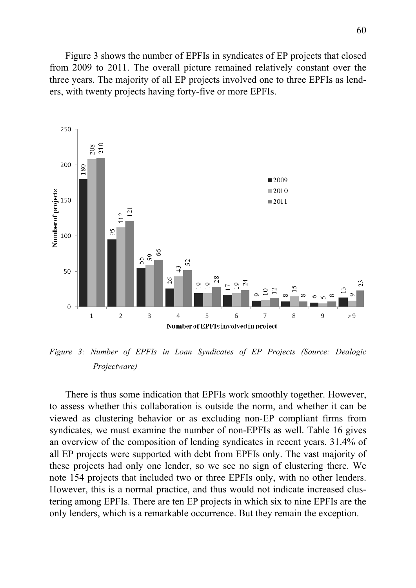Figure 3 shows the number of EPFIs in syndicates of EP projects that closed from 2009 to 2011. The overall picture remained relatively constant over the three years. The majority of all EP projects involved one to three EPFIs as lenders, with twenty projects having forty-five or more EPFIs.



*Figure 3: Number of EPFIs in Loan Syndicates of EP Projects (Source: Dealogic Projectware)* 

There is thus some indication that EPFIs work smoothly together. However, to assess whether this collaboration is outside the norm, and whether it can be viewed as clustering behavior or as excluding non-EP compliant firms from syndicates, we must examine the number of non-EPFIs as well. Table 16 gives an overview of the composition of lending syndicates in recent years. 31.4% of all EP projects were supported with debt from EPFIs only. The vast majority of these projects had only one lender, so we see no sign of clustering there. We note 154 projects that included two or three EPFIs only, with no other lenders. However, this is a normal practice, and thus would not indicate increased clustering among EPFIs. There are ten EP projects in which six to nine EPFIs are the only lenders, which is a remarkable occurrence. But they remain the exception.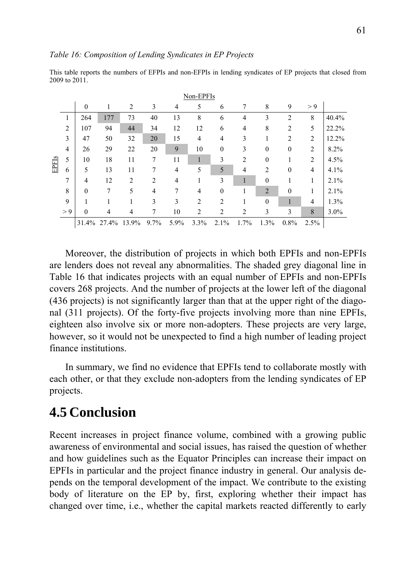|       |                |                  |       |                |      |      | Non-EPFIs      |                  |                |                  |                  |                |       |
|-------|----------------|------------------|-------|----------------|------|------|----------------|------------------|----------------|------------------|------------------|----------------|-------|
|       |                | $\boldsymbol{0}$ | 1     | $\overline{2}$ | 3    | 4    | 5              | 6                | 7              | 8                | 9                | > 9            |       |
|       | 1              | 264              | 177   | 73             | 40   | 13   | 8              | 6                | 4              | 3                | $\overline{2}$   | 8              | 40.4% |
|       | $\overline{2}$ | 107              | 94    | 44             | 34   | 12   | 12             | 6                | $\overline{4}$ | 8                | $\overline{2}$   | 5              | 22.2% |
|       | $\overline{3}$ | 47               | 50    | 32             | 20   | 15   | $\overline{4}$ | 4                | 3              | 1                | $\overline{2}$   | $\overline{2}$ | 12.2% |
|       | $\overline{4}$ | 26               | 29    | 22             | 20   | 9    | 10             | $\boldsymbol{0}$ | 3              | $\boldsymbol{0}$ | $\boldsymbol{0}$ | $\overline{2}$ | 8.2%  |
| EPFIs | 5              | 10               | 18    | 11             | 7    | 11   | 1              | 3                | $\overline{2}$ | $\boldsymbol{0}$ | 1                | $\overline{2}$ | 4.5%  |
|       | 6              | 5                | 13    | 11             | 7    | 4    | 5              | 5                | $\overline{4}$ | $\overline{2}$   | $\boldsymbol{0}$ | 4              | 4.1%  |
|       | 7              | 4                | 12    | $\overline{2}$ | 2    | 4    | 1              | 3                |                | $\boldsymbol{0}$ | 1                | 1              | 2.1%  |
|       | 8              | $\boldsymbol{0}$ | 7     | 5              | 4    | 7    | $\overline{4}$ | $\boldsymbol{0}$ |                | $\overline{2}$   | $\boldsymbol{0}$ | 1              | 2.1%  |
|       | 9              |                  |       | 1              | 3    | 3    | $\overline{2}$ | $\overline{2}$   |                | $\boldsymbol{0}$ | $\mathbf{1}$     | $\overline{4}$ | 1.3%  |
|       | > 9            | $\theta$         | 4     | 4              | 7    | 10   | $\overline{2}$ | $\overline{2}$   | $\overline{2}$ | 3                | 3                | 8              | 3.0%  |
|       |                | 31.4%            | 27.4% | 13.9%          | 9.7% | 5.9% | 3.3%           | 2.1%             | 1.7%           | 1.3%             | 0.8%             | 2.5%           |       |

This table reports the numbers of EFPIs and non-EFPIs in lending syndicates of EP projects that closed from 2009 to 2011.

Moreover, the distribution of projects in which both EPFIs and non-EPFIs are lenders does not reveal any abnormalities. The shaded grey diagonal line in Table 16 that indicates projects with an equal number of EPFIs and non-EPFIs covers 268 projects. And the number of projects at the lower left of the diagonal (436 projects) is not significantly larger than that at the upper right of the diagonal (311 projects). Of the forty-five projects involving more than nine EPFIs, eighteen also involve six or more non-adopters. These projects are very large, however, so it would not be unexpected to find a high number of leading project finance institutions.

In summary, we find no evidence that EPFIs tend to collaborate mostly with each other, or that they exclude non-adopters from the lending syndicates of EP projects.

# **4.5 Conclusion**

Recent increases in project finance volume, combined with a growing public awareness of environmental and social issues, has raised the question of whether and how guidelines such as the Equator Principles can increase their impact on EPFIs in particular and the project finance industry in general. Our analysis depends on the temporal development of the impact. We contribute to the existing body of literature on the EP by, first, exploring whether their impact has changed over time, i.e., whether the capital markets reacted differently to early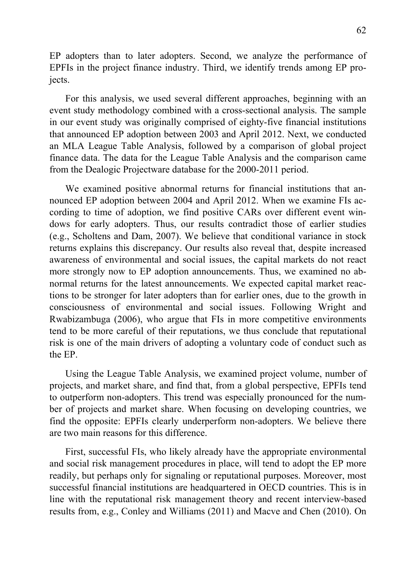EP adopters than to later adopters. Second, we analyze the performance of EPFIs in the project finance industry. Third, we identify trends among EP projects.

For this analysis, we used several different approaches, beginning with an event study methodology combined with a cross-sectional analysis. The sample in our event study was originally comprised of eighty-five financial institutions that announced EP adoption between 2003 and April 2012. Next, we conducted an MLA League Table Analysis, followed by a comparison of global project finance data. The data for the League Table Analysis and the comparison came from the Dealogic Projectware database for the 2000-2011 period.

We examined positive abnormal returns for financial institutions that announced EP adoption between 2004 and April 2012. When we examine FIs according to time of adoption, we find positive CARs over different event windows for early adopters. Thus, our results contradict those of earlier studies (e.g., Scholtens and Dam, 2007). We believe that conditional variance in stock returns explains this discrepancy. Our results also reveal that, despite increased awareness of environmental and social issues, the capital markets do not react more strongly now to EP adoption announcements. Thus, we examined no abnormal returns for the latest announcements. We expected capital market reactions to be stronger for later adopters than for earlier ones, due to the growth in consciousness of environmental and social issues. Following Wright and Rwabizambuga (2006), who argue that FIs in more competitive environments tend to be more careful of their reputations, we thus conclude that reputational risk is one of the main drivers of adopting a voluntary code of conduct such as the EP.

Using the League Table Analysis, we examined project volume, number of projects, and market share, and find that, from a global perspective, EPFIs tend to outperform non-adopters. This trend was especially pronounced for the number of projects and market share. When focusing on developing countries, we find the opposite: EPFIs clearly underperform non-adopters. We believe there are two main reasons for this difference.

First, successful FIs, who likely already have the appropriate environmental and social risk management procedures in place, will tend to adopt the EP more readily, but perhaps only for signaling or reputational purposes. Moreover, most successful financial institutions are headquartered in OECD countries. This is in line with the reputational risk management theory and recent interview-based results from, e.g., Conley and Williams (2011) and Macve and Chen (2010). On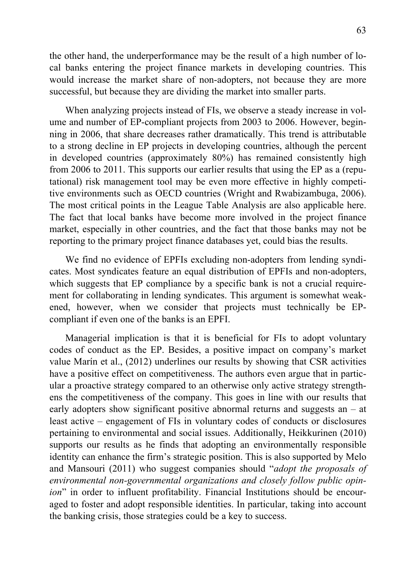the other hand, the underperformance may be the result of a high number of local banks entering the project finance markets in developing countries. This would increase the market share of non-adopters, not because they are more successful, but because they are dividing the market into smaller parts.

When analyzing projects instead of FIs, we observe a steady increase in volume and number of EP-compliant projects from 2003 to 2006. However, beginning in 2006, that share decreases rather dramatically. This trend is attributable to a strong decline in EP projects in developing countries, although the percent in developed countries (approximately 80%) has remained consistently high from 2006 to 2011. This supports our earlier results that using the EP as a (reputational) risk management tool may be even more effective in highly competitive environments such as OECD countries (Wright and Rwabizambuga, 2006). The most critical points in the League Table Analysis are also applicable here. The fact that local banks have become more involved in the project finance market, especially in other countries, and the fact that those banks may not be reporting to the primary project finance databases yet, could bias the results.

We find no evidence of EPFIs excluding non-adopters from lending syndicates. Most syndicates feature an equal distribution of EPFIs and non-adopters, which suggests that EP compliance by a specific bank is not a crucial requirement for collaborating in lending syndicates. This argument is somewhat weakened, however, when we consider that projects must technically be EPcompliant if even one of the banks is an EPFI.

Managerial implication is that it is beneficial for FIs to adopt voluntary codes of conduct as the EP. Besides, a positive impact on company's market value Marín et al., (2012) underlines our results by showing that CSR activities have a positive effect on competitiveness. The authors even argue that in particular a proactive strategy compared to an otherwise only active strategy strengthens the competitiveness of the company. This goes in line with our results that early adopters show significant positive abnormal returns and suggests an – at least active – engagement of FIs in voluntary codes of conducts or disclosures pertaining to environmental and social issues. Additionally, Heikkurinen (2010) supports our results as he finds that adopting an environmentally responsible identity can enhance the firm's strategic position. This is also supported by Melo and Mansouri (2011) who suggest companies should "*adopt the proposals of environmental non-governmental organizations and closely follow public opinion*" in order to influent profitability. Financial Institutions should be encouraged to foster and adopt responsible identities. In particular, taking into account the banking crisis, those strategies could be a key to success.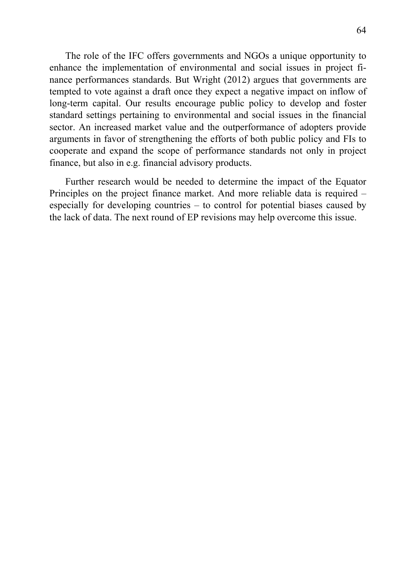The role of the IFC offers governments and NGOs a unique opportunity to enhance the implementation of environmental and social issues in project finance performances standards. But Wright (2012) argues that governments are tempted to vote against a draft once they expect a negative impact on inflow of long-term capital. Our results encourage public policy to develop and foster standard settings pertaining to environmental and social issues in the financial sector. An increased market value and the outperformance of adopters provide arguments in favor of strengthening the efforts of both public policy and FIs to cooperate and expand the scope of performance standards not only in project finance, but also in e.g. financial advisory products.

Further research would be needed to determine the impact of the Equator Principles on the project finance market. And more reliable data is required – especially for developing countries – to control for potential biases caused by the lack of data. The next round of EP revisions may help overcome this issue.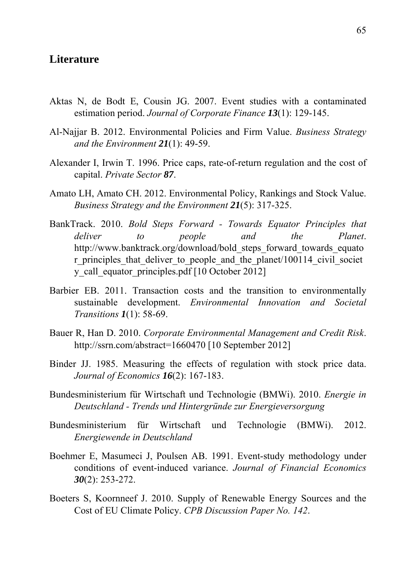### **Literature**

- Aktas N, de Bodt E, Cousin JG. 2007. Event studies with a contaminated estimation period. *Journal of Corporate Finance 13*(1): 129-145.
- Al-Najjar B. 2012. Environmental Policies and Firm Value. *Business Strategy and the Environment 21*(1): 49-59.
- Alexander I, Irwin T. 1996. Price caps, rate-of-return regulation and the cost of capital. *Private Sector 87*.
- Amato LH, Amato CH. 2012. Environmental Policy, Rankings and Stock Value. *Business Strategy and the Environment 21*(5): 317-325.
- BankTrack. 2010. *Bold Steps Forward Towards Equator Principles that deliver to people and the Planet*. http://www.banktrack.org/download/bold\_steps\_forward\_towards\_equato r\_principles\_that\_deliver\_to\_people\_and\_the\_planet/100114\_civil\_societ y\_call\_equator\_principles.pdf [10 October 2012]
- Barbier EB. 2011. Transaction costs and the transition to environmentally sustainable development. *Environmental Innovation and Societal Transitions 1*(1): 58-69.
- Bauer R, Han D. 2010. *Corporate Environmental Management and Credit Risk*. http://ssrn.com/abstract=1660470 [10 September 2012]
- Binder JJ. 1985. Measuring the effects of regulation with stock price data. *Journal of Economics 16*(2): 167-183.
- Bundesministerium für Wirtschaft und Technologie (BMWi). 2010. *Energie in Deutschland - Trends und Hintergründe zur Energieversorgung*
- Bundesministerium für Wirtschaft und Technologie (BMWi). 2012. *Energiewende in Deutschland*
- Boehmer E, Masumeci J, Poulsen AB. 1991. Event-study methodology under conditions of event-induced variance. *Journal of Financial Economics 30*(2): 253-272.
- Boeters S, Koornneef J. 2010. Supply of Renewable Energy Sources and the Cost of EU Climate Policy. *CPB Discussion Paper No. 142*.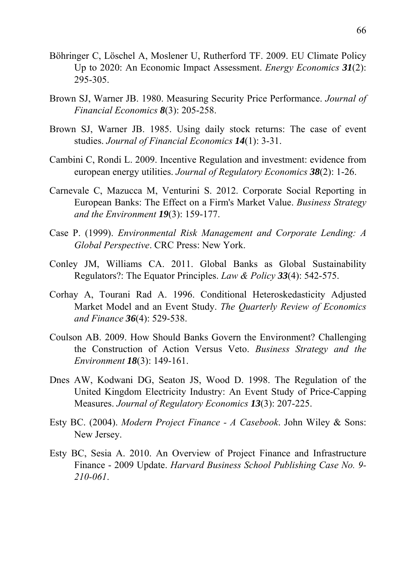- Böhringer C, Löschel A, Moslener U, Rutherford TF. 2009. EU Climate Policy Up to 2020: An Economic Impact Assessment. *Energy Economics 31*(2): 295-305.
- Brown SJ, Warner JB. 1980. Measuring Security Price Performance. *Journal of Financial Economics 8*(3): 205-258.
- Brown SJ, Warner JB. 1985. Using daily stock returns: The case of event studies. *Journal of Financial Economics 14*(1): 3-31.
- Cambini C, Rondi L. 2009. Incentive Regulation and investment: evidence from european energy utilities. *Journal of Regulatory Economics 38*(2): 1-26.
- Carnevale C, Mazucca M, Venturini S. 2012. Corporate Social Reporting in European Banks: The Effect on a Firm's Market Value. *Business Strategy and the Environment 19*(3): 159-177.
- Case P. (1999). *Environmental Risk Management and Corporate Lending: A Global Perspective*. CRC Press: New York.
- Conley JM, Williams CA. 2011. Global Banks as Global Sustainability Regulators?: The Equator Principles. *Law & Policy 33*(4): 542-575.
- Corhay A, Tourani Rad A. 1996. Conditional Heteroskedasticity Adjusted Market Model and an Event Study. *The Quarterly Review of Economics and Finance 36*(4): 529-538.
- Coulson AB. 2009. How Should Banks Govern the Environment? Challenging the Construction of Action Versus Veto. *Business Strategy and the Environment 18*(3): 149-161.
- Dnes AW, Kodwani DG, Seaton JS, Wood D. 1998. The Regulation of the United Kingdom Electricity Industry: An Event Study of Price-Capping Measures. *Journal of Regulatory Economics 13*(3): 207-225.
- Esty BC. (2004). *Modern Project Finance A Casebook*. John Wiley & Sons: New Jersey.
- Esty BC, Sesia A. 2010. An Overview of Project Finance and Infrastructure Finance - 2009 Update. *Harvard Business School Publishing Case No. 9- 210-061*.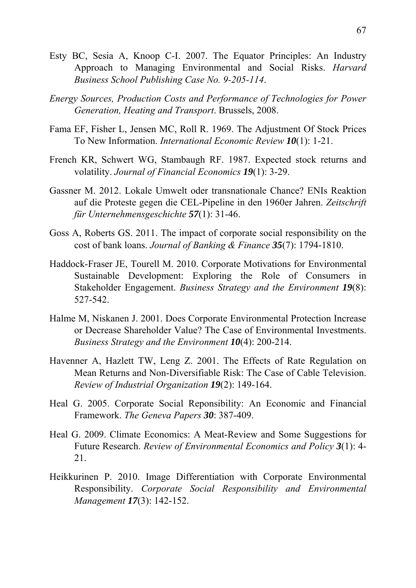- Esty BC, Sesia A, Knoop C-I. 2007. The Equator Principles: An Industry Approach to Managing Environmental and Social Risks. *Harvard Business School Publishing Case No. 9-205-114*.
- *Energy Sources, Production Costs and Performance of Technologies for Power Generation, Heating and Transport*. Brussels, 2008.
- Fama EF, Fisher L, Jensen MC, Roll R. 1969. The Adjustment Of Stock Prices To New Information. *International Economic Review 10*(1): 1-21.
- French KR, Schwert WG, Stambaugh RF. 1987. Expected stock returns and volatility. *Journal of Financial Economics 19*(1): 3-29.
- Gassner M. 2012. Lokale Umwelt oder transnationale Chance? ENIs Reaktion auf die Proteste gegen die CEL-Pipeline in den 1960er Jahren. *Zeitschrift für Unternehmensgeschichte 57*(1): 31-46.
- Goss A, Roberts GS. 2011. The impact of corporate social responsibility on the cost of bank loans. *Journal of Banking & Finance 35*(7): 1794-1810.
- Haddock-Fraser JE, Tourell M. 2010. Corporate Motivations for Environmental Sustainable Development: Exploring the Role of Consumers in Stakeholder Engagement. *Business Strategy and the Environment 19*(8): 527-542.
- Halme M, Niskanen J. 2001. Does Corporate Environmental Protection Increase or Decrease Shareholder Value? The Case of Environmental Investments. *Business Strategy and the Environment 10*(4): 200-214.
- Havenner A, Hazlett TW, Leng Z. 2001. The Effects of Rate Regulation on Mean Returns and Non-Diversifiable Risk: The Case of Cable Television. *Review of Industrial Organization 19*(2): 149-164.
- Heal G. 2005. Corporate Social Reponsibility: An Economic and Financial Framework. *The Geneva Papers 30*: 387-409.
- Heal G. 2009. Climate Economics: A Meat-Review and Some Suggestions for Future Research. *Review of Environmental Economics and Policy 3*(1): 4- 21.
- Heikkurinen P. 2010. Image Differentiation with Corporate Environmental Responsibility. *Corporate Social Responsibility and Environmental Management 17*(3): 142-152.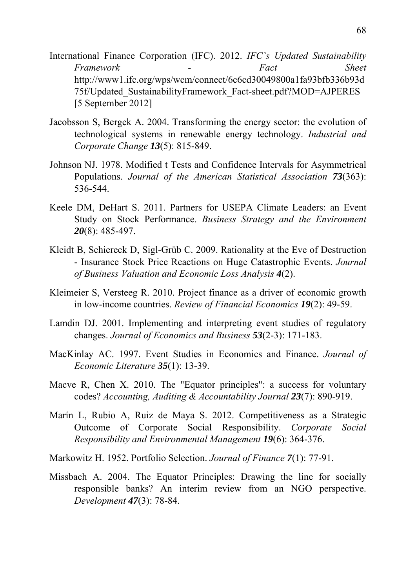- International Finance Corporation (IFC). 2012. *IFC`s Updated Sustainability Framework - Fact Sheet* http://www1.ifc.org/wps/wcm/connect/6c6cd30049800a1fa93bfb336b93d 75f/Updated\_SustainabilityFramework\_Fact-sheet.pdf?MOD=AJPERES [5 September 2012]
- Jacobsson S, Bergek A. 2004. Transforming the energy sector: the evolution of technological systems in renewable energy technology. *Industrial and Corporate Change 13*(5): 815-849.
- Johnson NJ. 1978. Modified t Tests and Confidence Intervals for Asymmetrical Populations. *Journal of the American Statistical Association 73*(363): 536-544.
- Keele DM, DeHart S. 2011. Partners for USEPA Climate Leaders: an Event Study on Stock Performance. *Business Strategy and the Environment 20*(8): 485-497.
- Kleidt B, Schiereck D, Sigl-Grüb C. 2009. Rationality at the Eve of Destruction - Insurance Stock Price Reactions on Huge Catastrophic Events. *Journal of Business Valuation and Economic Loss Analysis 4*(2).
- Kleimeier S, Versteeg R. 2010. Project finance as a driver of economic growth in low-income countries. *Review of Financial Economics 19*(2): 49-59.
- Lamdin DJ. 2001. Implementing and interpreting event studies of regulatory changes. *Journal of Economics and Business 53*(2-3): 171-183.
- MacKinlay AC. 1997. Event Studies in Economics and Finance. *Journal of Economic Literature 35*(1): 13-39.
- Macve R, Chen X. 2010. The "Equator principles": a success for voluntary codes? *Accounting, Auditing & Accountability Journal 23*(7): 890-919.
- Marín L, Rubio A, Ruiz de Maya S. 2012. Competitiveness as a Strategic Outcome of Corporate Social Responsibility. *Corporate Social Responsibility and Environmental Management 19*(6): 364-376.
- Markowitz H. 1952. Portfolio Selection. *Journal of Finance 7*(1): 77-91.
- Missbach A. 2004. The Equator Principles: Drawing the line for socially responsible banks? An interim review from an NGO perspective. *Development 47*(3): 78-84.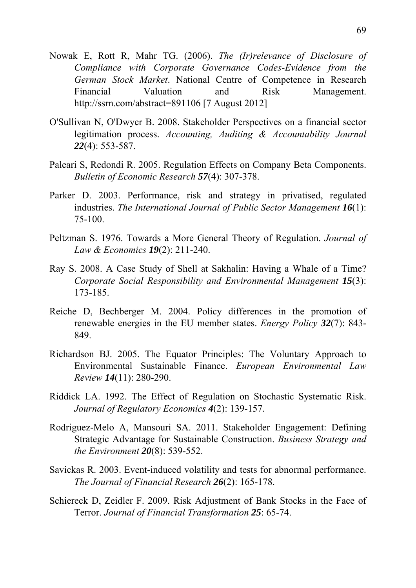- Nowak E, Rott R, Mahr TG. (2006). *The (Ir)relevance of Disclosure of Compliance with Corporate Governance Codes-Evidence from the German Stock Market*. National Centre of Competence in Research Financial Valuation and Risk Management. http://ssrn.com/abstract=891106 [7 August 2012]
- O'Sullivan N, O'Dwyer B. 2008. Stakeholder Perspectives on a financial sector legitimation process. *Accounting, Auditing & Accountability Journal 22*(4): 553-587.
- Paleari S, Redondi R. 2005. Regulation Effects on Company Beta Components. *Bulletin of Economic Research 57*(4): 307-378.
- Parker D. 2003. Performance, risk and strategy in privatised, regulated industries. *The International Journal of Public Sector Management 16*(1): 75-100.
- Peltzman S. 1976. Towards a More General Theory of Regulation. *Journal of Law & Economics 19*(2): 211-240.
- Ray S. 2008. A Case Study of Shell at Sakhalin: Having a Whale of a Time? *Corporate Social Responsibility and Environmental Management 15(3):* 173-185.
- Reiche D, Bechberger M. 2004. Policy differences in the promotion of renewable energies in the EU member states. *Energy Policy 32*(7): 843- 849.
- Richardson BJ. 2005. The Equator Principles: The Voluntary Approach to Environmental Sustainable Finance. *European Environmental Law Review 14*(11): 280-290.
- Riddick LA. 1992. The Effect of Regulation on Stochastic Systematic Risk. *Journal of Regulatory Economics 4*(2): 139-157.
- Rodriguez-Melo A, Mansouri SA. 2011. Stakeholder Engagement: Defining Strategic Advantage for Sustainable Construction. *Business Strategy and the Environment 20*(8): 539-552.
- Savickas R. 2003. Event-induced volatility and tests for abnormal performance. *The Journal of Financial Research 26*(2): 165-178.
- Schiereck D, Zeidler F. 2009. Risk Adjustment of Bank Stocks in the Face of Terror. *Journal of Financial Transformation 25*: 65-74.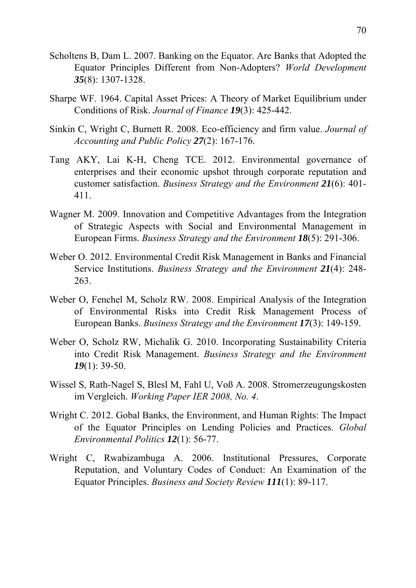- Scholtens B, Dam L. 2007. Banking on the Equator. Are Banks that Adopted the Equator Principles Different from Non-Adopters? *World Development 35*(8): 1307-1328.
- Sharpe WF. 1964. Capital Asset Prices: A Theory of Market Equilibrium under Conditions of Risk. *Journal of Finance 19*(3): 425-442.
- Sinkin C, Wright C, Burnett R. 2008. Eco-efficiency and firm value. *Journal of Accounting and Public Policy 27*(2): 167-176.
- Tang AKY, Lai K-H, Cheng TCE. 2012. Environmental governance of enterprises and their economic upshot through corporate reputation and customer satisfaction. *Business Strategy and the Environment 21*(6): 401- 411.
- Wagner M. 2009. Innovation and Competitive Advantages from the Integration of Strategic Aspects with Social and Environmental Management in European Firms. *Business Strategy and the Environment 18*(5): 291-306.
- Weber O. 2012. Environmental Credit Risk Management in Banks and Financial Service Institutions. *Business Strategy and the Environment 21*(4): 248- 263.
- Weber O, Fenchel M, Scholz RW. 2008. Empirical Analysis of the Integration of Environmental Risks into Credit Risk Management Process of European Banks. *Business Strategy and the Environment 17*(3): 149-159.
- Weber O, Scholz RW, Michalik G. 2010. Incorporating Sustainability Criteria into Credit Risk Management. *Business Strategy and the Environment 19*(1): 39-50.
- Wissel S, Rath-Nagel S, Blesl M, Fahl U, Voß A. 2008. Stromerzeugungskosten im Vergleich. *Working Paper IER 2008, No. 4*.
- Wright C. 2012. Gobal Banks, the Environment, and Human Rights: The Impact of the Equator Principles on Lending Policies and Practices. *Global Environmental Politics 12*(1): 56-77.
- Wright C, Rwabizambuga A. 2006. Institutional Pressures, Corporate Reputation, and Voluntary Codes of Conduct: An Examination of the Equator Principles. *Business and Society Review 111*(1): 89-117.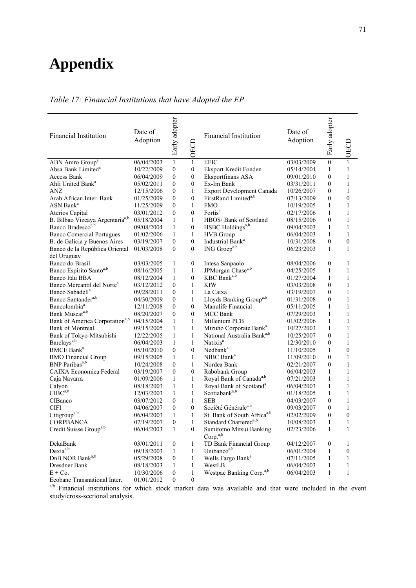## **Appendix**

## *Table 17: Financial Institutions that have Adopted the EP*

| <b>Financial Institution</b>                | Date of<br>Adoption | Early adopter    | OECD             | <b>Financial Institution</b>                    | Date of<br>Adoption | Early adopter    | OECD             |
|---------------------------------------------|---------------------|------------------|------------------|-------------------------------------------------|---------------------|------------------|------------------|
| ABN Amro Group <sup>a</sup>                 | 06/04/2003          | $\mathbf{1}$     | $\mathbf{1}$     | <b>EFIC</b>                                     | 03/03/2009          | $\mathbf{0}$     | $\mathbf{1}$     |
| Absa Bank Limited <sup>a</sup>              | 10/22/2009          | $\mathbf{0}$     | $\mathbf{0}$     | Eksport Kredit Fonden                           | 05/14/2004          | 1                | $\mathbf{1}$     |
| <b>Access Bank</b>                          | 06/04/2009          | $\boldsymbol{0}$ | $\boldsymbol{0}$ | Eksportfinans ASA                               | 09/01/2010          | $\overline{0}$   | 1                |
| Ahli United Bank <sup>a</sup>               | 05/02/2011          | 0                | $\mathbf{0}$     | Ex-Im Bank                                      | 03/31/2011          | $\overline{0}$   | 1                |
| ANZ                                         | 12/15/2006          | $\boldsymbol{0}$ | $\mathbf{1}$     | Export Development Canada                       | 10/26/2007          | $\overline{0}$   | $\mathbf{1}$     |
| Arab African Inter. Bank                    | 01/25/2009          | $\mathbf{0}$     | $\mathbf{0}$     | FirstRand Limited <sup>a,b</sup>                | 07/13/2009          | $\overline{0}$   | $\mathbf{0}$     |
| $ASN$ Bank <sup>a</sup>                     | 11/25/2009          | $\boldsymbol{0}$ | $\mathbf{1}$     | <b>FMO</b>                                      | 10/19/2005          | $\mathbf{1}$     | $\mathbf{1}$     |
| Aterios Capital                             | 03/01/2012          | $\boldsymbol{0}$ | $\mathbf{0}$     | Fortis <sup>a</sup>                             | 02/17/2006          | 1                | 1                |
| B. Bilbao Vizcaya Argentaria <sup>a,b</sup> | 05/18/2004          | $\mathbf{1}$     | 1                | HBOS/ Bank of Scotland                          | 08/15/2006          | $\theta$         | 1                |
| Banco Bradesco <sup>a,b</sup>               | 09/08/2004          | $\mathbf{1}$     | $\boldsymbol{0}$ | HSBC Holdings <sup>a,b</sup>                    | 09/04/2003          | 1                | 1                |
| <b>Banco Comercial Portugues</b>            | 01/02/2006          | $\mathbf{1}$     | $\mathbf{1}$     | <b>HVB</b> Group                                | 06/04/2003          | $\mathbf{1}$     | $\mathbf{1}$     |
| B. de Galicia y Buenos Aires                | 03/19/2007          | $\mathbf{0}$     | $\boldsymbol{0}$ | Industrial Bank <sup>a</sup>                    | 10/31/2008          | $\overline{0}$   | $\mathbf{0}$     |
| Banco de la República Oriental              | 01/03/2008          | $\mathbf{0}$     | $\mathbf{0}$     | ING Groep <sup>a,b</sup>                        | 06/23/2003          | $\mathbf{1}$     | $\mathbf{1}$     |
| del Uruguay                                 |                     |                  |                  |                                                 |                     |                  |                  |
| Banco do Brasil                             | 03/03/2005          | 1                | $\boldsymbol{0}$ | Intesa Sanpaolo                                 | 08/04/2006          | $\mathbf{0}$     | 1                |
| Banco Espírito Santo <sup>a,b</sup>         | 08/16/2005          | $\mathbf{1}$     | $\mathbf{1}$     | JPMorgan Chase <sup>a,b</sup>                   | 04/25/2005          | 1                | 1                |
| Banco Itáu BBA                              | 08/12/2004          | 1                | $\boldsymbol{0}$ | KBC Bank <sup>a,b</sup>                         | 01/27/2004          | 1                | 1                |
| Banco Mercantil del Norte <sup>a</sup>      | 03/12/2012          | $\mathbf{0}$     | $\mathbf{1}$     | <b>KfW</b>                                      | 03/03/2008          | $\mathbf{0}$     | $\mathbf{1}$     |
| Banco Sabadell <sup>a</sup>                 | 09/28/2011          | $\boldsymbol{0}$ | 1                | La Caixa                                        | 03/19/2007          | $\overline{0}$   | 1                |
| Banco Santander <sup>a,b</sup>              | 04/30/2009          | $\boldsymbol{0}$ | $\mathbf{1}$     | Lloyds Banking Group <sup>a,b</sup>             | 01/31/2008          | $\theta$         | 1                |
| Bancolombia <sup>a</sup>                    | 12/11/2008          | $\boldsymbol{0}$ | $\boldsymbol{0}$ | Manulife Financial                              | 05/11/2005          | $\mathbf{1}$     | 1                |
| Bank Muscata,b                              | 08/20/2007          | $\mathbf{0}$     | $\mathbf{0}$     | <b>MCC Bank</b>                                 | 07/29/2003          | $\mathbf{1}$     | $\mathbf{1}$     |
| Bank of America Corporation <sup>a,b</sup>  | 04/15/2004          | $\mathbf{1}$     | 1                | Millenium PCB                                   | 01/02/2006          | $\mathbf{1}$     | 1                |
| <b>Bank of Montreal</b>                     | 09/15/2005          | $\mathbf{1}$     | 1                | Mizuho Corporate Bank <sup>a</sup>              | 10/27/2003          | 1                | 1                |
| Bank of Tokyo-Mitsubishi                    | 12/22/2005          | $\mathbf{1}$     | $\mathbf{1}$     | National Australia Bank <sup>a,b</sup>          | 10/25/2007          | $\mathbf{0}$     | $\mathbf{1}$     |
| Barclays <sup>a,b</sup>                     | 06/04/2003          | 1                | $\mathbf{1}$     | Natixis <sup>a</sup>                            | 12/30/2010          | $\overline{0}$   | 1                |
| <b>BMCE</b> Bank <sup>a</sup>               | 05/10/2010          | $\mathbf{0}$     | $\boldsymbol{0}$ | Nedbank <sup>a</sup>                            | 11/10/2005          | 1                | $\boldsymbol{0}$ |
| <b>BMO</b> Financial Group                  | 09/15/2005          | 1                | $\mathbf{1}$     | NIBC Bank <sup>a</sup>                          | 11/09/2010          | $\overline{0}$   | 1                |
| BNP Paribas <sup>a,b</sup>                  | 10/24/2008          | $\boldsymbol{0}$ | $\mathbf{1}$     | Nordea Bank                                     | 02/21/2007          | $\overline{0}$   | $\mathbf{1}$     |
| <b>CAIXA Economica Federal</b>              | 03/19/2007          | $\boldsymbol{0}$ | $\mathbf{0}$     | Rabobank Group                                  | 06/04/2003          | 1                | 1                |
| Caja Navarra                                | 01/09/2006          | 1                | $\mathbf{1}$     | Royal Bank of Canada <sup>a,b</sup>             | 07/21/2003          | $\mathbf{1}$     | $\mathbf{1}$     |
| Calyon                                      | 08/18/2003          | $\mathbf{1}$     | $\,1$            | Royal Bank of Scotland <sup>a</sup>             | 06/04/2003          | $\mathbf{1}$     | 1                |
| $C\text{IBC}^{a,b}$                         | 12/03/2003          | $\mathbf{1}$     | $\mathbf{1}$     | Scotiabank <sup>a,b</sup>                       | 01/18/2005          | $\mathbf{1}$     | $\mathbf{1}$     |
| <b>CIBanco</b>                              | 03/07/2012          | $\boldsymbol{0}$ | $\mathbf{1}$     | <b>SEB</b>                                      | 04/03/2007          | $\overline{0}$   | 1                |
| <b>CIFI</b>                                 | 04/06/2007          | $\boldsymbol{0}$ | $\mathbf{0}$     | Société Générale <sup>a,b</sup>                 | 09/03/2007          | $\overline{0}$   | 1                |
| Citigroup <sup>a,b</sup>                    | 06/04/2003          | 1                | $\mathbf{1}$     | St. Bank of South Africa <sup>a,b</sup>         | 02/02/2009          | $\boldsymbol{0}$ | $\boldsymbol{0}$ |
| <b>CORPBANCA</b>                            | 07/19/2007          | $\mathbf{0}$     | $\mathbf{1}$     | Standard Chartered <sup>a,b</sup>               | 10/08/2003          | 1                | 1                |
| Credit Suisse Group <sup>a,b</sup>          | 06/04/2003          | 1                | $\bf{0}$         | Sumitomo Mitsui Banking<br>Corp. <sup>a,b</sup> | 02/23/2006          | 1                | 1                |
| DekaBank                                    | 03/01/2011          | $\boldsymbol{0}$ | $\mathbf{1}$     | TD Bank Financial Group                         | 04/12/2007          | $\boldsymbol{0}$ | 1                |
| Dexia <sup>a,b</sup>                        | 09/18/2003          | $\mathbf{1}$     | $\mathbf{1}$     | Unibanco <sup>a,b</sup>                         | 06/01/2004          | 1                | 0                |
| DnB NOR Bank <sup>a,b</sup>                 | 05/29/2008          | 0                | $\mathbf{1}$     | Wells Fargo Bank <sup>a</sup>                   | 07/11/2005          | 1                | 1                |
| Dresdner Bank                               | 08/18/2003          | $\mathbf{1}$     | $\mathbf{1}$     | WestLB                                          | 06/04/2003          | $\mathbf{1}$     | $\mathbf{1}$     |
| $E + Co.$                                   | 10/30/2006          | $\boldsymbol{0}$ | $\mathbf{1}$     | Westpac Banking Corp. <sup>a,b</sup>            | 06/04/2003          | $\mathbf{1}$     | $\mathbf{1}$     |
| Ecobanc Transnational Inter.                | 01/01/2012          | $\boldsymbol{0}$ | $\boldsymbol{0}$ |                                                 |                     |                  |                  |

a/b Financial institutions for which stock market data was available and that were included in the event study/cross-sectional analysis.